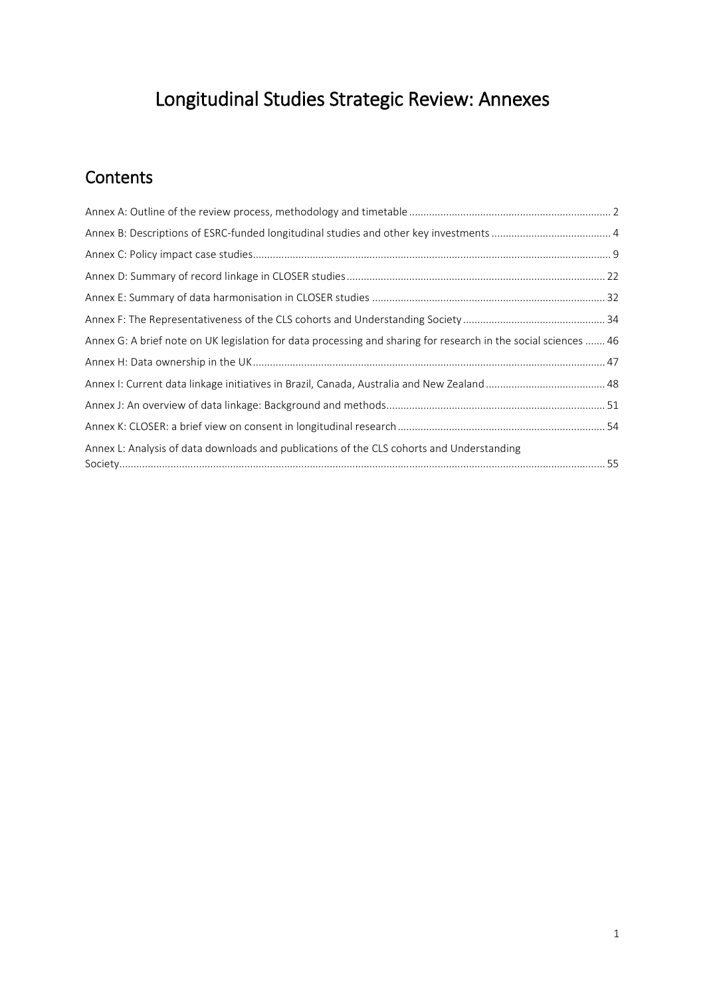# Longitudinal Studies Strategic Review: Annexes

# **Contents**

| Annex G: A brief note on UK legislation for data processing and sharing for research in the social sciences  46 |  |
|-----------------------------------------------------------------------------------------------------------------|--|
|                                                                                                                 |  |
|                                                                                                                 |  |
|                                                                                                                 |  |
|                                                                                                                 |  |
| Annex L: Analysis of data downloads and publications of the CLS cohorts and Understanding                       |  |
|                                                                                                                 |  |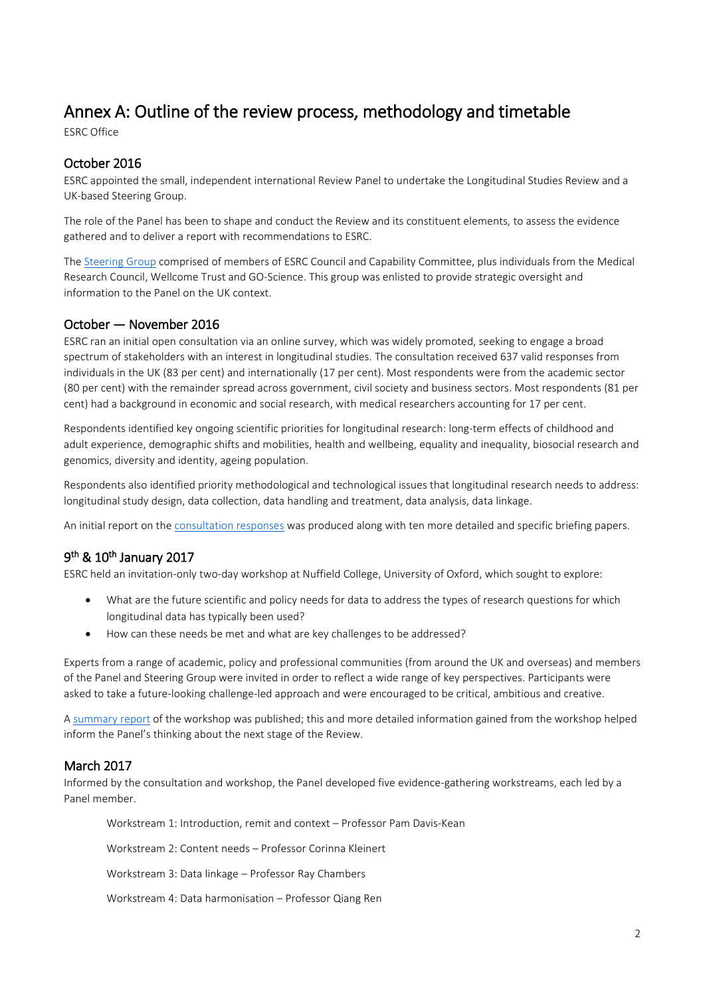# <span id="page-1-0"></span>Annex A: Outline of the review process, methodology and timetable ESRC Office

# October 2016

ESRC appointed the small, independent international Review Panel to undertake the Longitudinal Studies Review and a UK-based Steering Group.

The role of the Panel has been to shape and conduct the Review and its constituent elements, to assess the evidence gathered and to deliver a report with recommendations to ESRC.

The [Steering Group](http://www.esrc.ac.uk/files/news-events-and-publications/publications/longitudinal-studies-review-steering-group/) comprised of members of ESRC Council and Capability Committee, plus individuals from the Medical Research Council, Wellcome Trust and GO-Science. This group was enlisted to provide strategic oversight and information to the Panel on the UK context.

# October — November 2016

ESRC ran an initial open consultation via an online survey, which was widely promoted, seeking to engage a broad spectrum of stakeholders with an interest in longitudinal studies. The consultation received 637 valid responses from individuals in the UK (83 per cent) and internationally (17 per cent). Most respondents were from the academic sector (80 per cent) with the remainder spread across government, civil society and business sectors. Most respondents (81 per cent) had a background in economic and social research, with medical researchers accounting for 17 per cent.

Respondents identified key ongoing scientific priorities for longitudinal research: long-term effects of childhood and adult experience, demographic shifts and mobilities, health and wellbeing, equality and inequality, biosocial research and genomics, diversity and identity, ageing population.

Respondents also identified priority methodological and technological issues that longitudinal research needs to address: longitudinal study design, data collection, data handling and treatment, data analysis, data linkage.

An initial report on th[e consultation responses](http://www.esrc.ac.uk/news-events-and-publications/publications/corporate-publications/longitudinal-studies-review-2017/longitudinal-studies-review-consultation/) was produced along with ten more detailed and specific briefing papers.

# 9th & 10th January 2017

ESRC held an invitation-only two-day workshop at Nuffield College, University of Oxford, which sought to explore:

- What are the future scientific and policy needs for data to address the types of research questions for which longitudinal data has typically been used?
- How can these needs be met and what are key challenges to be addressed?

Experts from a range of academic, policy and professional communities (from around the UK and overseas) and members of the Panel and Steering Group were invited in order to reflect a wide range of key perspectives. Participants were asked to take a future-looking challenge-led approach and were encouraged to be critical, ambitious and creative.

A [summary report](http://www.esrc.ac.uk/files/news-events-and-publications/publications/longitudinal-studies-review-workshop-report/) of the workshop was published; this and more detailed information gained from the workshop helped inform the Panel's thinking about the next stage of the Review.

# March 2017

Informed by the consultation and workshop, the Panel developed five evidence-gathering workstreams, each led by a Panel member.

Workstream 1: Introduction, remit and context – Professor Pam Davis-Kean

Workstream 2: Content needs – Professor Corinna Kleinert

Workstream 3: Data linkage – Professor Ray Chambers

Workstream 4: Data harmonisation – Professor Qiang Ren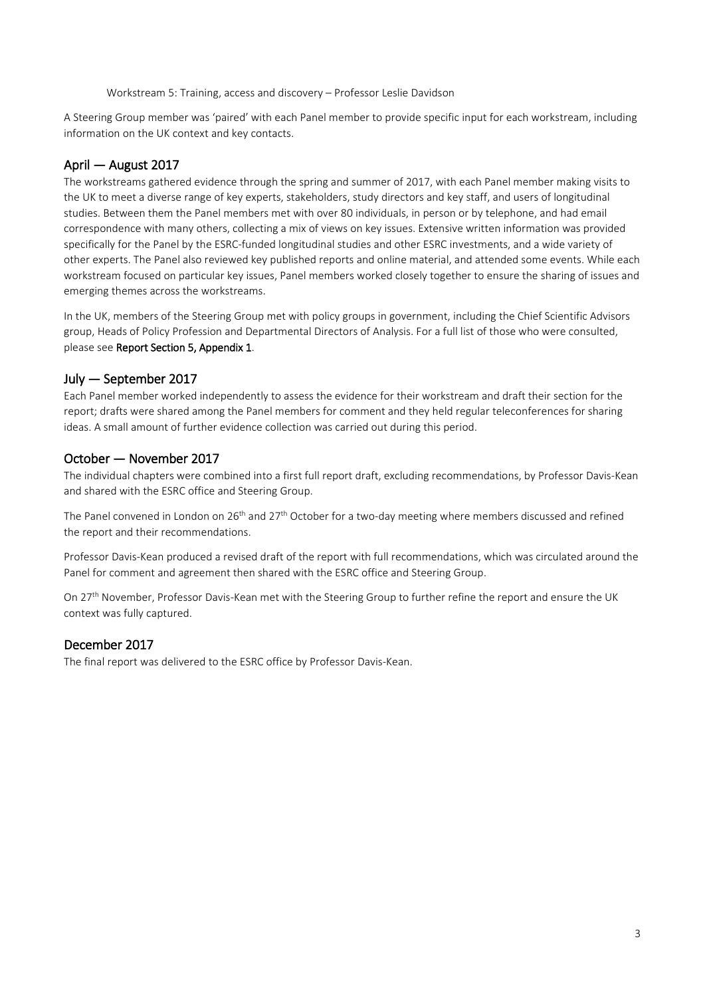Workstream 5: Training, access and discovery – Professor Leslie Davidson

A Steering Group member was 'paired' with each Panel member to provide specific input for each workstream, including information on the UK context and key contacts.

# April — August 2017

The workstreams gathered evidence through the spring and summer of 2017, with each Panel member making visits to the UK to meet a diverse range of key experts, stakeholders, study directors and key staff, and users of longitudinal studies. Between them the Panel members met with over 80 individuals, in person or by telephone, and had email correspondence with many others, collecting a mix of views on key issues. Extensive written information was provided specifically for the Panel by the ESRC-funded longitudinal studies and other ESRC investments, and a wide variety of other experts. The Panel also reviewed key published reports and online material, and attended some events. While each workstream focused on particular key issues, Panel members worked closely together to ensure the sharing of issues and emerging themes across the workstreams.

In the UK, members of the Steering Group met with policy groups in government, including the Chief Scientific Advisors group, Heads of Policy Profession and Departmental Directors of Analysis. For a full list of those who were consulted, please see Report Section 5, Appendix 1.

# July — September 2017

Each Panel member worked independently to assess the evidence for their workstream and draft their section for the report; drafts were shared among the Panel members for comment and they held regular teleconferences for sharing ideas. A small amount of further evidence collection was carried out during this period.

# October — November 2017

The individual chapters were combined into a first full report draft, excluding recommendations, by Professor Davis-Kean and shared with the ESRC office and Steering Group.

The Panel convened in London on 26<sup>th</sup> and 27<sup>th</sup> October for a two-day meeting where members discussed and refined the report and their recommendations.

Professor Davis-Kean produced a revised draft of the report with full recommendations, which was circulated around the Panel for comment and agreement then shared with the ESRC office and Steering Group.

On 27<sup>th</sup> November, Professor Davis-Kean met with the Steering Group to further refine the report and ensure the UK context was fully captured.

# December 2017

The final report was delivered to the ESRC office by Professor Davis-Kean.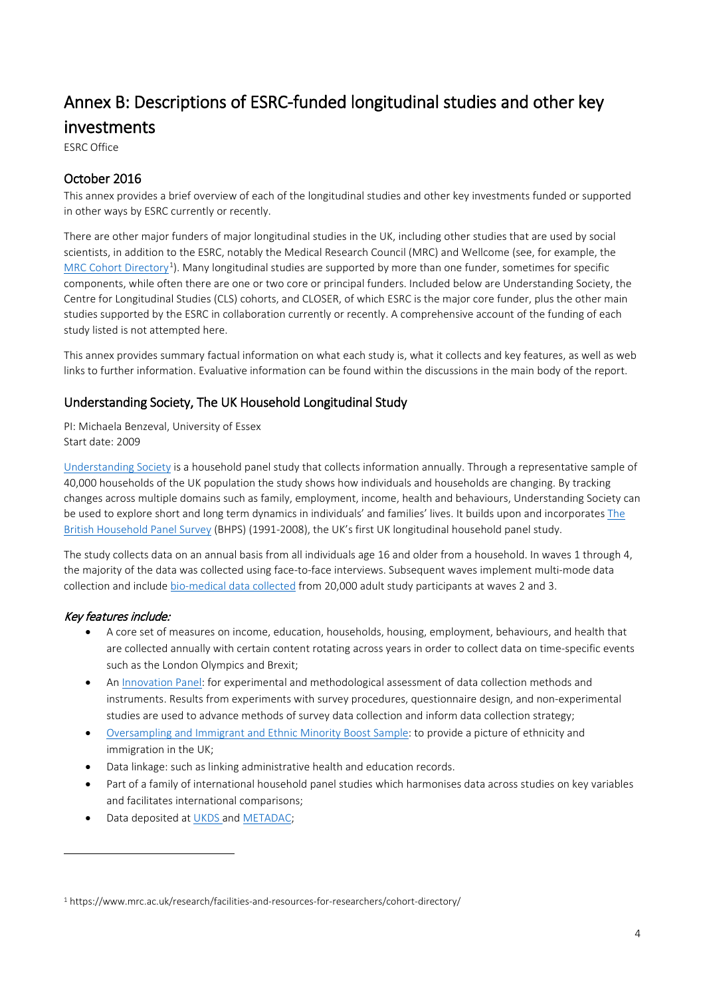# <span id="page-3-0"></span>Annex B: Descriptions of ESRC-funded longitudinal studies and other key **investments**<br>ESRC Office

# October 2016

This annex provides a brief overview of each of the longitudinal studies and other key investments funded or supported in other ways by ESRC currently or recently.

There are other major funders of major longitudinal studies in the UK, including other studies that are used by social scientists, in addition to the ESRC, notably the Medical Research Council (MRC) and Wellcome (see, for example, the [MRC Cohort Directory](https://www.mrc.ac.uk/research/facilities-and-resources-for-researchers/cohort-directory/)<sup>[1](#page-3-1)</sup>). Many longitudinal studies are supported by more than one funder, sometimes for specific components, while often there are one or two core or principal funders. Included below are Understanding Society, the Centre for Longitudinal Studies (CLS) cohorts, and CLOSER, of which ESRC is the major core funder, plus the other main studies supported by the ESRC in collaboration currently or recently. A comprehensive account of the funding of each study listed is not attempted here.

This annex provides summary factual information on what each study is, what it collects and key features, as well as web links to further information. Evaluative information can be found within the discussions in the main body of the report.

# Understanding Society, The UK Household Longitudinal Study

PI: Michaela Benzeval, University of Essex Start date: 2009

[Understanding Society](https://www.understandingsociety.ac.uk/) is a household panel study that collects information annually. Through a representative sample of 40,000 households of the UK population the study shows how individuals and households are changing. By tracking changes across multiple domains such as family, employment, income, health and behaviours, Understanding Society can be used to explore short and long term dynamics in individuals' and families' lives. It builds upon and incorporates [The](https://www.iser.essex.ac.uk/bhps)  [British Household Panel Survey](https://www.iser.essex.ac.uk/bhps) (BHPS) (1991-2008), the UK's first UK longitudinal household panel study.

The study collects data on an annual basis from all individuals age 16 and older from a household. In waves 1 through 4, the majority of the data was collected using face-to-face interviews. Subsequent waves implement multi-mode data collection and include [bio-medical data collected](https://www.understandingsociety.ac.uk/documentation/health-assessment) from 20,000 adult study participants at waves 2 and 3.

# Key features include:

1

- A core set of measures on income, education, households, housing, employment, behaviours, and health that are collected annually with certain content rotating across years in order to collect data on time-specific events such as the London Olympics and Brexit;
- An [Innovation Panel:](https://www.understandingsociety.ac.uk/about/innovation-panel) for experimental and methodological assessment of data collection methods and instruments. Results from experiments with survey procedures, questionnaire design, and non-experimental studies are used to advance methods of survey data collection and inform data collection strategy;
- [Oversampling and Immigrant and Ethnic Minority Boost Sample:](https://www.understandingsociety.ac.uk/about/ethnicity/background) to provide a picture of ethnicity and immigration in the UK;
- Data linkage: such as linking administrative health and education records.
- Part of a family of international household panel studies which harmonises data across studies on key variables and facilitates international comparisons;
- Data deposited a[t UKDS a](https://www.ukdataservice.ac.uk/)nd [METADAC;](https://www.metadac.ac.uk/)

<span id="page-3-1"></span><sup>1</sup> https://www.mrc.ac.uk/research/facilities-and-resources-for-researchers/cohort-directory/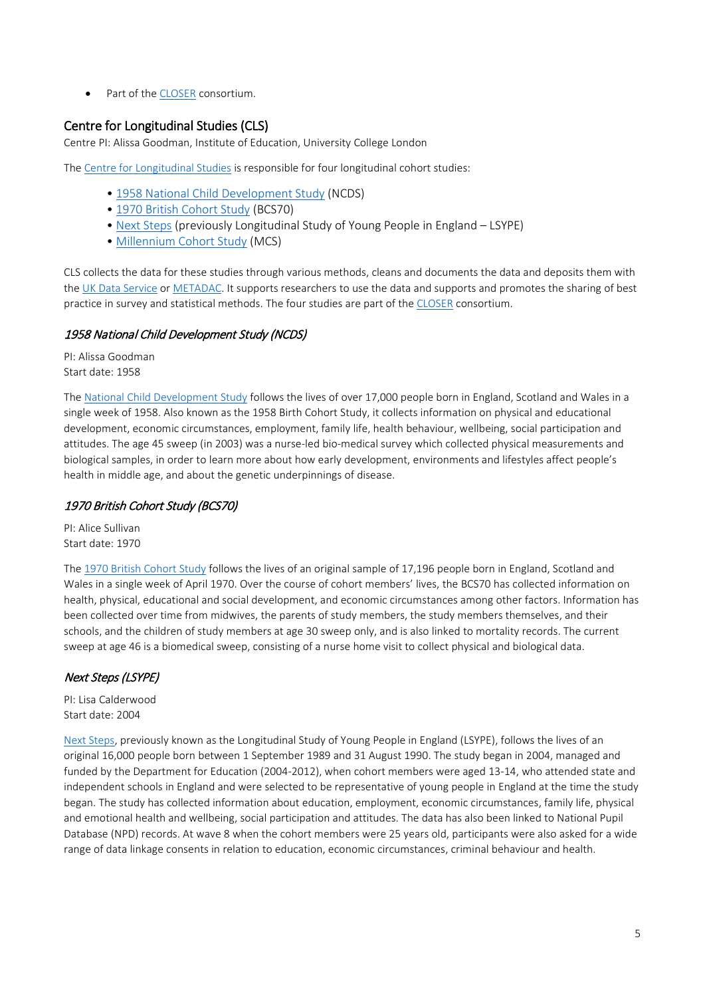• Part of the [CLOSER](http://www.closer.ac.uk/) consortium.

# Centre for Longitudinal Studies (CLS)

Centre PI: Alissa Goodman, Institute of Education, University College London

The [Centre for Longitudinal Studies](http://www.cls.ioe.ac.uk/Default.aspx) is responsible for four longitudinal cohort studies:

- • [1958 National Child Development Study](http://www.cls.ioe.ac.uk/page.aspx?&sitesectionid=724&sitesectiontitle=Welcome+to+the+1958+National+Child+Development+Study) (NCDS)
- • [1970 British Cohort Study](http://www.cls.ioe.ac.uk/page.aspx?&sitesectionid=795&sitesectiontitle=Welcome+to+the+1970+British+Cohort+Study) (BCS70)
- • [Next Steps](http://www.cls.ioe.ac.uk/page.aspx?&sitesectionid=1246&sitesectiontitle=Welcome+to+Next+Steps+(LSYPE)) (previously Longitudinal Study of Young People in England LSYPE)
- • [Millennium Cohort Study](http://www.cls.ioe.ac.uk/page.aspx?sitesectionid=851) (MCS)

CLS collects the data for these studies through various methods, cleans and documents the data and deposits them with th[e UK Data Service](https://www.ukdataservice.ac.uk/) or [METADAC.](https://www.metadac.ac.uk/) It supports researchers to use the data and supports and promotes the sharing of best practice in survey and statistical methods. The four studies are part of the [CLOSER](http://www.closer.ac.uk/) consortium.

# 1958 National Child Development Study (NCDS)

PI: Alissa Goodman Start date: 1958

The [National Child Development Study](http://www.cls.ioe.ac.uk/page.aspx?&sitesectionid=724&sitesectiontitle=Welcome+to+the+1958+National+Child+Development+Study) follows the lives of over 17,000 people born in England, Scotland and Wales in a single week of 1958. Also known as the 1958 Birth Cohort Study, it collects information on physical and educational development, economic circumstances, employment, family life, health behaviour, wellbeing, social participation and attitudes. The age 45 sweep (in 2003) was a nurse-led bio-medical survey which collected physical measurements and biological samples, in order to learn more about how early development, environments and lifestyles affect people's health in middle age, and about the genetic underpinnings of disease.

# 1970 British Cohort Study (BCS70)

PI: Alice Sullivan Start date: 1970

The [1970 British Cohort Study](http://www.cls.ioe.ac.uk/page.aspx?&sitesectionid=795&sitesectiontitle=Welcome+to+the+1970+British+Cohort+Study) follows the lives of an original sample of 17,196 people born in England, Scotland and Wales in a single week of April 1970. Over the course of cohort members' lives, the BCS70 has collected information on health, physical, educational and social development, and economic circumstances among other factors. Information has been collected over time from midwives, the parents of study members, the study members themselves, and their schools, and the children of study members at age 30 sweep only, and is also linked to mortality records. The current sweep at age 46 is a biomedical sweep, consisting of a nurse home visit to collect physical and biological data.

# Next Steps (LSYPE)

PI: Lisa Calderwood Start date: 2004

[Next Steps,](http://www.cls.ioe.ac.uk/page.aspx?&sitesectionid=1246&sitesectiontitle=Welcome+to+Next+Steps+(LSYPE)) previously known as the Longitudinal Study of Young People in England (LSYPE), follows the lives of an original 16,000 people born between 1 September 1989 and 31 August 1990. The study began in 2004, managed and funded by the Department for Education (2004-2012), when cohort members were aged 13-14, who attended state and independent schools in England and were selected to be representative of young people in England at the time the study began. The study has collected information about education, employment, economic circumstances, family life, physical and emotional health and wellbeing, social participation and attitudes. The data has also been linked to National Pupil Database (NPD) records. At wave 8 when the cohort members were 25 years old, participants were also asked for a wide range of data linkage consents in relation to education, economic circumstances, criminal behaviour and health.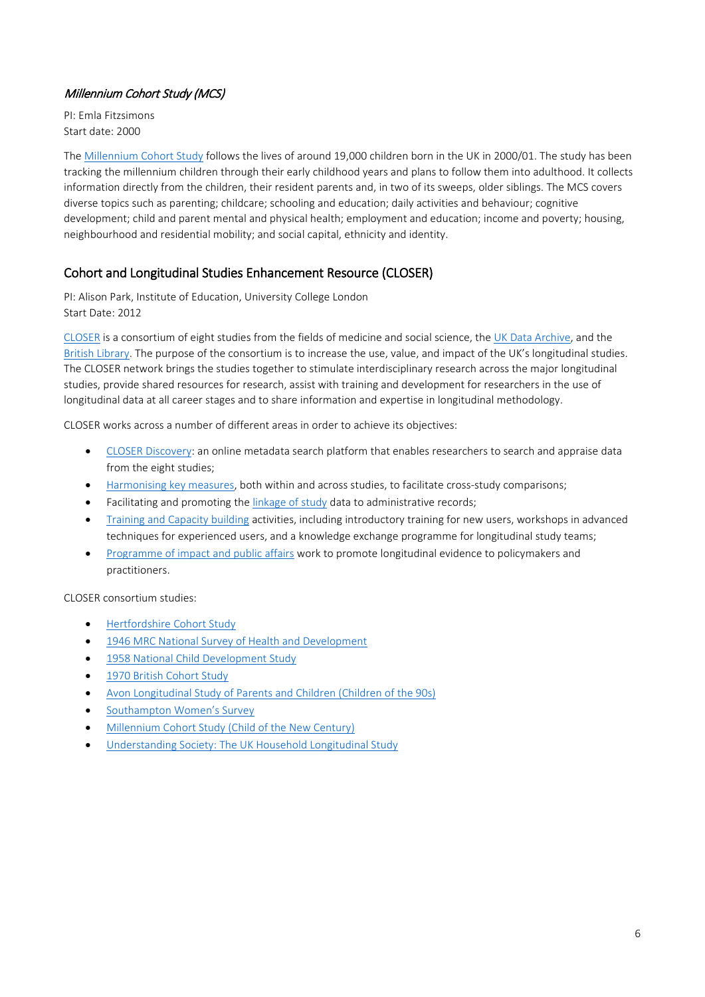# Millennium Cohort Study (MCS)

PI: Emla Fitzsimons Start date: 2000

The [Millennium Cohort Study](http://www.cls.ioe.ac.uk/page.aspx?sitesectionid=851) follows the lives of around 19,000 children born in the UK in 2000/01. The study has been tracking the millennium children through their early childhood years and plans to follow them into adulthood. It collects information directly from the children, their resident parents and, in two of its sweeps, older siblings. The MCS covers diverse topics such as parenting; childcare; schooling and education; daily activities and behaviour; cognitive development; child and parent mental and physical health; employment and education; income and poverty; housing, neighbourhood and residential mobility; and social capital, ethnicity and identity.

# Cohort and Longitudinal Studies Enhancement Resource (CLOSER)

PI: Alison Park, Institute of Education, University College London Start Date: 2012

[CLOSER](http://www.closer.ac.uk/) is a consortium of eight studies from the fields of medicine and social science, the [UK Data Archive,](http://data-archive.ac.uk/) and the [British Library.](https://www.bl.uk/) The purpose of the consortium is to increase the use, value, and impact of the UK's longitudinal studies. The CLOSER network brings the studies together to stimulate interdisciplinary research across the major longitudinal studies, provide shared resources for research, assist with training and development for researchers in the use of longitudinal data at all career stages and to share information and expertise in longitudinal methodology.

CLOSER works across a number of different areas in order to achieve its objectives:

- [CLOSER Discovery:](http://discovery.closer.ac.uk/) an online metadata search platform that enables researchers to search and appraise data from the eight studies;
- [Harmonising key measures,](http://www.closer.ac.uk/about/areas-work/data-harmonisation/) both within and across studies, to facilitate cross-study comparisons;
- Facilitating and promoting th[e linkage of study](http://www.closer.ac.uk/about/areas-work/data-linkage/) data to administrative records;
- [Training and Capacity building](http://www.closer.ac.uk/about/areas-work/training-capacity-building/) activities, including introductory training for new users, workshops in advanced techniques for experienced users, and a knowledge exchange programme for longitudinal study teams;
- [Programme of impact and public affairs](http://www.closer.ac.uk/about/areas-work/research-impact/) work to promote longitudinal evidence to policymakers and practitioners.

CLOSER consortium studies:

- [Hertfordshire Cohort Study](http://www.closer.ac.uk/study/hertfordshire-cohort-study/)
- [1946 MRC National Survey of Health and Development](http://www.closer.ac.uk/study/mrc-national-survey-health-development/)
- [1958 National Child Development Study](http://www.closer.ac.uk/study/1958-national-child-development-study/)
- [1970 British Cohort Study](http://www.closer.ac.uk/study/1970-british-cohort-study/)
- [Avon Longitudinal Study of Parents and Children \(Children of the 90s\)](http://www.closer.ac.uk/study/alspac-children-90s/)
- [Southampton Women's Survey](http://www.closer.ac.uk/study/southampton-womens-survey/)
- [Millennium Cohort Study \(Child of the New Century\)](http://www.closer.ac.uk/study/millennium-cohort-study/)
- [Understanding Society: The UK Household Longitudinal Study](http://www.closer.ac.uk/study/understanding-society/)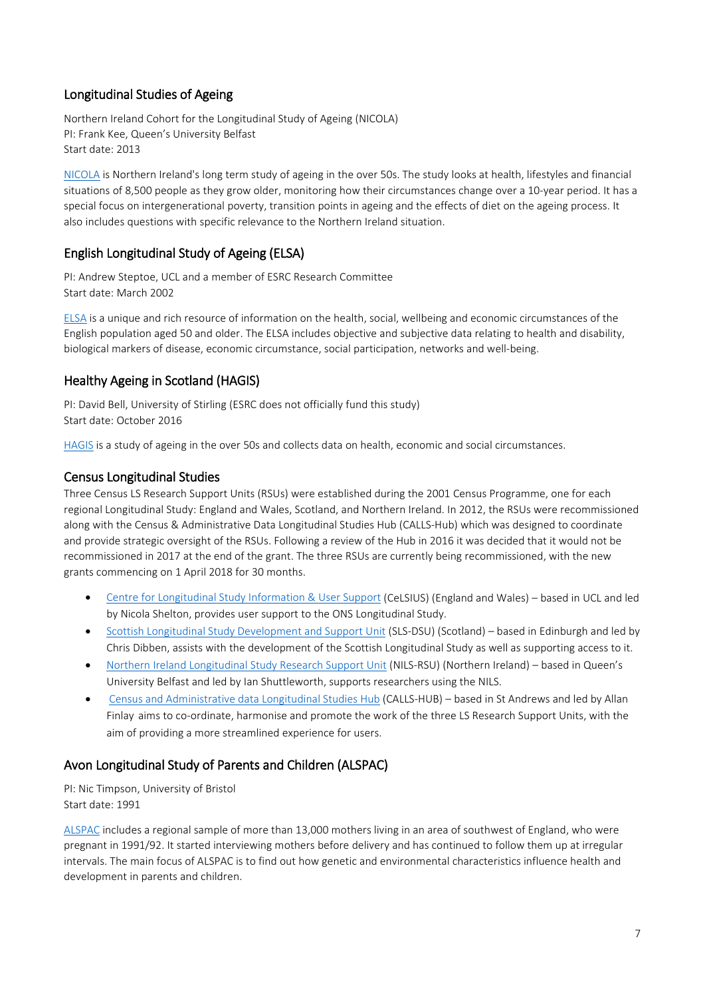# Longitudinal Studies of Ageing

Northern Ireland Cohort for the Longitudinal Study of Ageing (NICOLA) PI: Frank Kee, Queen's University Belfast Start date: 2013

[NICOLA](http://www.qub.ac.uk/sites/NICOLA/) is Northern Ireland's long term study of ageing in the over 50s. The study looks at health, lifestyles and financial situations of 8,500 people as they grow older, monitoring how their circumstances change over a 10-year period. It has a special focus on intergenerational poverty, transition points in ageing and the effects of diet on the ageing process. It also includes questions with specific relevance to the Northern Ireland situation.

# English Longitudinal Study of Ageing (ELSA)

PI: Andrew Steptoe, UCL and a member of ESRC Research Committee Start date: March 2002

[ELSA](https://www.elsa-project.ac.uk/) is a unique and rich resource of information on the health, social, wellbeing and economic circumstances of the English population aged 50 and older. The ELSA includes objective and subjective data relating to health and disability, biological markers of disease, economic circumstance, social participation, networks and well-being.

# Healthy Ageing in Scotland (HAGIS)

PI: David Bell, University of Stirling (ESRC does not officially fund this study) Start date: October 2016

[HAGIS](http://hagis.scot/) is a study of ageing in the over 50s and collects data on health, economic and social circumstances.

# Census Longitudinal Studies

Three Census LS Research Support Units (RSUs) were established during the 2001 Census Programme, one for each regional Longitudinal Study: England and Wales, Scotland, and Northern Ireland. In 2012, the RSUs were recommissioned along with the Census & Administrative Data Longitudinal Studies Hub (CALLS-Hub) which was designed to coordinate and provide strategic oversight of the RSUs. Following a review of the Hub in 2016 it was decided that it would not be recommissioned in 2017 at the end of the grant. The three RSUs are currently being recommissioned, with the new grants commencing on 1 April 2018 for 30 months.

- [Centre for Longitudinal Study Information & User Support](https://www.ucl.ac.uk/celsius) (CeLSIUS) (England and Wales) based in UCL and led by Nicola Shelton, provides user support to the ONS Longitudinal Study.
- [Scottish Longitudinal Study Development and Support Unit](http://www.esrc.ac.uk/research/our-research/scottish-longitudinal-study-development-and-support-unit-sls-dsu/) (SLS-DSU) (Scotland) based in Edinburgh and led by Chris Dibben, assists with the development of the Scottish Longitudinal Study as well as supporting access to it.
- [Northern Ireland Longitudinal Study Research Support Unit](http://www.esrc.ac.uk/research/our-research/northern-ireland-longitudinal-study-research-support-unit-nils-rsu/) (NILS-RSU) (Northern Ireland) based in Queen's University Belfast and led by Ian Shuttleworth, supports researchers using the NILS.
- [Census and Administrative data Longitudinal Studies Hub](http://www.esrc.ac.uk/research/our-research/census-and-administrative-data-longitudinal-studies-hub-calls-hub/) (CALLS-HUB) based in St Andrews and led by Allan Finlay aims to co-ordinate, harmonise and promote the work of the three LS Research Support Units, with the aim of providing a more streamlined experience for users.

# Avon Longitudinal Study of Parents and Children (ALSPAC)

PI: Nic Timpson, University of Bristol Start date: 1991

[ALSPAC](http://www.bristol.ac.uk/alspac/) includes a regional sample of more than 13,000 mothers living in an area of southwest of England, who were pregnant in 1991/92. It started interviewing mothers before delivery and has continued to follow them up at irregular intervals. The main focus of ALSPAC is to find out how genetic and environmental characteristics influence health and development in parents and children.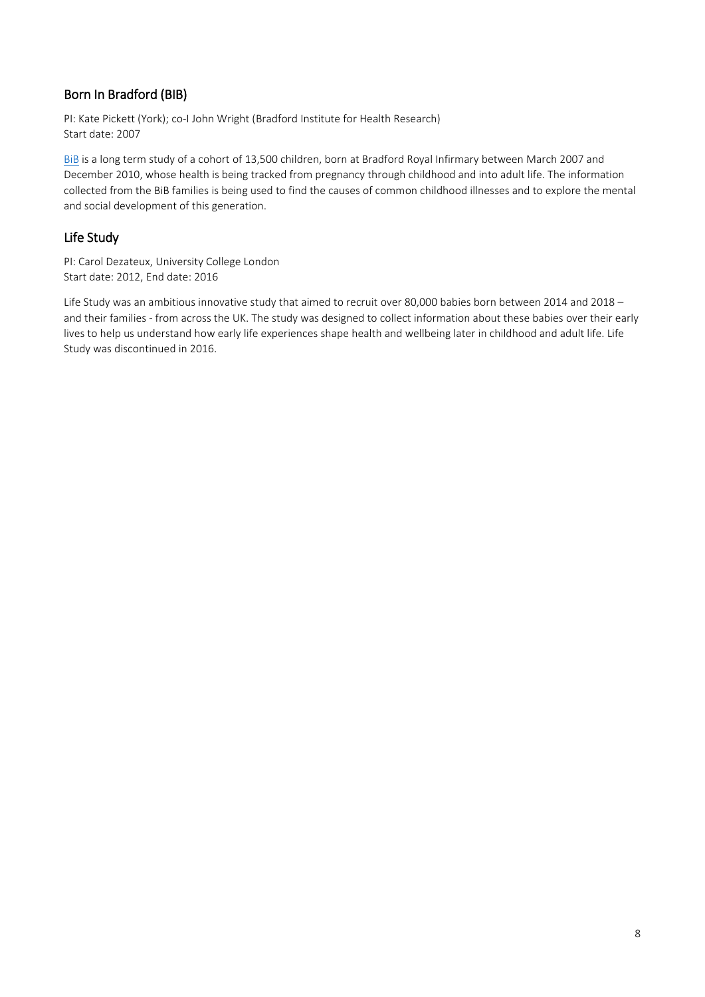# Born In Bradford (BIB)

PI: Kate Pickett (York); co-I John Wright (Bradford Institute for Health Research) Start date: 2007

[BiB](https://borninbradford.nhs.uk/) is a long term study of a cohort of 13,500 children, born at Bradford Royal Infirmary between March 2007 and December 2010, whose health is being tracked from pregnancy through childhood and into adult life. The information collected from the BiB families is being used to find the causes of common childhood illnesses and to explore the mental and social development of this generation.

# Life Study

PI: Carol Dezateux, University College London Start date: 2012, End date: 2016

Life Study was an ambitious innovative study that aimed to recruit over 80,000 babies born between 2014 and 2018 – and their families - from across the UK. The study was designed to collect information about these babies over their early lives to help us understand how early life experiences shape health and wellbeing later in childhood and adult life. Life Study was discontinued in 2016.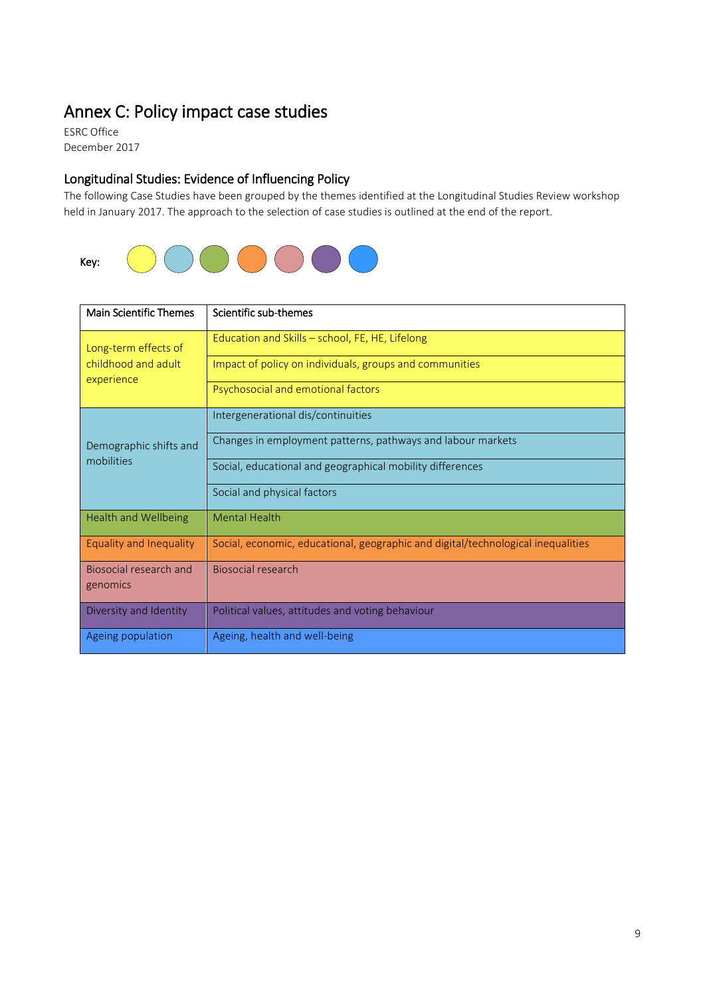# <span id="page-8-0"></span>Annex C: Policy impact case studies<br>ESRC Office

December 2017

# Longitudinal Studies: Evidence of Influencing Policy

The following Case Studies have been grouped by the themes identified at the Longitudinal Studies Review workshop held in January 2017. The approach to the selection of case studies is outlined at the end of the report.



| <b>Main Scientific Themes</b>        | Scientific sub-themes                                                            |
|--------------------------------------|----------------------------------------------------------------------------------|
| Long-term effects of                 | Education and Skills - school, FE, HE, Lifelong                                  |
| childhood and adult<br>experience    | Impact of policy on individuals, groups and communities                          |
|                                      | Psychosocial and emotional factors                                               |
|                                      | Intergenerational dis/continuities                                               |
| Demographic shifts and<br>mobilities | Changes in employment patterns, pathways and labour markets                      |
|                                      | Social, educational and geographical mobility differences                        |
|                                      | Social and physical factors                                                      |
| <b>Health and Wellbeing</b>          | <b>Mental Health</b>                                                             |
| Equality and Inequality              | Social, economic, educational, geographic and digital/technological inequalities |
| Biosocial research and<br>genomics   | Biosocial research                                                               |
| Diversity and Identity               | Political values, attitudes and voting behaviour                                 |
| Ageing population                    | Ageing, health and well-being                                                    |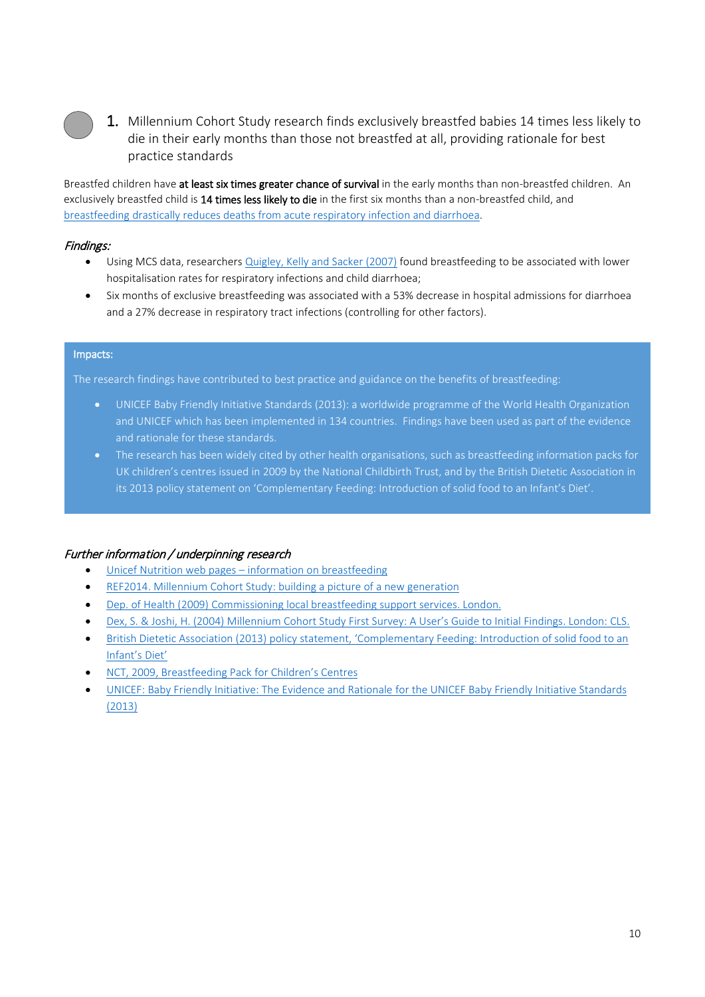

1. Millennium Cohort Study research finds exclusively breastfed babies 14 times less likely to die in their early months than those not breastfed at all, providing rationale for best practice standards

Breastfed children have at least six times greater chance of survival in the early months than non-breastfed children. An exclusively breastfed child is 14 times less likely to die in the first six months than a non-breastfed child, and [breastfeeding drastically reduces deaths from acute respiratory infection and diarrhoea.](https://www.unicef.org/nutrition/index_24824.html)

#### Findings:

- Using MCS data, researchers [Quigley, Kelly and Sacker \(2007\)](https://www.ndph.ox.ac.uk/publications/484094) found breastfeeding to be associated with lower hospitalisation rates for respiratory infections and child diarrhoea;
- Six months of exclusive breastfeeding was associated with a 53% decrease in hospital admissions for diarrhoea and a 27% decrease in respiratory tract infections (controlling for other factors).

#### Impacts:

The research findings have contributed to best practice and guidance on the benefits of breastfeeding:

- UNICEF Baby Friendly Initiative Standards (2013): a worldwide programme of the World Health Organization and UNICEF which has been implemented in 134 countries. Findings have been used as part of the evidence and rationale for these standards.
- The research has been widely cited by other health organisations, such as breastfeeding information packs for UK children's centres issued in 2009 by the National Childbirth Trust, and by the British Dietetic Association in its 2013 policy statement on 'Complementary Feeding: Introduction of solid food to an Infant's Diet'.

# Further information / underpinning research

- Unicef Nutrition web pages [information on breastfeeding](https://www.unicef.org/nutrition/index_24824.html)
- [REF2014. Millennium Cohort Study: building a picture of a new generation](http://impact.ref.ac.uk/casestudies2/refservice.svc/GetCaseStudyPDF/44326)
- [Dep. of Health \(2009\) Commissioning local breastfeeding support services. London.](http://webarchive.nationalarchives.gov.uk/20130107105354/http:/www.dh.gov.uk/en/Publicationsandstatistics/Publications/PublicationsPolicyAndGuidance/DH_106501)
- [Dex, S. & Joshi, H. \(2004\) Millennium Cohort Study First Survey: A User's Guide to Initial Findings. London: CLS.](http://citeseerx.ist.psu.edu/viewdoc/download?doi=10.1.1.462.2005&rep=rep1&type=pdf)
- [British Dietetic Association \(2013\) policy statement, 'Complementary Feeding: Introduction of solid food to an](https://nhsforthvalley.com/health-services/health-promotion/nutrition/early-years-nutrition/resources-for-health-professionals/)  [Infant's Diet'](https://nhsforthvalley.com/health-services/health-promotion/nutrition/early-years-nutrition/resources-for-health-professionals/)
- [NCT, 2009, Breastfeeding Pack for Children's Centres](https://www.nct.org.uk/sites/default/files/related_documents/Breastfeeding%20pack%20for%20Children%27s%20Centres-1.pdf)
- [UNICEF: Baby Friendly Initiative: The Evidence and Rationale for the UNICEF Baby Friendly Initiative Standards](https://www.unicef.org.uk/babyfriendl/wp-content/uploads/sites/2/2013/09/baby_friendly_evidence_rationale.pdf)  [\(2013\)](https://www.unicef.org.uk/babyfriendl/wp-content/uploads/sites/2/2013/09/baby_friendly_evidence_rationale.pdf)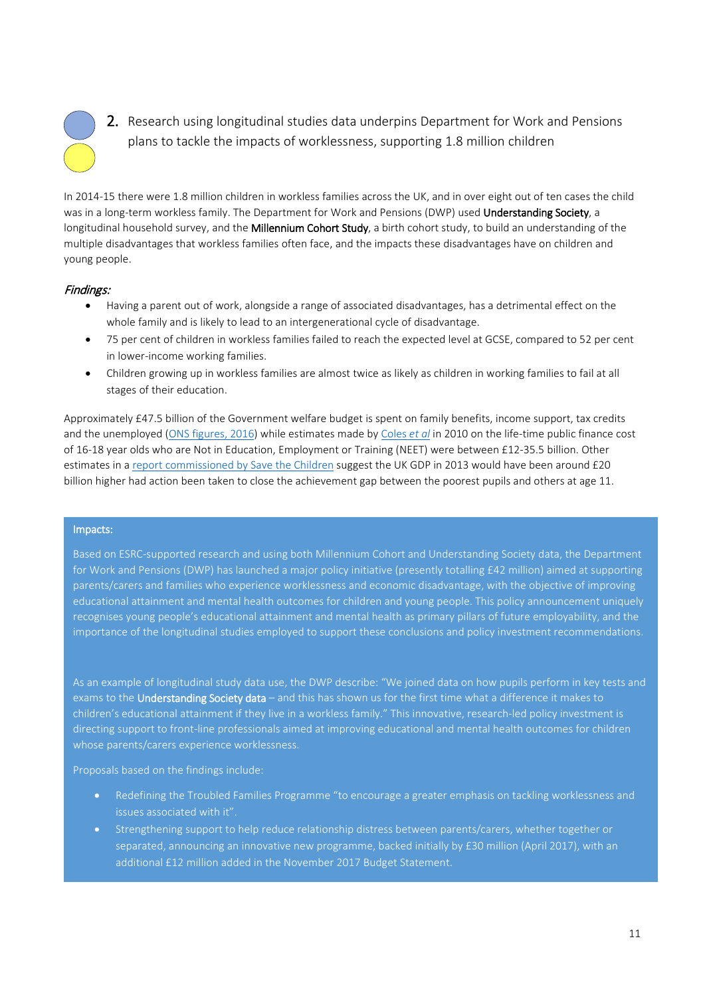

2. Research using longitudinal studies data underpins Department for Work and Pensions plans to tackle the impacts of worklessness, supporting 1.8 million children

In 2014-15 there were 1.8 million children in workless families across the UK, and in over eight out of ten cases the child was in a long-term workless family. The Department for Work and Pensions (DWP) used Understanding Society, a longitudinal household survey, and the Millennium Cohort Study, a birth cohort study, to build an understanding of the multiple disadvantages that workless families often face, and the impacts these disadvantages have on children and young people.

#### Findings:

- Having a parent out of work, alongside a range of associated disadvantages, has a detrimental effect on the whole family and is likely to lead to an intergenerational cycle of disadvantage.
- 75 per cent of children in workless families failed to reach the expected level at GCSE, compared to 52 per cent in lower-income working families.
- Children growing up in workless families are almost twice as likely as children in working families to fail at all stages of their education.

Approximately £47.5 billion of the Government welfare budget is spent on family benefits, income support, tax credits and the unemployed [\(ONS figures, 2016\)](https://visual.ons.gov.uk/welfare-spending/) while estimates made by [Coles](https://www.york.ac.uk/inst/spru/research/pdf/NEET_Summary.pdf) *et al* in 2010 on the life-time public finance cost of 16-18 year olds who are Not in Education, Employment or Training (NEET) were between £12-35.5 billion. Other estimates in a [report commissioned by Save the Children](https://www.nga.org.uk/Guidance/Research/Too-Young-to-Fail.aspx) suggest the UK GDP in 2013 would have been around £20 billion higher had action been taken to close the achievement gap between the poorest pupils and others at age 11.

#### Impacts:

Based on ESRC-supported research and using both Millennium Cohort and Understanding Society data, the Department for Work and Pensions (DWP) has launched a major policy initiative (presently totalling £42 million) aimed at supporting parents/carers and families who experience worklessness and economic disadvantage, with the objective of improving educational attainment and mental health outcomes for children and young people. This policy announcement uniquely recognises young people's educational attainment and mental health as primary pillars of future employability, and the importance of the longitudinal studies employed to support these conclusions and policy investment recommendations.

As an example of longitudinal study data use, the DWP describe: "We joined data on how pupils perform in key tests and exams to the Understanding Society data – and this has shown us for the first time what a difference it makes to children's educational attainment if they live in a workless family." This innovative, research-led policy investment is directing support to front-line professionals aimed at improving educational and mental health outcomes for children whose parents/carers experience worklessness.

Proposals based on the findings include:

- Redefining the Troubled Families Programme "to encourage a greater emphasis on tackling worklessness and issues associated with it".
- Strengthening support to help reduce relationship distress between parents/carers, whether together or separated, announcing an innovative new programme, backed initially by £30 million (April 2017), with an additional £12 million added in the November 2017 Budget Statement.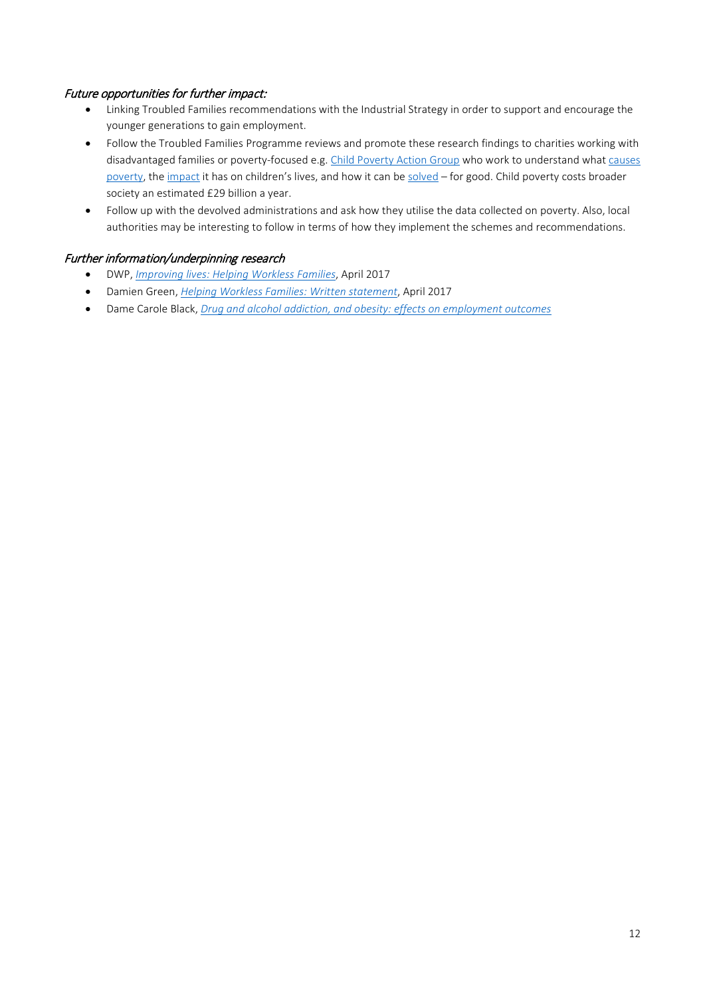### Future opportunities for further impact:

- Linking Troubled Families recommendations with the Industrial Strategy in order to support and encourage the younger generations to gain employment.
- Follow the Troubled Families Programme reviews and promote these research findings to charities working with disadvantaged families or poverty-focused e.g[. Child Poverty Action Group](http://www.cpag.org.uk/) who work to understand what [causes](http://cpag.org.uk/content/what-causes-poverty)  [poverty,](http://cpag.org.uk/content/what-causes-poverty) the [impact](http://cpag.org.uk/content/impact-poverty) it has on children's lives, and how it can b[e solved](http://cpag.org.uk/content/how-can-we-end-child-poverty-uk) – for good. Child poverty costs broader society an estimated £29 billion a year.
- Follow up with the devolved administrations and ask how they utilise the data collected on poverty. Also, local authorities may be interesting to follow in terms of how they implement the schemes and recommendations.

#### Further information/underpinning research

- DWP, *[Improving lives: Helping Workless Families](https://www.gov.uk/government/uploads/system/uploads/attachment_data/file/621365/improving-lives-helping-workless-families-print-version.pdf)*, April 2017
- Damien Green, *[Helping Workless Families: Written statement](http://www.parliament.uk/business/publications/written-questions-answers-statements/written-statement/Commons/2017-04-18/HCWS589/)*, April 2017
- Dame Carole Black, *[Drug and alcohol addiction, and obesity: effects on employment outcomes](https://www.gov.uk/government/publications/drug-and-alcohol-addiction-and-obesity-effects-on-employment-outcomes)*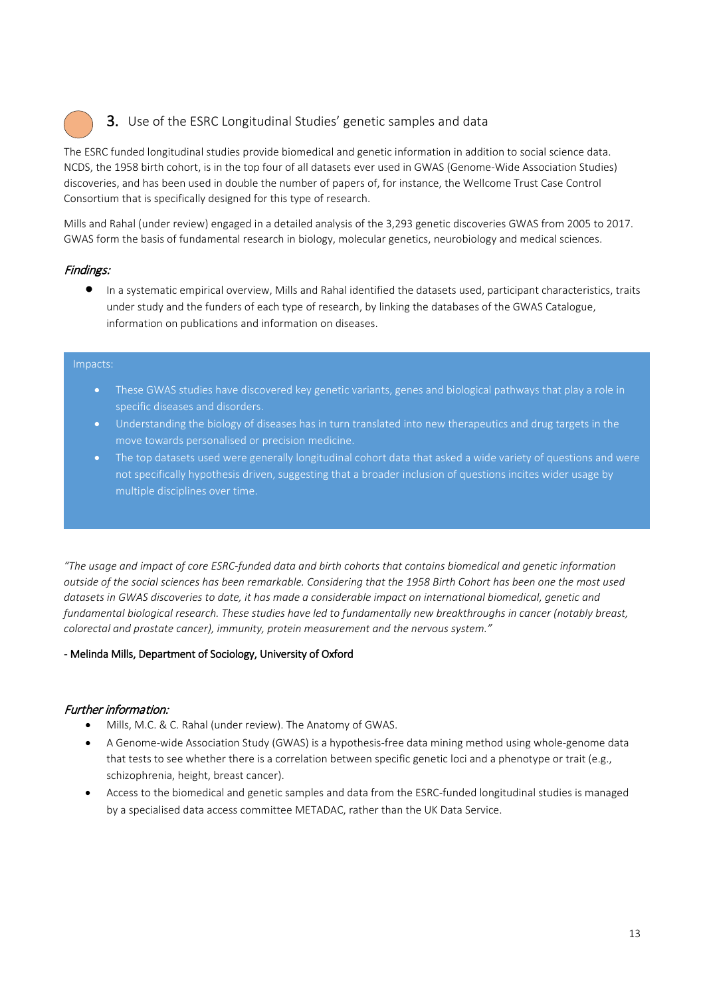# 3. Use of the ESRC Longitudinal Studies' genetic samples and data

The ESRC funded longitudinal studies provide biomedical and genetic information in addition to social science data. NCDS, the 1958 birth cohort, is in the top four of all datasets ever used in GWAS (Genome-Wide Association Studies) discoveries, and has been used in double the number of papers of, for instance, the Wellcome Trust Case Control Consortium that is specifically designed for this type of research.

Mills and Rahal (under review) engaged in a detailed analysis of the 3,293 genetic discoveries GWAS from 2005 to 2017. GWAS form the basis of fundamental research in biology, molecular genetics, neurobiology and medical sciences.

# Findings:

• In a systematic empirical overview, Mills and Rahal identified the datasets used, participant characteristics, traits under study and the funders of each type of research, by linking the databases of the GWAS Catalogue, information on publications and information on diseases.

#### Impacts:

- These GWAS studies have discovered key genetic variants, genes and biological pathways that play a role in specific diseases and disorders.
- Understanding the biology of diseases has in turn translated into new therapeutics and drug targets in the move towards personalised or precision medicine.
- The top datasets used were generally longitudinal cohort data that asked a wide variety of questions and were not specifically hypothesis driven, suggesting that a broader inclusion of questions incites wider usage by multiple disciplines over time.

*"The usage and impact of core ESRC-funded data and birth cohorts that contains biomedical and genetic information outside of the social sciences has been remarkable. Considering that the 1958 Birth Cohort has been one the most used datasets in GWAS discoveries to date, it has made a considerable impact on international biomedical, genetic and fundamental biological research. These studies have led to fundamentally new breakthroughs in cancer (notably breast, colorectal and prostate cancer), immunity, protein measurement and the nervous system."*

#### - Melinda Mills, Department of Sociology, University of Oxford

# Further information:

- Mills, M.C. & C. Rahal (under review). The Anatomy of GWAS.
- A Genome-wide Association Study (GWAS) is a hypothesis-free data mining method using whole-genome data that tests to see whether there is a correlation between specific genetic loci and a phenotype or trait (e.g., schizophrenia, height, breast cancer).
- Access to the biomedical and genetic samples and data from the ESRC-funded longitudinal studies is managed by a specialised data access committee [METADAC,](https://www.metadac.ac.uk/) rather than the UK Data Service.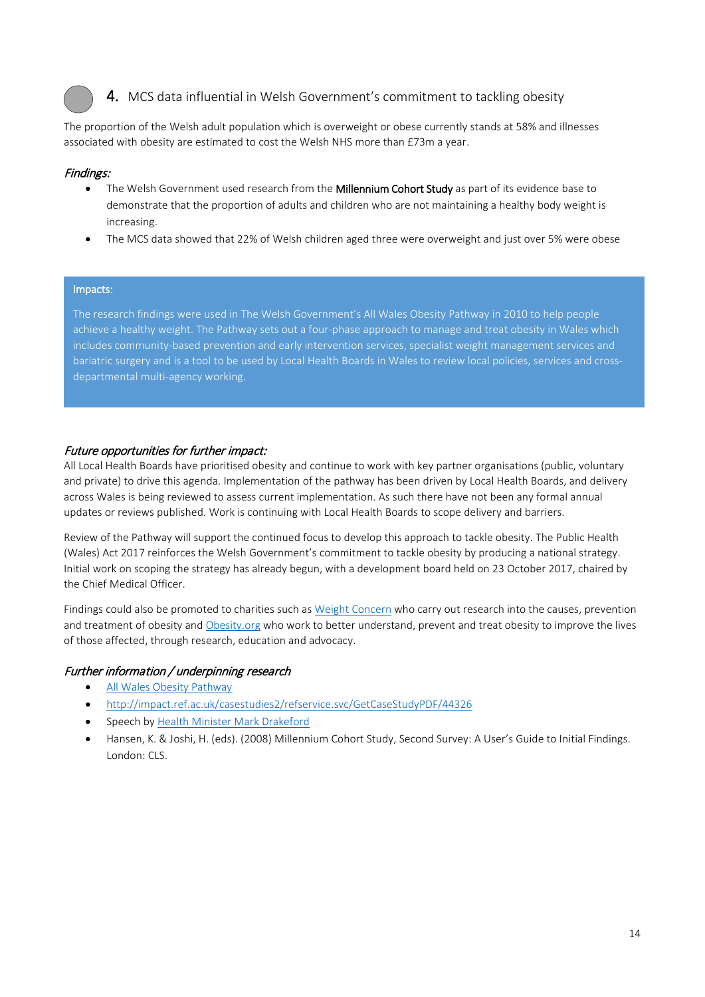

# 4. MCS data influential in Welsh Government's commitment to tackling obesity

The proportion of the Welsh adult population which is overweight or obese currently stands at 58% and illnesses associated with obesity are estimated to cost the Welsh NHS more than £73m a year.

#### Findings:

- The Welsh Government used research from the Millennium Cohort Study as part of its evidence base to demonstrate that the proportion of adults and children who are not maintaining a healthy body weight is increasing.
- The MCS data showed that 22% of Welsh children aged three were overweight and just over 5% were obese

#### Impacts:

The research findings were used in The Welsh Government's All Wales Obesity Pathway in 2010 to help people achieve a healthy weight. The Pathway sets out a four-phase approach to manage and treat obesity in Wales which includes community-based prevention and early intervention services, specialist weight management services and bariatric surgery and is a tool to be used by Local Health Boards in Wales to review local policies, services and crossdepartmental multi-agency working.

# Future opportunities for further impact:

All Local Health Boards have prioritised obesity and continue to work with key partner organisations (public, voluntary and private) to drive this agenda. Implementation of the pathway has been driven by Local Health Boards, and delivery across Wales is being reviewed to assess current implementation. As such there have not been any formal annual updates or reviews published. Work is continuing with Local Health Boards to scope delivery and barriers.

Review of the Pathway will support the continued focus to develop this approach to tackle obesity. The Public Health (Wales) Act 2017 reinforces the Welsh Government's commitment to tackle obesity by producing a national strategy. Initial work on scoping the strategy has already begun, with a development board held on 23 October 2017, chaired by the Chief Medical Officer.

Findings could also be promoted to charities such as [Weight Concern](http://www.weightconcern.org.uk/) who carry out research into the causes, prevention and treatment of obesity and [Obesity.org](https://www.obesity.org/about/mission-vision) who work to better understand, prevent and treat obesity to improve the lives of those affected, through research, education and advocacy.

# Further information / underpinning research

- [All Wales Obesity Pathway](http://gov.wales/topics/health/improvement/obesity/?lang=en)
- <http://impact.ref.ac.uk/casestudies2/refservice.svc/GetCaseStudyPDF/44326>
- Speech by [Health Minister Mark Drakeford](http://www.markdrakeford.com/report-on-obesity-treatment-in-wales-published/)
- Hansen, K. & Joshi, H. (eds). (2008) Millennium Cohort Study, Second Survey: A User's Guide to Initial Findings. London: CLS.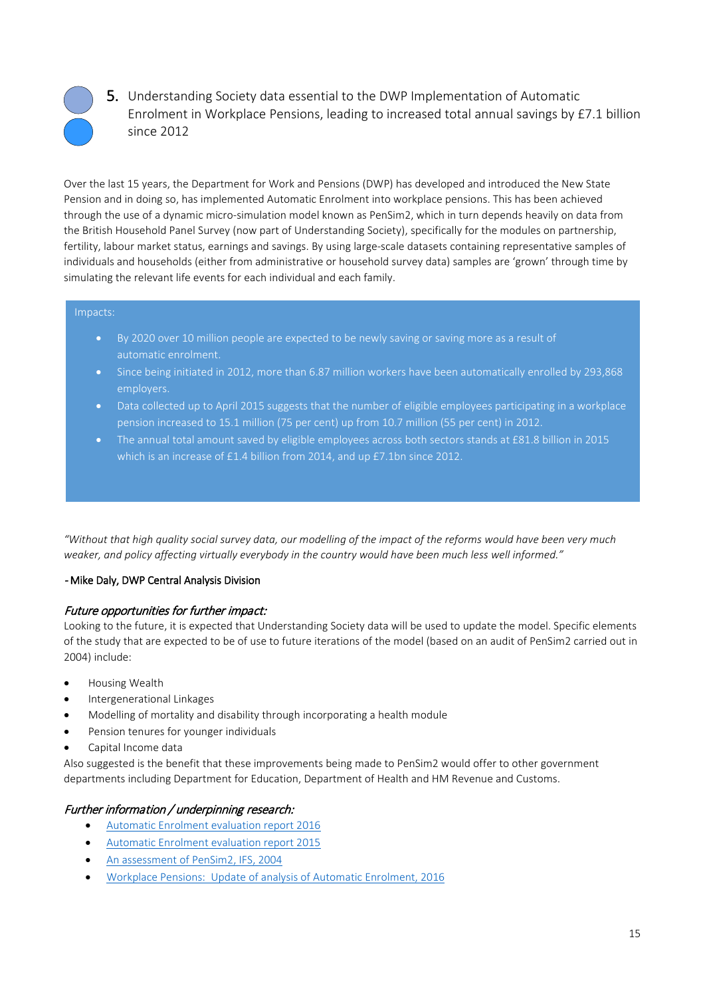

5. Understanding Society data essential to the DWP Implementation of Automatic Enrolment in Workplace Pensions, leading to increased total annual savings by £7.1 billion since 2012

Over the last 15 years, the Department for Work and Pensions (DWP) has developed and introduced the New State Pension and in doing so, has implemented Automatic Enrolment into workplace pensions. This has been achieved through the use of a dynamic micro-simulation model known as PenSim2, which in turn depends heavily on data from the British Household Panel Survey (now part of Understanding Society), specifically for the modules on partnership, fertility, labour market status, earnings and savings. By using large-scale datasets containing representative samples of individuals and households (either from administrative or household survey data) samples are 'grown' through time by simulating the relevant life events for each individual and each family.

#### Impacts:

- By 2020 over 10 million people are expected to be newly saving or saving more as a result of
- Since being initiated in 2012, more than 6.87 million workers have been automatically enrolled by 293,868 employers.
- Data collected up to April 2015 suggests that the number of eligible employees participating in a workplace pension increased to 15.1 million (75 per cent) up from 10.7 million (55 per cent) in 2012.
- The annual total amount saved by eligible employees across both sectors stands at £81.8 billion in 2015 which is an increase of £1.4 billion from 2014, and up £7.1bn since 2012.

*"Without that high quality social survey data, our modelling of the impact of the reforms would have been very much weaker, and policy affecting virtually everybody in the country would have been much less well informed."* 

#### - Mike Daly, DWP Central Analysis Division

#### Future opportunities for further impact:

Looking to the future, it is expected that Understanding Society data will be used to update the model. Specific elements of the study that are expected to be of use to future iterations of the model (based on an audit of PenSim2 carried out in 2004) include:

- Housing Wealth
- Intergenerational Linkages
- Modelling of mortality and disability through incorporating a health module
- Pension tenures for younger individuals
- Capital Income data

Also suggested is the benefit that these improvements being made to PenSim2 would offer to other government departments including Department for Education, Department of Health and HM Revenue and Customs.

# Further information / underpinning research:

- [Automatic Enrolment evaluation report 2016](https://www.gov.uk/government/uploads/system/uploads/attachment_data/file/576227/automatic-enrolment-evaluation-report-2016.pdf)
- [Automatic Enrolment evaluation report 2015](https://www.gov.uk/government/uploads/system/uploads/attachment_data/file/477176/rr909-automatic-enrolment-evaluation-2015.pdf)
- An [assessment of PenSim2, IFS, 2004](https://www.ifs.org.uk/publications/3215)
- Workplace Pensions: Update of analysis of Automatic Enrolment, 2016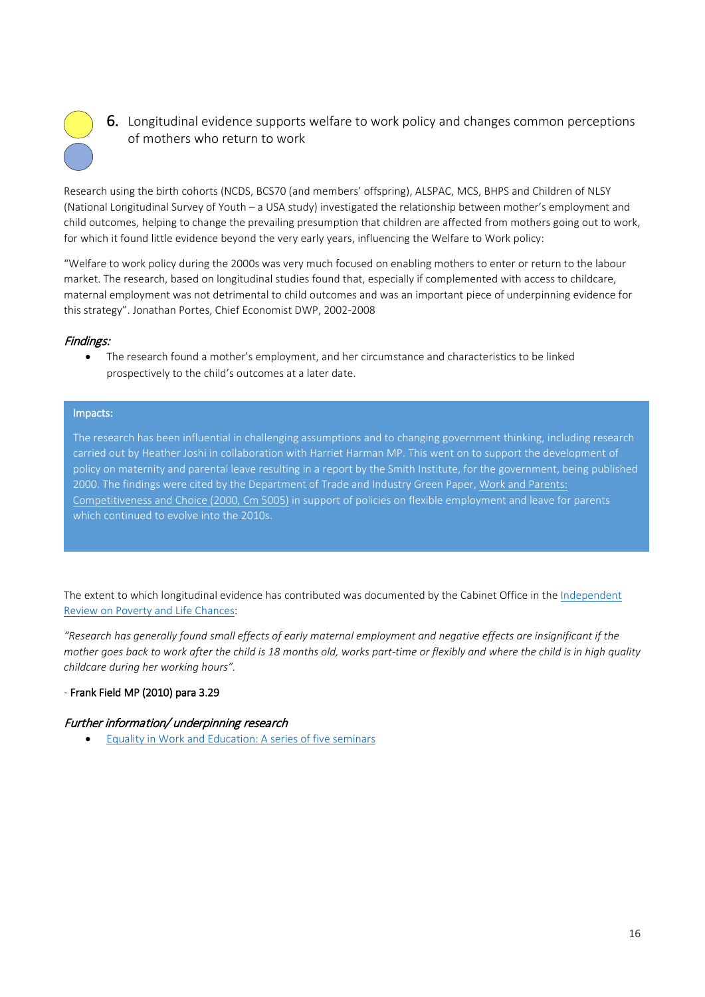

**6.** Longitudinal evidence supports welfare to work policy and changes common perceptions of mothers who return to work

Research using the birth cohorts (NCDS, BCS70 (and members' offspring), ALSPAC, MCS, BHPS and Children of NLSY (National Longitudinal Survey of Youth – a USA study) investigated the relationship between mother's employment and child outcomes, helping to change the prevailing presumption that children are affected from mothers going out to work, for which it found little evidence beyond the very early years, influencing the Welfare to Work policy:

"Welfare to work policy during the 2000s was very much focused on enabling mothers to enter or return to the labour market. The research, based on longitudinal studies found that, especially if complemented with access to childcare, maternal employment was not detrimental to child outcomes and was an important piece of underpinning evidence for this strategy". Jonathan Portes, Chief Economist DWP, 2002-2008

# Findings:

• The research found a mother's employment, and her circumstance and characteristics to be linked prospectively to the child's outcomes at a later date.

#### Impacts:

The research has been influential in challenging assumptions and to changing government thinking, including research carried out by Heather Joshi in collaboration with Harriet Harman MP. This went on to support the development of policy on maternity and parental leave resulting in a report by the Smith Institute, for the government, being published 2000. The findings were cited by the Department of Trade and Industry Green Paper, Work and Parents: [Competitiveness and Choice \(2000, Cm 5005\)](http://www.cms-lawnow.com/ealerts/2001/03/the-green-paper-work-and-parents-competitiveness-and-choice?cc_lang=en) in support of policies on flexible employment and leave for parents which continued to evolve into the 2010s.

The extent to which longitudinal evidence has contributed was documented by the Cabinet Office in th[e Independent](http://www.bristol.ac.uk/media-library/sites/ifssoca/migrated/documents/ffreport.pdf)  [Review on Poverty and Life Chances:](http://www.bristol.ac.uk/media-library/sites/ifssoca/migrated/documents/ffreport.pdf)

*"Research has generally found small effects of early maternal employment and negative effects are insignificant if the mother goes back to work after the child is 18 months old, works part-time or flexibly and where the child is in high quality childcare during her working hours".* 

#### *-* Frank Field MP (2010) para 3.29

#### Further information/ underpinning research

• [Equality in Work and Education: A series of five seminars](http://www.smith-institute.org.uk/book/equality-in-work-and-education-a-series-of-five-seminars/)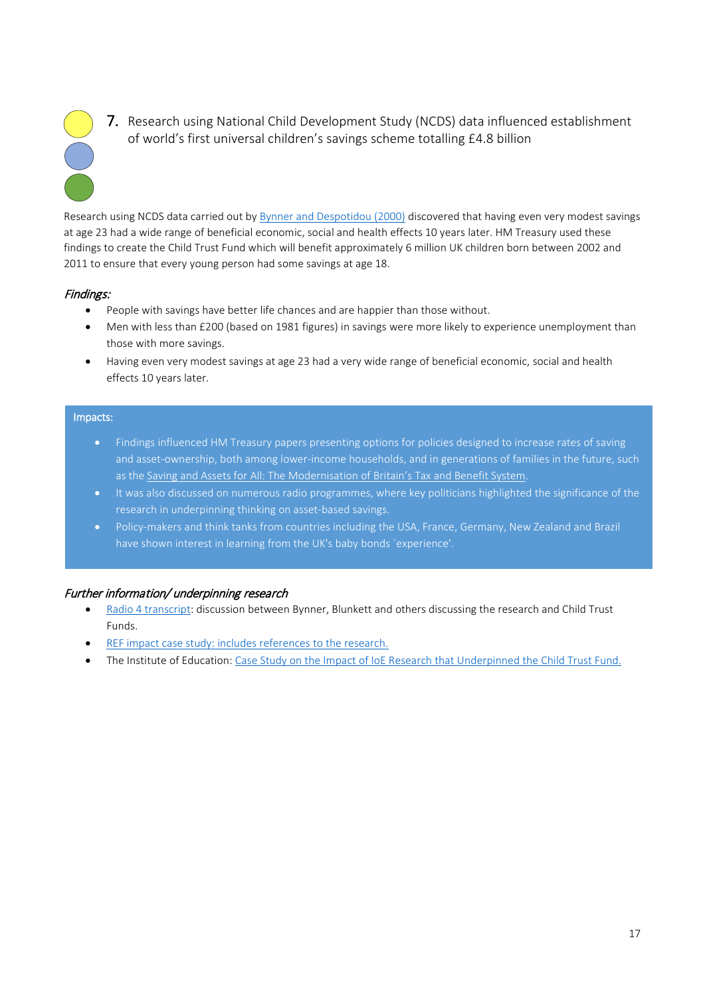

7. Research using National Child Development Study (NCDS) data influenced establishment of world's first universal children's savings scheme totalling £4.8 billion

Research using NCDS data carried out b[y Bynner and Despotidou \(2000\)](http://www.cls.ioe.ac.uk/shared/get-file.ashx?id=1734&itemtype=document) discovered that having even very modest savings at age 23 had a wide range of beneficial economic, social and health effects 10 years later. HM Treasury used these findings to create the Child Trust Fund which will benefit approximately 6 million UK children born between 2002 and 2011 to ensure that every young person had some savings at age 18.

#### Findings:

- People with savings have better life chances and are happier than those without.
- Men with less than £200 (based on 1981 figures) in savings were more likely to experience unemployment than those with more savings.
- Having even very modest savings at age 23 had a very wide range of beneficial economic, social and health effects 10 years later.

#### Impacts:

- Findings influenced HM Treasury papers presenting options for policies designed to increase rates of saving and asset-ownership, both among lower-income households, and in generations of families in the future, such as th[e Saving and Assets for All: The Modernisation of Britain's Tax and Benefit System.](https://revenuebenefits.org.uk/pdf/savings_and_assets_for_all.pdf)
- It was also discussed on numerous radio programmes, where key politicians highlighted the significance of the research in underpinning thinking on asset-based savings.
- Policy-makers and think tanks from countries including the USA, France, Germany, New Zealand and Brazil have shown interest in learning from the UK's baby bonds `experience'.

# Further information/ underpinning research

- [Radio 4 transcript:](http://news.bbc.co.uk/nol/shared/spl/hi/programmes/analysis/transcripts/18_08_05.txt) discussion between Bynner, Blunkett and others discussing the research and Child Trust Funds.
- REF [impact case study:](http://impact.ref.ac.uk/CaseStudies/CaseStudy.aspx?Id=44315) includes references to the research.
- The Institute of Education[: Case Study on the Impact of IoE Research that Underpinned the Child Trust Fund.](http://www.cls.ioe.ac.uk/library-media/documents/Impact%20case%20study%20-%20Child%20Trust%20Fund.pdf)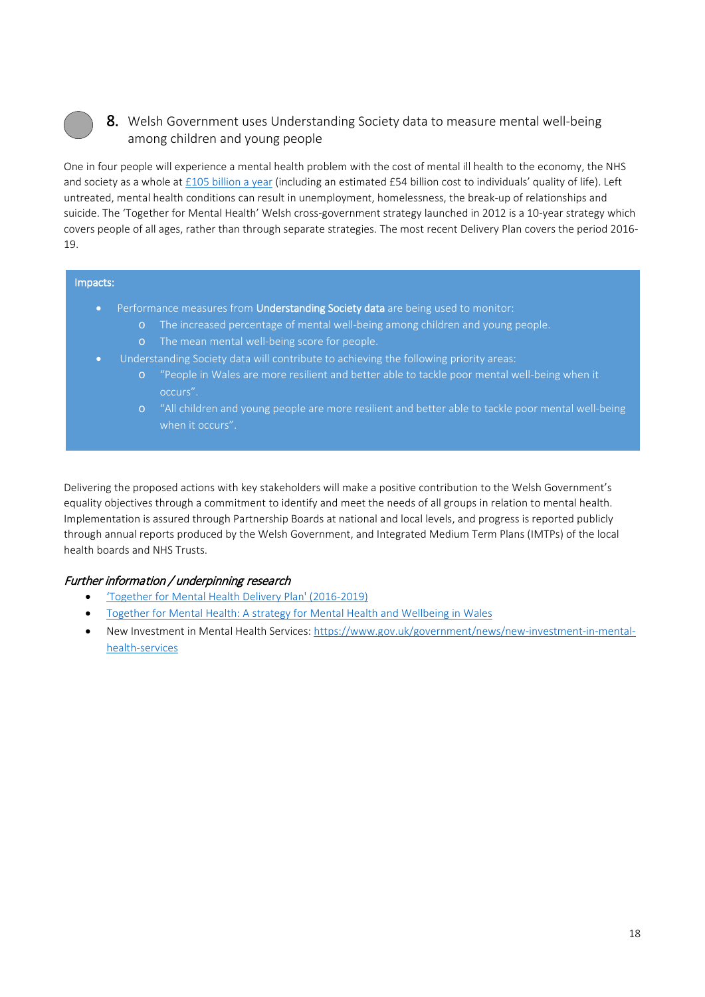# 8. Welsh Government uses Understanding Society data to measure mental well-being among children and young people

One in four people will experience a mental health problem with the cost of mental ill health to the economy, the NHS and society as a whole a[t £105 billion a year](https://www.england.nhs.uk/wp-content/uploads/2016/02/Mental-Health-Taskforce-FYFV-final.pdf) (including an estimated £54 billion cost to individuals' quality of life). Left untreated, mental health conditions can result in unemployment, homelessness, the break-up of relationships and suicide. The 'Together for Mental Health' Welsh cross-government strategy launched in 2012 is a 10-year strategy which covers people of all ages, rather than through separate strategies. The most recent Delivery Plan covers the period 2016- 19.

#### Impacts:

- Performance measures from Understanding Society data are being used to monitor:
	- o The increased percentage of mental well-being among children and young people.
	- o The mean mental well-being score for people.
- Understanding Society data will contribute to achieving the following priority areas:
	- o "People in Wales are more resilient and better able to tackle poor mental well-being when it occurs".
	- o "All children and young people are more resilient and better able to tackle poor mental well-being when it occurs".

Delivering the proposed actions with key stakeholders will make a positive contribution to the Welsh Government's equality objectives through a commitment to identify and meet the needs of all groups in relation to mental health. Implementation is assured through Partnership Boards at national and local levels, and progress is reported publicly through annual reports produced by the Welsh Government, and Integrated Medium Term Plans (IMTPs) of the local health boards and NHS Trusts.

# Further information / underpinning research

- ['Together for Mental Health Delivery Plan' \(2016-2019\)](http://gov.wales/topics/health/nhswales/plans/mental-health/?lang=en)
- [Together for Mental Health: A strategy for Mental Health and Wellbeing in Wales](http://gov.wales/docs/dhss/publications/121031tmhfinalen.pdf)
- New Investment in Mental Health Services: [https://www.gov.uk/government/news/new-investment-in-mental](https://www.gov.uk/government/news/new-investment-in-mental-health-services)[health-services](https://www.gov.uk/government/news/new-investment-in-mental-health-services)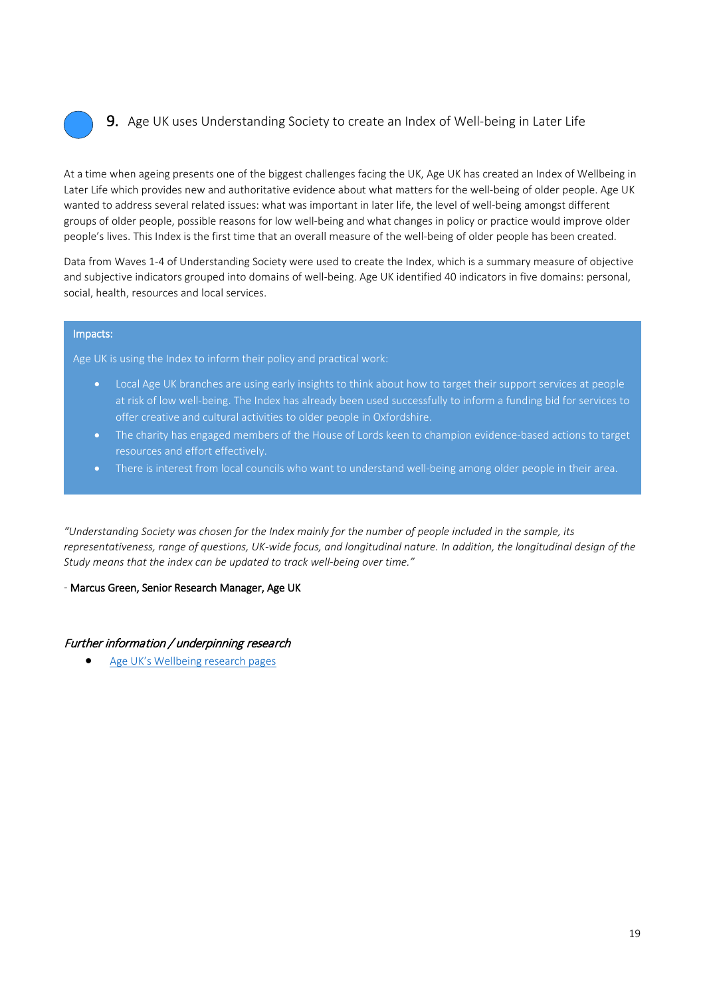

# 9. Age UK uses Understanding Society to create an Index of Well-being in Later Life

At a time when ageing presents one of the biggest challenges facing the UK, Age UK has created an Index of Wellbeing in Later Life which provides new and authoritative evidence about what matters for the well-being of older people. Age UK wanted to address several related issues: what was important in later life, the level of well-being amongst different groups of older people, possible reasons for low well-being and what changes in policy or practice would improve older people's lives. This Index is the first time that an overall measure of the well-being of older people has been created.

Data from Waves 1-4 of Understanding Society were used to create the Index, which is a summary measure of objective and subjective indicators grouped into domains of well-being. Age UK identified 40 indicators in five domains: personal, social, health, resources and local services.

#### Impacts:

Age UK is using the Index to inform their policy and practical work:

- Local Age UK branches are using early insights to think about how to target their support services at people at risk of low well-being. The Index has already been used successfully to inform a funding bid for services to offer creative and cultural activities to older people in Oxfordshire.
- The charity has engaged members of the House of Lords keen to champion evidence-based actions to target resources and effort effectively.
- There is interest from local councils who want to understand well-being among older people in their area.

*"Understanding Society was chosen for the Index mainly for the number of people included in the sample, its representativeness, range of questions, UK-wide focus, and longitudinal nature. In addition, the longitudinal design of the Study means that the index can be updated to track well-being over time."* 

#### *-* Marcus Green, Senior Research Manager, Age UK

#### Further information / underpinning research

• [Age UK's Wellbeing research pages](http://www.ageuk.org.uk/wellbeingresearch)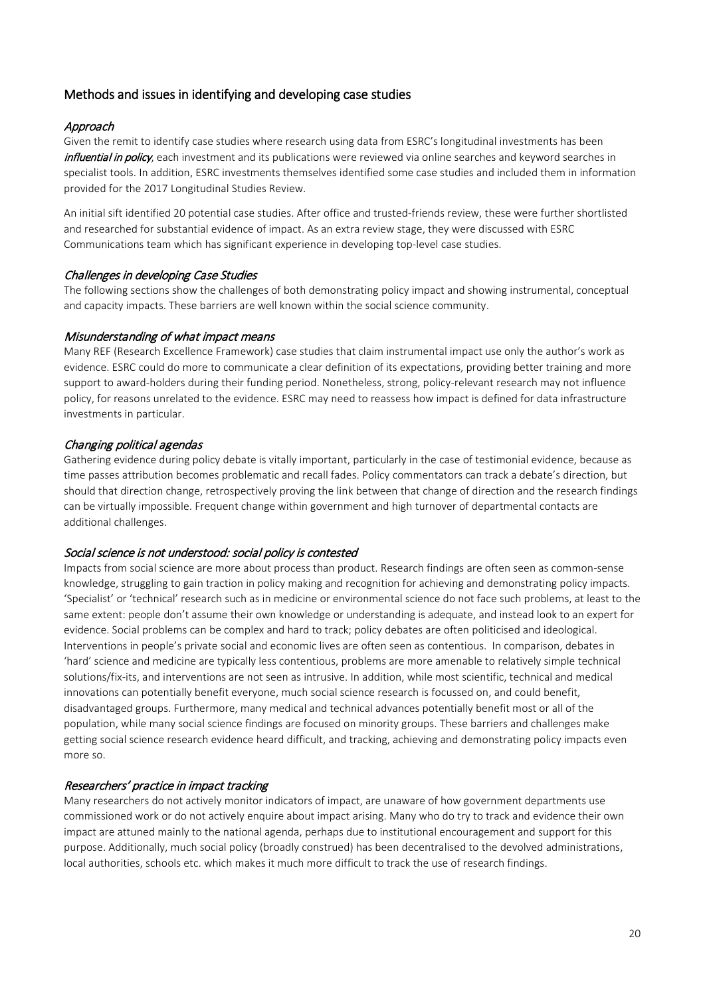# Methods and issues in identifying and developing case studies

#### Approach

Given the remit to identify case studies where research using data from ESRC's longitudinal investments has been influential in policy, each investment and its publications were reviewed via online searches and keyword searches in specialist tools. In addition, ESRC investments themselves identified some case studies and included them in information provided for the 2017 Longitudinal Studies Review.

An initial sift identified 20 potential case studies. After office and trusted-friends review, these were further shortlisted and researched for substantial evidence of impact. As an extra review stage, they were discussed with ESRC Communications team which has significant experience in developing top-level case studies.

#### Challenges in developing Case Studies

The following sections show the challenges of both demonstrating policy impact and showing instrumental, conceptual and capacity impacts. These barriers are well known within the social science community.

#### Misunderstanding of what impact means

Many REF (Research Excellence Framework) case studies that claim instrumental impact use only the author's work as evidence. ESRC could do more to communicate a clear definition of its expectations, providing better training and more support to award-holders during their funding period. Nonetheless, strong, policy-relevant research may not influence policy, for reasons unrelated to the evidence. ESRC may need to reassess how impact is defined for data infrastructure investments in particular.

#### Changing political agendas

Gathering evidence during policy debate is vitally important, particularly in the case of testimonial evidence, because as time passes attribution becomes problematic and recall fades. Policy commentators can track a debate's direction, but should that direction change, retrospectively proving the link between that change of direction and the research findings can be virtually impossible. Frequent change within government and high turnover of departmental contacts are additional challenges.

#### Social science is not understood: social policy is contested

Impacts from social science are more about process than product. Research findings are often seen as common-sense knowledge, struggling to gain traction in policy making and recognition for achieving and demonstrating policy impacts. 'Specialist' or 'technical' research such as in medicine or environmental science do not face such problems, at least to the same extent: people don't assume their own knowledge or understanding is adequate, and instead look to an expert for evidence. Social problems can be complex and hard to track; policy debates are often politicised and ideological. Interventions in people's private social and economic lives are often seen as contentious. In comparison, debates in 'hard' science and medicine are typically less contentious, problems are more amenable to relatively simple technical solutions/fix-its, and interventions are not seen as intrusive. In addition, while most scientific, technical and medical innovations can potentially benefit everyone, much social science research is focussed on, and could benefit, disadvantaged groups. Furthermore, many medical and technical advances potentially benefit most or all of the population, while many social science findings are focused on minority groups. These barriers and challenges make getting social science research evidence heard difficult, and tracking, achieving and demonstrating policy impacts even more so.

#### Researchers' practice in impact tracking

Many researchers do not actively monitor indicators of impact, are unaware of how government departments use commissioned work or do not actively enquire about impact arising. Many who do try to track and evidence their own impact are attuned mainly to the national agenda, perhaps due to institutional encouragement and support for this purpose. Additionally, much social policy (broadly construed) has been decentralised to the devolved administrations, local authorities, schools etc. which makes it much more difficult to track the use of research findings.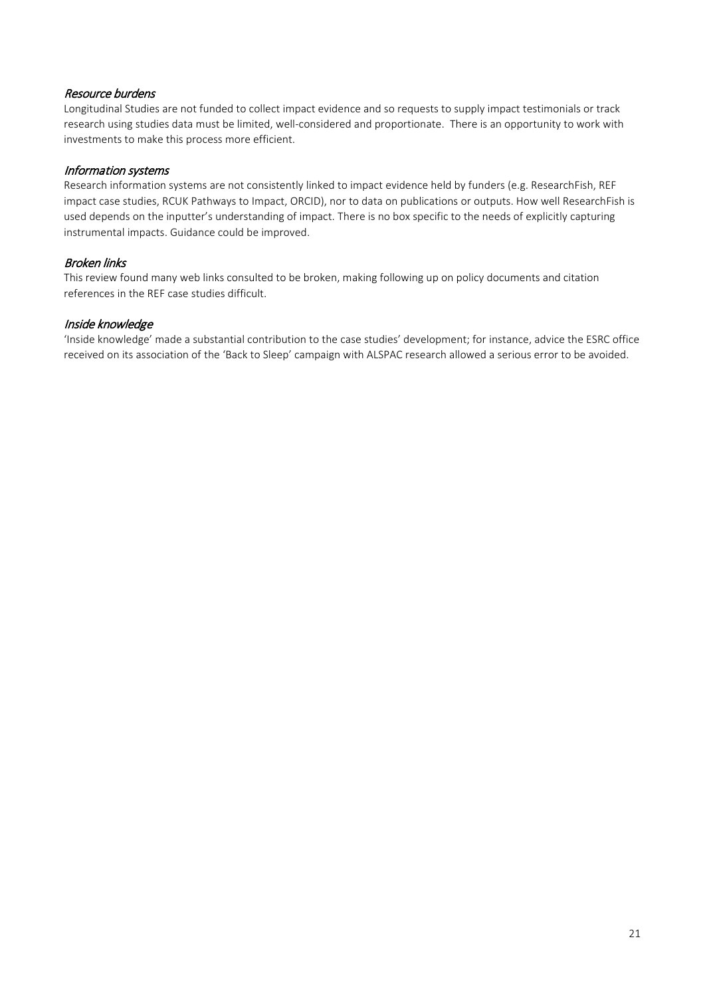#### Resource burdens

Longitudinal Studies are not funded to collect impact evidence and so requests to supply impact testimonials or track research using studies data must be limited, well-considered and proportionate. There is an opportunity to work with investments to make this process more efficient.

#### Information systems

Research information systems are not consistently linked to impact evidence held by funders (e.g. ResearchFish, REF impact case studies, RCUK Pathways to Impact, ORCID), nor to data on publications or outputs. How well ResearchFish is used depends on the inputter's understanding of impact. There is no box specific to the needs of explicitly capturing instrumental impacts. Guidance could be improved.

# Broken links

This review found many web links consulted to be broken, making following up on policy documents and citation references in the REF case studies difficult.

#### Inside knowledge

'Inside knowledge' made a substantial contribution to the case studies' development; for instance, advice the ESRC office received on its association of the 'Back to Sleep' campaign with ALSPAC research allowed a serious error to be avoided.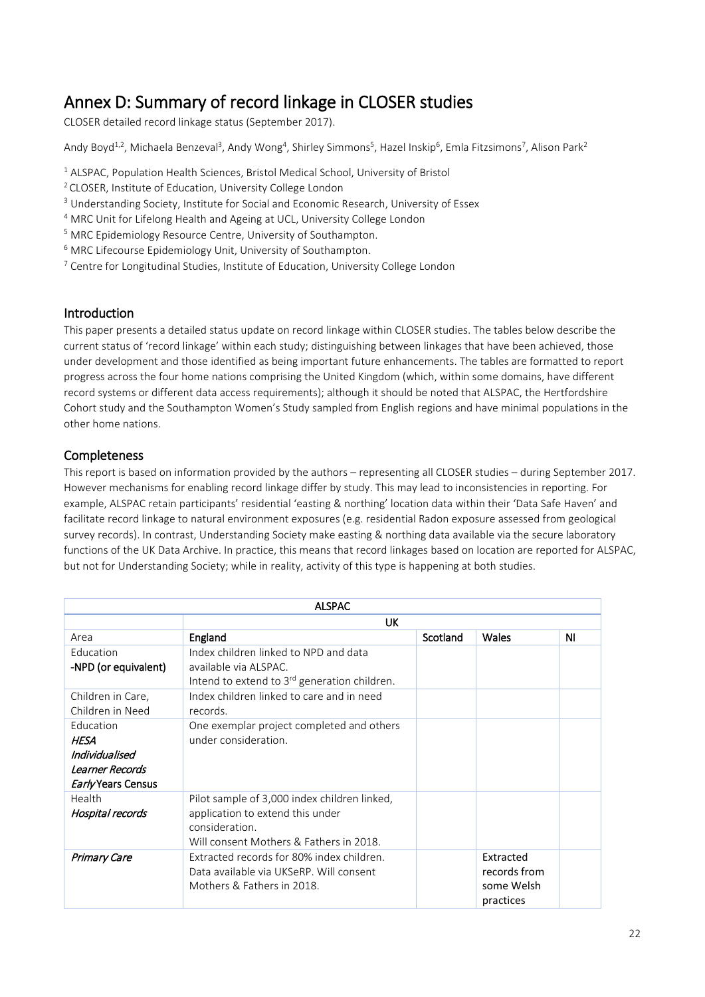# <span id="page-21-0"></span>Annex D: Summary of record linkage in CLOSER studies CLOSER detailed record linkage status (September 2017).

Andy Boyd<sup>1,2</sup>, Michaela Benzeval<sup>3</sup>, Andy Wong<sup>4</sup>, Shirley Simmons<sup>5</sup>, Hazel Inskip<sup>6</sup>, Emla Fitzsimons<sup>7</sup>, Alison Park<sup>2</sup>

- <sup>1</sup> ALSPAC, Population Health Sciences, Bristol Medical School, University of Bristol
- 2 CLOSER, Institute of Education, University College London
- <sup>3</sup> Understanding Society, Institute for Social and Economic Research, University of Essex
- <sup>4</sup> MRC Unit for Lifelong Health and Ageing at UCL, University College London
- <sup>5</sup> MRC Epidemiology Resource Centre, University of Southampton.
- <sup>6</sup> MRC Lifecourse Epidemiology Unit, University of Southampton.
- <sup>7</sup> Centre for Longitudinal Studies, Institute of Education, University College London

#### Introduction

This paper presents a detailed status update on record linkage within CLOSER studies. The tables below describe the current status of 'record linkage' within each study; distinguishing between linkages that have been achieved, those under development and those identified as being important future enhancements. The tables are formatted to report progress across the four home nations comprising the United Kingdom (which, within some domains, have different record systems or different data access requirements); although it should be noted that ALSPAC, the Hertfordshire Cohort study and the Southampton Women's Study sampled from English regions and have minimal populations in the other home nations.

# Completeness

This report is based on information provided by the authors – representing all CLOSER studies – during September 2017. However mechanisms for enabling record linkage differ by study. This may lead to inconsistencies in reporting. For example, ALSPAC retain participants' residential 'easting & northing' location data within their 'Data Safe Haven' and facilitate record linkage to natural environment exposures (e.g. residential Radon exposure assessed from geological survey records). In contrast, Understanding Society make easting & northing data available via the secure laboratory functions of the UK Data Archive. In practice, this means that record linkages based on location are reported for ALSPAC, but not for Understanding Society; while in reality, activity of this type is happening at both studies.

| <b>ALSPAC</b>             |                                                                                   |          |              |    |
|---------------------------|-----------------------------------------------------------------------------------|----------|--------------|----|
| <b>UK</b>                 |                                                                                   |          |              |    |
| Area                      | England                                                                           | Scotland | Wales        | ΝI |
| Education                 | Index children linked to NPD and data                                             |          |              |    |
| -NPD (or equivalent)      | available via ALSPAC.<br>Intend to extend to 3 <sup>rd</sup> generation children. |          |              |    |
| Children in Care,         | Index children linked to care and in need                                         |          |              |    |
| Children in Need          | records.                                                                          |          |              |    |
| Education                 | One exemplar project completed and others                                         |          |              |    |
| <b>HESA</b>               | under consideration.                                                              |          |              |    |
| Individualised            |                                                                                   |          |              |    |
| Learner Records           |                                                                                   |          |              |    |
| <i>Early</i> Years Census |                                                                                   |          |              |    |
| Health                    | Pilot sample of 3,000 index children linked,                                      |          |              |    |
| Hospital records          | application to extend this under                                                  |          |              |    |
|                           | consideration.                                                                    |          |              |    |
|                           | Will consent Mothers & Fathers in 2018.                                           |          |              |    |
| <b>Primary Care</b>       | Extracted records for 80% index children.                                         |          | Extracted    |    |
|                           | Data available via UKSeRP. Will consent                                           |          | records from |    |
|                           | Mothers & Fathers in 2018.                                                        |          | some Welsh   |    |
|                           |                                                                                   |          | practices    |    |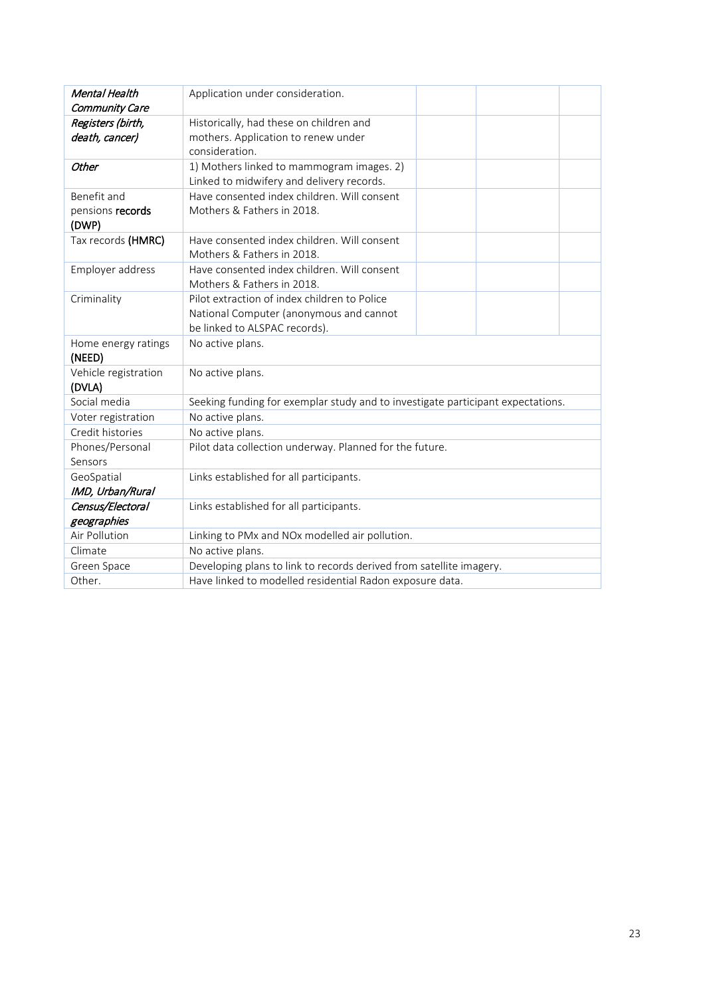| Mental Health                 | Application under consideration.                                                |  |  |
|-------------------------------|---------------------------------------------------------------------------------|--|--|
| Community Care                |                                                                                 |  |  |
| Registers (birth,             | Historically, had these on children and                                         |  |  |
| death, cancer)                | mothers. Application to renew under                                             |  |  |
|                               | consideration.                                                                  |  |  |
| Other                         | 1) Mothers linked to mammogram images. 2)                                       |  |  |
|                               | Linked to midwifery and delivery records.                                       |  |  |
| Benefit and                   | Have consented index children. Will consent                                     |  |  |
| pensions records              | Mothers & Fathers in 2018.                                                      |  |  |
| (DWP)                         |                                                                                 |  |  |
| Tax records (HMRC)            | Have consented index children. Will consent                                     |  |  |
|                               | Mothers & Fathers in 2018.                                                      |  |  |
| Employer address              | Have consented index children. Will consent                                     |  |  |
|                               | Mothers & Fathers in 2018.                                                      |  |  |
| Criminality                   | Pilot extraction of index children to Police                                    |  |  |
|                               | National Computer (anonymous and cannot                                         |  |  |
|                               | be linked to ALSPAC records).                                                   |  |  |
| Home energy ratings<br>(NEED) | No active plans.                                                                |  |  |
| Vehicle registration          | No active plans.                                                                |  |  |
| (DVLA)                        |                                                                                 |  |  |
| Social media                  | Seeking funding for exemplar study and to investigate participant expectations. |  |  |
| Voter registration            | No active plans.                                                                |  |  |
| Credit histories              | No active plans.                                                                |  |  |
| Phones/Personal               | Pilot data collection underway. Planned for the future.                         |  |  |
| Sensors                       |                                                                                 |  |  |
| GeoSpatial                    | Links established for all participants.                                         |  |  |
| IMD, Urban/Rural              |                                                                                 |  |  |
| Census/Electoral              | Links established for all participants.                                         |  |  |
| geographies                   |                                                                                 |  |  |
| Air Pollution                 | Linking to PMx and NOx modelled air pollution.                                  |  |  |
| Climate                       | No active plans.                                                                |  |  |
| Green Space                   | Developing plans to link to records derived from satellite imagery.             |  |  |
| Other.                        | Have linked to modelled residential Radon exposure data.                        |  |  |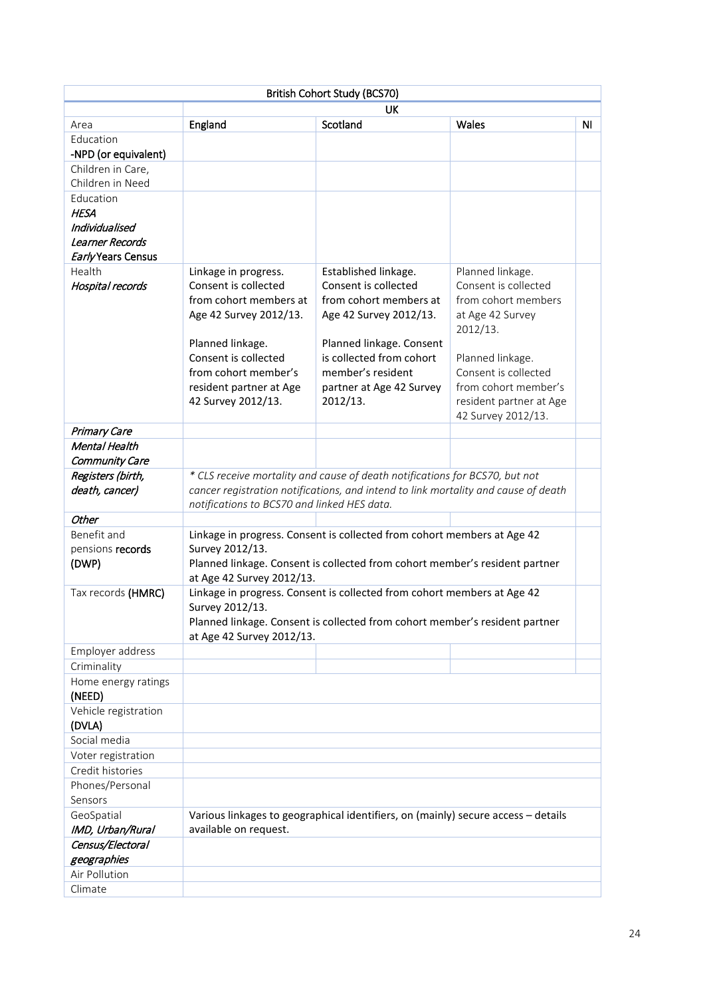|                                        |                                             | British Cohort Study (BCS70)                                                       |                         |    |
|----------------------------------------|---------------------------------------------|------------------------------------------------------------------------------------|-------------------------|----|
|                                        |                                             | <b>UK</b>                                                                          |                         |    |
| Area                                   | England                                     | Scotland                                                                           | Wales                   | ΝI |
| Education                              |                                             |                                                                                    |                         |    |
| -NPD (or equivalent)                   |                                             |                                                                                    |                         |    |
| Children in Care,<br>Children in Need  |                                             |                                                                                    |                         |    |
|                                        |                                             |                                                                                    |                         |    |
| Education<br><b>HESA</b>               |                                             |                                                                                    |                         |    |
| Individualised                         |                                             |                                                                                    |                         |    |
| Learner Records                        |                                             |                                                                                    |                         |    |
| Early Years Census                     |                                             |                                                                                    |                         |    |
| Health                                 | Linkage in progress.                        | Established linkage.                                                               | Planned linkage.        |    |
| Hospital records                       | Consent is collected                        | Consent is collected                                                               | Consent is collected    |    |
|                                        | from cohort members at                      | from cohort members at                                                             | from cohort members     |    |
|                                        | Age 42 Survey 2012/13.                      | Age 42 Survey 2012/13.                                                             | at Age 42 Survey        |    |
|                                        |                                             |                                                                                    | 2012/13.                |    |
|                                        | Planned linkage.                            | Planned linkage. Consent                                                           |                         |    |
|                                        | Consent is collected                        | is collected from cohort                                                           | Planned linkage.        |    |
|                                        | from cohort member's                        | member's resident                                                                  | Consent is collected    |    |
|                                        | resident partner at Age                     | partner at Age 42 Survey                                                           | from cohort member's    |    |
|                                        | 42 Survey 2012/13.                          | 2012/13.                                                                           | resident partner at Age |    |
|                                        |                                             |                                                                                    | 42 Survey 2012/13.      |    |
| Primary Care                           |                                             |                                                                                    |                         |    |
| Mental Health<br>Community Care        |                                             |                                                                                    |                         |    |
| Registers (birth,                      |                                             | * CLS receive mortality and cause of death notifications for BCS70, but not        |                         |    |
| death, cancer)                         |                                             | cancer registration notifications, and intend to link mortality and cause of death |                         |    |
|                                        | notifications to BCS70 and linked HES data. |                                                                                    |                         |    |
| Other                                  |                                             |                                                                                    |                         |    |
| Benefit and                            |                                             | Linkage in progress. Consent is collected from cohort members at Age 42            |                         |    |
| pensions records                       | Survey 2012/13.                             |                                                                                    |                         |    |
| (DWP)                                  |                                             | Planned linkage. Consent is collected from cohort member's resident partner        |                         |    |
|                                        | at Age 42 Survey 2012/13.                   |                                                                                    |                         |    |
| Tax records (HMRC)                     | Survey 2012/13.                             | Linkage in progress. Consent is collected from cohort members at Age 42            |                         |    |
|                                        |                                             | Planned linkage. Consent is collected from cohort member's resident partner        |                         |    |
|                                        | at Age 42 Survey 2012/13.                   |                                                                                    |                         |    |
| Employer address                       |                                             |                                                                                    |                         |    |
| Criminality                            |                                             |                                                                                    |                         |    |
| Home energy ratings                    |                                             |                                                                                    |                         |    |
| (NEED)                                 |                                             |                                                                                    |                         |    |
| Vehicle registration                   |                                             |                                                                                    |                         |    |
| (DVLA)<br>Social media                 |                                             |                                                                                    |                         |    |
|                                        |                                             |                                                                                    |                         |    |
| Voter registration<br>Credit histories |                                             |                                                                                    |                         |    |
| Phones/Personal                        |                                             |                                                                                    |                         |    |
| Sensors                                |                                             |                                                                                    |                         |    |
| GeoSpatial                             |                                             | Various linkages to geographical identifiers, on (mainly) secure access - details  |                         |    |
| IMD, Urban/Rural                       | available on request.                       |                                                                                    |                         |    |
| Census/Electoral                       |                                             |                                                                                    |                         |    |
| geographies                            |                                             |                                                                                    |                         |    |
| Air Pollution                          |                                             |                                                                                    |                         |    |
| Climate                                |                                             |                                                                                    |                         |    |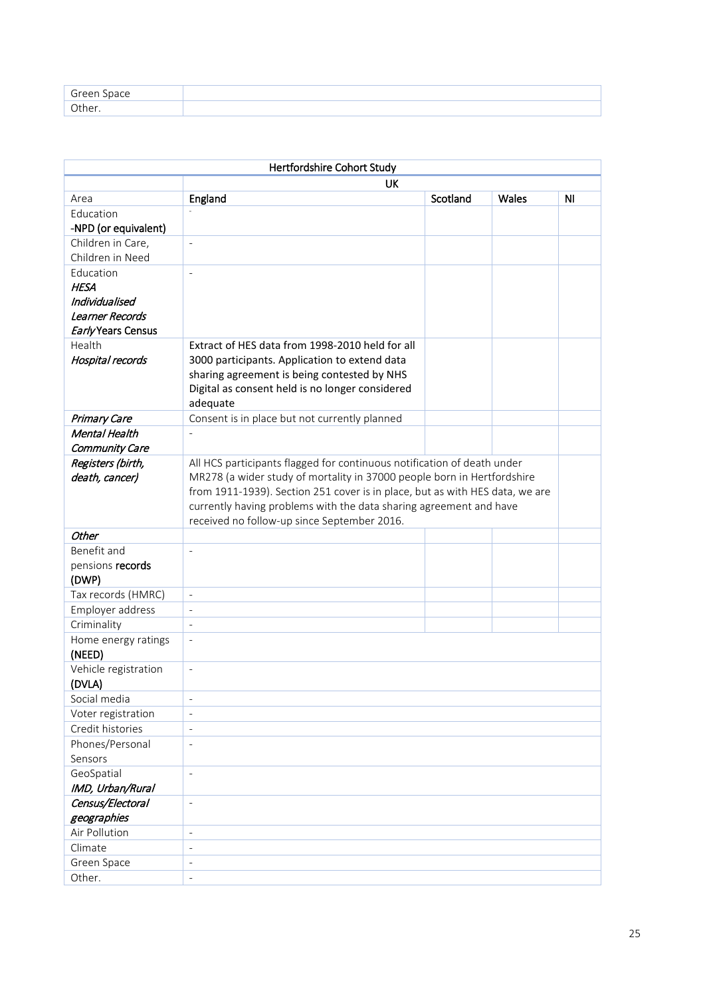| Green Space<br>◡ |  |
|------------------|--|
| Other.           |  |

| Hertfordshire Cohort Study |                                                                              |          |       |                |
|----------------------------|------------------------------------------------------------------------------|----------|-------|----------------|
|                            | <b>UK</b>                                                                    |          |       |                |
| Area                       | England                                                                      | Scotland | Wales | N <sub>1</sub> |
| Education                  |                                                                              |          |       |                |
| -NPD (or equivalent)       |                                                                              |          |       |                |
| Children in Care,          | $\overline{\phantom{a}}$                                                     |          |       |                |
| Children in Need           |                                                                              |          |       |                |
| Education                  | $\frac{1}{2}$                                                                |          |       |                |
| <b>HESA</b>                |                                                                              |          |       |                |
| Individualised             |                                                                              |          |       |                |
| Learner Records            |                                                                              |          |       |                |
| Early Years Census         |                                                                              |          |       |                |
| Health                     | Extract of HES data from 1998-2010 held for all                              |          |       |                |
| Hospital records           | 3000 participants. Application to extend data                                |          |       |                |
|                            | sharing agreement is being contested by NHS                                  |          |       |                |
|                            | Digital as consent held is no longer considered                              |          |       |                |
|                            | adequate                                                                     |          |       |                |
| Primary Care               | Consent is in place but not currently planned                                |          |       |                |
| Mental Health              |                                                                              |          |       |                |
| Community Care             |                                                                              |          |       |                |
| Registers (birth,          | All HCS participants flagged for continuous notification of death under      |          |       |                |
| death, cancer)             | MR278 (a wider study of mortality in 37000 people born in Hertfordshire      |          |       |                |
|                            | from 1911-1939). Section 251 cover is in place, but as with HES data, we are |          |       |                |
|                            | currently having problems with the data sharing agreement and have           |          |       |                |
|                            | received no follow-up since September 2016.                                  |          |       |                |
| <b>Other</b>               |                                                                              |          |       |                |
| Benefit and                | $\overline{a}$                                                               |          |       |                |
| pensions records<br>(DWP)  |                                                                              |          |       |                |
| Tax records (HMRC)         | $\frac{1}{2}$                                                                |          |       |                |
| Employer address           | $\frac{1}{2}$                                                                |          |       |                |
| Criminality                | $\overline{\phantom{0}}$                                                     |          |       |                |
| Home energy ratings        | $\frac{1}{2}$                                                                |          |       |                |
| (NEED)                     |                                                                              |          |       |                |
| Vehicle registration       | $\overline{\phantom{a}}$                                                     |          |       |                |
| (DVLA)                     |                                                                              |          |       |                |
| Social media               | $\frac{1}{2}$                                                                |          |       |                |
| Voter registration         | $\overline{\phantom{0}}$                                                     |          |       |                |
| Credit histories           |                                                                              |          |       |                |
| Phones/Personal            |                                                                              |          |       |                |
| Sensors                    |                                                                              |          |       |                |
| GeoSpatial                 | $\frac{1}{2}$                                                                |          |       |                |
| IMD, Urban/Rural           |                                                                              |          |       |                |
| Census/Electoral           | $\overline{\phantom{a}}$                                                     |          |       |                |
| geographies                |                                                                              |          |       |                |
| Air Pollution              | $\qquad \qquad -$                                                            |          |       |                |
| Climate                    | $\overline{\phantom{a}}$                                                     |          |       |                |
| Green Space                | $\overline{a}$                                                               |          |       |                |
| Other.                     | $\overline{a}$                                                               |          |       |                |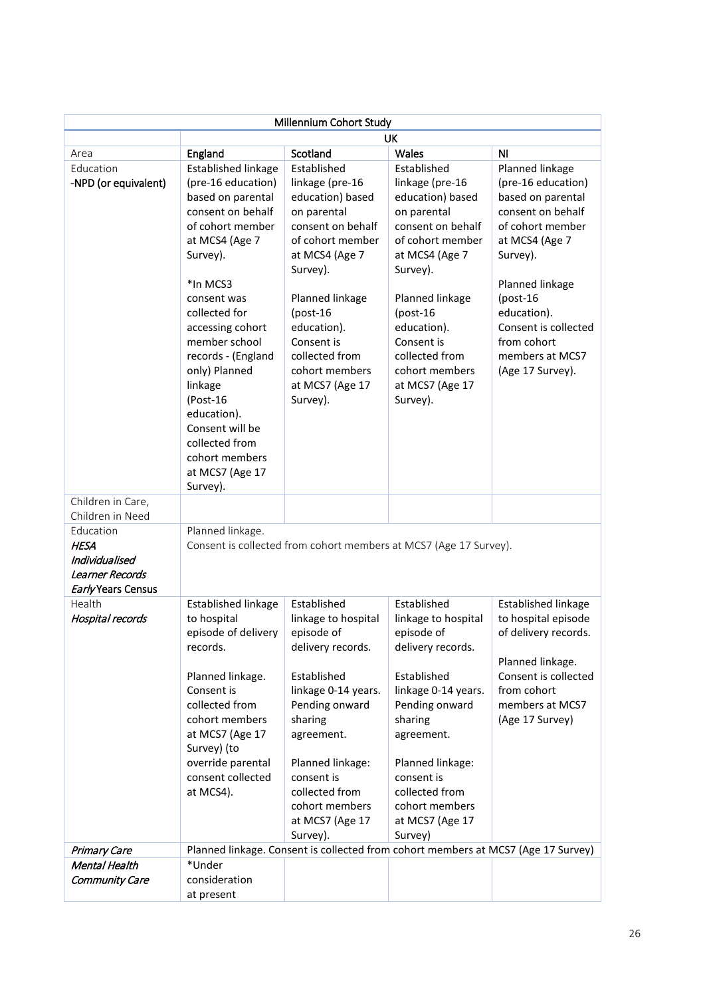| Millennium Cohort Study                                                             |                                                                                                                                                                                                                                                                                                                                                                                           |                                                                                                                                                                                                                                                                            |                                                                                                                                                                                                                                                                            |                                                                                                                                                                                                                                                                  |
|-------------------------------------------------------------------------------------|-------------------------------------------------------------------------------------------------------------------------------------------------------------------------------------------------------------------------------------------------------------------------------------------------------------------------------------------------------------------------------------------|----------------------------------------------------------------------------------------------------------------------------------------------------------------------------------------------------------------------------------------------------------------------------|----------------------------------------------------------------------------------------------------------------------------------------------------------------------------------------------------------------------------------------------------------------------------|------------------------------------------------------------------------------------------------------------------------------------------------------------------------------------------------------------------------------------------------------------------|
|                                                                                     | UK                                                                                                                                                                                                                                                                                                                                                                                        |                                                                                                                                                                                                                                                                            |                                                                                                                                                                                                                                                                            |                                                                                                                                                                                                                                                                  |
| Area                                                                                | England                                                                                                                                                                                                                                                                                                                                                                                   | Scotland                                                                                                                                                                                                                                                                   | Wales                                                                                                                                                                                                                                                                      | N <sub>1</sub>                                                                                                                                                                                                                                                   |
| Education<br>-NPD (or equivalent)                                                   | Established linkage<br>(pre-16 education)<br>based on parental<br>consent on behalf<br>of cohort member<br>at MCS4 (Age 7<br>Survey).<br>*In MCS3<br>consent was<br>collected for<br>accessing cohort<br>member school<br>records - (England<br>only) Planned<br>linkage<br>(Post-16<br>education).<br>Consent will be<br>collected from<br>cohort members<br>at MCS7 (Age 17<br>Survey). | Established<br>linkage (pre-16<br>education) based<br>on parental<br>consent on behalf<br>of cohort member<br>at MCS4 (Age 7<br>Survey).<br>Planned linkage<br>$(post-16)$<br>education).<br>Consent is<br>collected from<br>cohort members<br>at MCS7 (Age 17<br>Survey). | Established<br>linkage (pre-16<br>education) based<br>on parental<br>consent on behalf<br>of cohort member<br>at MCS4 (Age 7<br>Survey).<br>Planned linkage<br>$(post-16)$<br>education).<br>Consent is<br>collected from<br>cohort members<br>at MCS7 (Age 17<br>Survey). | Planned linkage<br>(pre-16 education)<br>based on parental<br>consent on behalf<br>of cohort member<br>at MCS4 (Age 7<br>Survey).<br>Planned linkage<br>$(post-16)$<br>education).<br>Consent is collected<br>from cohort<br>members at MCS7<br>(Age 17 Survey). |
| Children in Care,                                                                   |                                                                                                                                                                                                                                                                                                                                                                                           |                                                                                                                                                                                                                                                                            |                                                                                                                                                                                                                                                                            |                                                                                                                                                                                                                                                                  |
| Children in Need                                                                    |                                                                                                                                                                                                                                                                                                                                                                                           |                                                                                                                                                                                                                                                                            |                                                                                                                                                                                                                                                                            |                                                                                                                                                                                                                                                                  |
| Education<br><b>HESA</b><br>Individualised<br>Learner Records<br>Early Years Census | Planned linkage.                                                                                                                                                                                                                                                                                                                                                                          | Consent is collected from cohort members at MCS7 (Age 17 Survey).                                                                                                                                                                                                          |                                                                                                                                                                                                                                                                            |                                                                                                                                                                                                                                                                  |
| Health<br>Hospital records                                                          | <b>Established linkage</b><br>to hospital<br>episode of delivery<br>records.<br>Planned linkage.<br>Consent is<br>collected from<br>cohort members<br>at MCS7 (Age 17<br>Survey) (to<br>override parental<br>consent collected<br>at MCS4).                                                                                                                                               | Established<br>linkage to hospital<br>episode of<br>delivery records.<br>Established<br>linkage 0-14 years.<br>Pending onward<br>sharing<br>agreement.<br>Planned linkage:<br>consent is<br>collected from<br>cohort members<br>at MCS7 (Age 17<br>Survey).                | Established<br>linkage to hospital<br>episode of<br>delivery records.<br>Established<br>linkage 0-14 years.<br>Pending onward<br>sharing<br>agreement.<br>Planned linkage:<br>consent is<br>collected from<br>cohort members<br>at MCS7 (Age 17<br>Survey)                 | <b>Established linkage</b><br>to hospital episode<br>of delivery records.<br>Planned linkage.<br>Consent is collected<br>from cohort<br>members at MCS7<br>(Age 17 Survey)                                                                                       |
| Primary Care                                                                        |                                                                                                                                                                                                                                                                                                                                                                                           |                                                                                                                                                                                                                                                                            |                                                                                                                                                                                                                                                                            | Planned linkage. Consent is collected from cohort members at MCS7 (Age 17 Survey)                                                                                                                                                                                |
| Mental Health<br>Community Care                                                     | *Under<br>consideration<br>at present                                                                                                                                                                                                                                                                                                                                                     |                                                                                                                                                                                                                                                                            |                                                                                                                                                                                                                                                                            |                                                                                                                                                                                                                                                                  |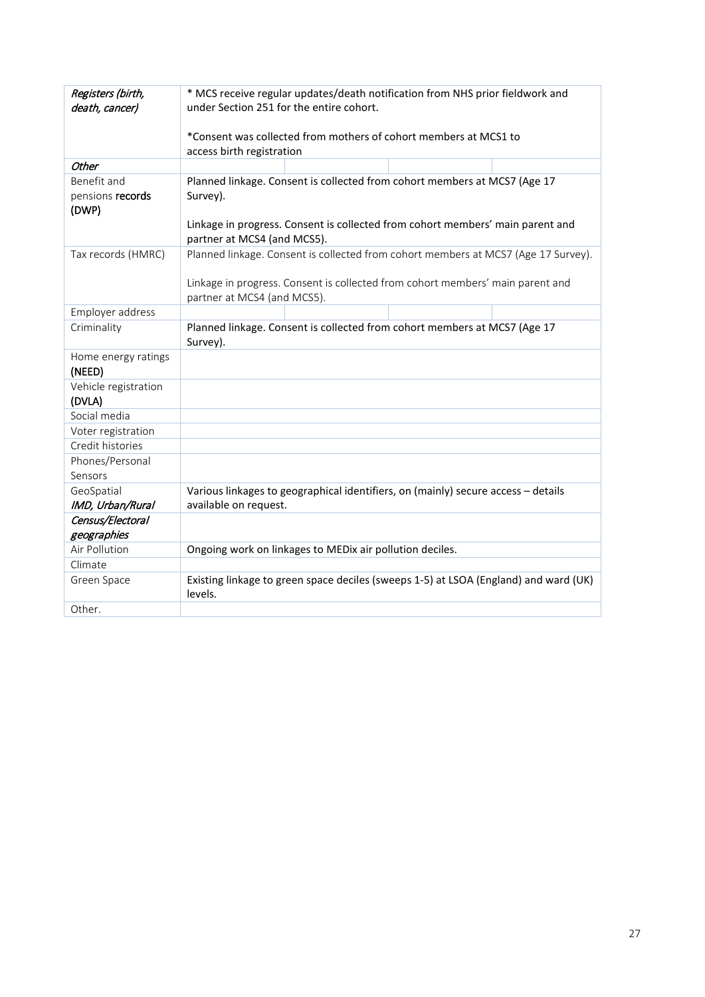| Registers (birth,<br>death, cancer) | * MCS receive regular updates/death notification from NHS prior fieldwork and<br>under Section 251 for the entire cohort. |  |  |
|-------------------------------------|---------------------------------------------------------------------------------------------------------------------------|--|--|
|                                     | *Consent was collected from mothers of cohort members at MCS1 to                                                          |  |  |
|                                     | access birth registration                                                                                                 |  |  |
| Other                               |                                                                                                                           |  |  |
| Benefit and                         | Planned linkage. Consent is collected from cohort members at MCS7 (Age 17                                                 |  |  |
| pensions records<br>(DWP)           | Survey).                                                                                                                  |  |  |
|                                     | Linkage in progress. Consent is collected from cohort members' main parent and<br>partner at MCS4 (and MCS5).             |  |  |
| Tax records (HMRC)                  | Planned linkage. Consent is collected from cohort members at MCS7 (Age 17 Survey).                                        |  |  |
|                                     | Linkage in progress. Consent is collected from cohort members' main parent and<br>partner at MCS4 (and MCS5).             |  |  |
| Employer address                    |                                                                                                                           |  |  |
| Criminality                         | Planned linkage. Consent is collected from cohort members at MCS7 (Age 17<br>Survey).                                     |  |  |
| Home energy ratings<br>(NEED)       |                                                                                                                           |  |  |
| Vehicle registration                |                                                                                                                           |  |  |
| (DVLA)                              |                                                                                                                           |  |  |
| Social media                        |                                                                                                                           |  |  |
| Voter registration                  |                                                                                                                           |  |  |
| Credit histories                    |                                                                                                                           |  |  |
| Phones/Personal                     |                                                                                                                           |  |  |
| Sensors                             |                                                                                                                           |  |  |
| GeoSpatial                          | Various linkages to geographical identifiers, on (mainly) secure access - details                                         |  |  |
| IMD, Urban/Rural                    | available on request.                                                                                                     |  |  |
| Census/Electoral                    |                                                                                                                           |  |  |
| geographies                         |                                                                                                                           |  |  |
| Air Pollution                       | Ongoing work on linkages to MEDix air pollution deciles.                                                                  |  |  |
| Climate                             |                                                                                                                           |  |  |
| Green Space                         | Existing linkage to green space deciles (sweeps 1-5) at LSOA (England) and ward (UK)<br>levels.                           |  |  |
| Other.                              |                                                                                                                           |  |  |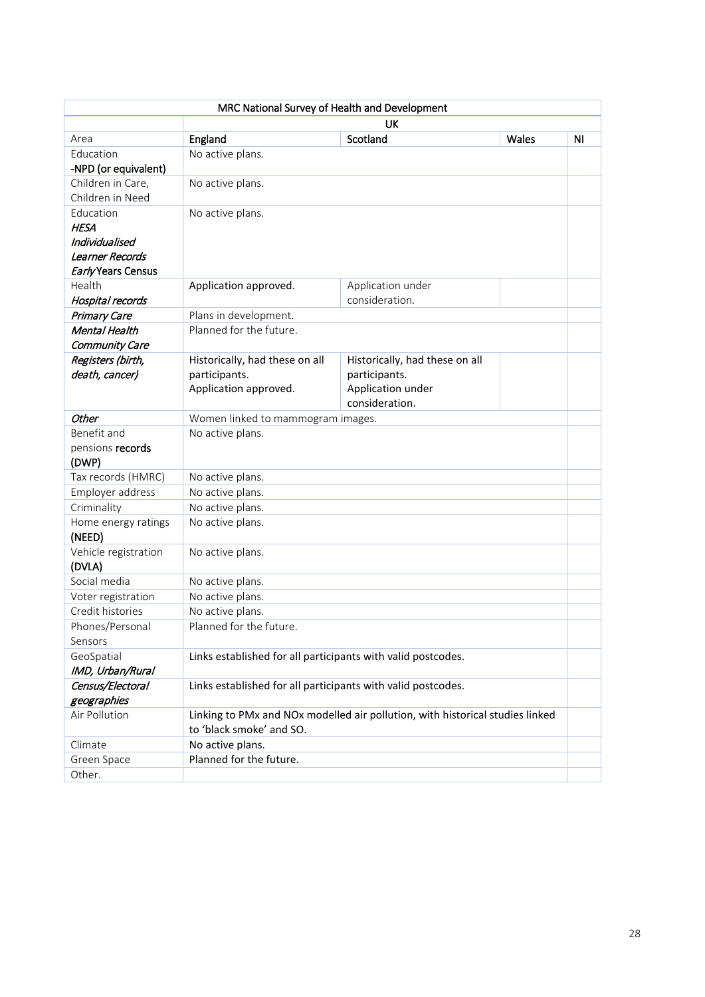| MRC National Survey of Health and Development |                                                              |                                                                               |       |    |
|-----------------------------------------------|--------------------------------------------------------------|-------------------------------------------------------------------------------|-------|----|
|                                               |                                                              | UK                                                                            |       |    |
| Area                                          | England                                                      | Scotland                                                                      | Wales | NI |
| Education                                     | No active plans.                                             |                                                                               |       |    |
| -NPD (or equivalent)                          |                                                              |                                                                               |       |    |
| Children in Care,                             | No active plans.                                             |                                                                               |       |    |
| Children in Need                              |                                                              |                                                                               |       |    |
| Education                                     | No active plans.                                             |                                                                               |       |    |
| <b>HESA</b>                                   |                                                              |                                                                               |       |    |
| Individualised                                |                                                              |                                                                               |       |    |
| Learner Records<br>Early Years Census         |                                                              |                                                                               |       |    |
| Health                                        | Application approved.                                        | Application under                                                             |       |    |
| Hospital records                              |                                                              | consideration.                                                                |       |    |
| Primary Care                                  | Plans in development.                                        |                                                                               |       |    |
| Mental Health                                 | Planned for the future.                                      |                                                                               |       |    |
| Community Care                                |                                                              |                                                                               |       |    |
| Registers (birth,                             | Historically, had these on all                               | Historically, had these on all                                                |       |    |
| death, cancer)                                | participants.                                                | participants.                                                                 |       |    |
|                                               | Application approved.                                        | Application under                                                             |       |    |
|                                               |                                                              | consideration.                                                                |       |    |
| <b>Other</b>                                  | Women linked to mammogram images.                            |                                                                               |       |    |
| Benefit and                                   | No active plans.                                             |                                                                               |       |    |
| pensions records<br>(DWP)                     |                                                              |                                                                               |       |    |
| Tax records (HMRC)                            | No active plans.                                             |                                                                               |       |    |
| Employer address                              | No active plans.                                             |                                                                               |       |    |
| Criminality                                   | No active plans.                                             |                                                                               |       |    |
| Home energy ratings<br>(NEED)                 | No active plans.                                             |                                                                               |       |    |
| Vehicle registration                          | No active plans.                                             |                                                                               |       |    |
| (DVLA)                                        |                                                              |                                                                               |       |    |
| Social media                                  | No active plans.                                             |                                                                               |       |    |
| Voter registration                            | No active plans.                                             |                                                                               |       |    |
| Credit histories                              | No active plans.                                             |                                                                               |       |    |
| Phones/Personal                               | Planned for the future.                                      |                                                                               |       |    |
| Sensors                                       |                                                              |                                                                               |       |    |
| GeoSpatial<br>IMD, Urban/Rural                | Links established for all participants with valid postcodes. |                                                                               |       |    |
| Census/Electoral                              | Links established for all participants with valid postcodes. |                                                                               |       |    |
| geographies                                   |                                                              |                                                                               |       |    |
| Air Pollution                                 |                                                              | Linking to PMx and NOx modelled air pollution, with historical studies linked |       |    |
|                                               | to 'black smoke' and SO.                                     |                                                                               |       |    |
| Climate                                       | No active plans.                                             |                                                                               |       |    |
| Green Space                                   | Planned for the future.                                      |                                                                               |       |    |
| Other.                                        |                                                              |                                                                               |       |    |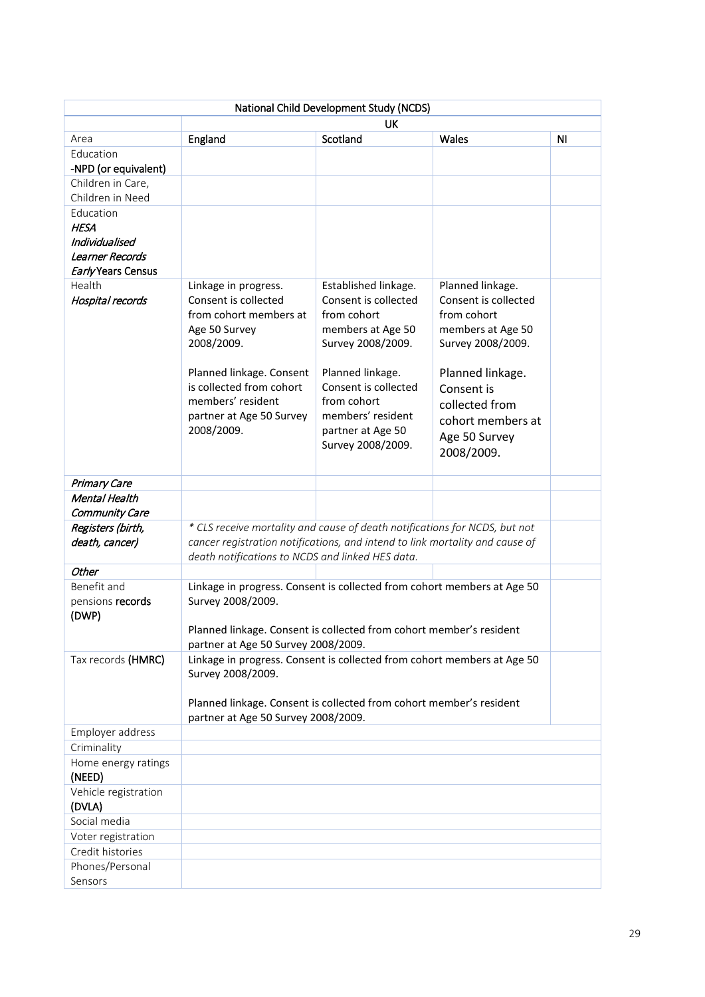| National Child Development Study (NCDS)                                             |                                                                                                                                                                                                            |                                                                                                                                                                                                         |                                                                                                                                                                                       |                |
|-------------------------------------------------------------------------------------|------------------------------------------------------------------------------------------------------------------------------------------------------------------------------------------------------------|---------------------------------------------------------------------------------------------------------------------------------------------------------------------------------------------------------|---------------------------------------------------------------------------------------------------------------------------------------------------------------------------------------|----------------|
|                                                                                     |                                                                                                                                                                                                            | UK                                                                                                                                                                                                      |                                                                                                                                                                                       |                |
| Area                                                                                | England                                                                                                                                                                                                    | Scotland                                                                                                                                                                                                | Wales                                                                                                                                                                                 | N <sub>1</sub> |
| Education                                                                           |                                                                                                                                                                                                            |                                                                                                                                                                                                         |                                                                                                                                                                                       |                |
| -NPD (or equivalent)                                                                |                                                                                                                                                                                                            |                                                                                                                                                                                                         |                                                                                                                                                                                       |                |
| Children in Care,                                                                   |                                                                                                                                                                                                            |                                                                                                                                                                                                         |                                                                                                                                                                                       |                |
| Children in Need                                                                    |                                                                                                                                                                                                            |                                                                                                                                                                                                         |                                                                                                                                                                                       |                |
| Education<br><b>HESA</b><br>Individualised<br>Learner Records<br>Early Years Census |                                                                                                                                                                                                            |                                                                                                                                                                                                         |                                                                                                                                                                                       |                |
| Health                                                                              | Linkage in progress.                                                                                                                                                                                       | Established linkage.                                                                                                                                                                                    | Planned linkage.                                                                                                                                                                      |                |
| Hospital records                                                                    | Consent is collected<br>from cohort members at<br>Age 50 Survey<br>2008/2009.<br>Planned linkage. Consent<br>is collected from cohort<br>members' resident<br>partner at Age 50 Survey<br>2008/2009.       | Consent is collected<br>from cohort<br>members at Age 50<br>Survey 2008/2009.<br>Planned linkage.<br>Consent is collected<br>from cohort<br>members' resident<br>partner at Age 50<br>Survey 2008/2009. | Consent is collected<br>from cohort<br>members at Age 50<br>Survey 2008/2009.<br>Planned linkage.<br>Consent is<br>collected from<br>cohort members at<br>Age 50 Survey<br>2008/2009. |                |
| Primary Care                                                                        |                                                                                                                                                                                                            |                                                                                                                                                                                                         |                                                                                                                                                                                       |                |
| Mental Health                                                                       |                                                                                                                                                                                                            |                                                                                                                                                                                                         |                                                                                                                                                                                       |                |
| Community Care                                                                      |                                                                                                                                                                                                            |                                                                                                                                                                                                         |                                                                                                                                                                                       |                |
| Registers (birth,                                                                   | * CLS receive mortality and cause of death notifications for NCDS, but not                                                                                                                                 |                                                                                                                                                                                                         |                                                                                                                                                                                       |                |
| death, cancer)                                                                      | cancer registration notifications, and intend to link mortality and cause of<br>death notifications to NCDS and linked HES data.                                                                           |                                                                                                                                                                                                         |                                                                                                                                                                                       |                |
| Other                                                                               |                                                                                                                                                                                                            |                                                                                                                                                                                                         |                                                                                                                                                                                       |                |
| Benefit and<br>pensions records<br>(DWP)                                            | Linkage in progress. Consent is collected from cohort members at Age 50<br>Survey 2008/2009.<br>Planned linkage. Consent is collected from cohort member's resident<br>partner at Age 50 Survey 2008/2009. |                                                                                                                                                                                                         |                                                                                                                                                                                       |                |
| Tax records (HMRC)                                                                  | Linkage in progress. Consent is collected from cohort members at Age 50<br>Survey 2008/2009.                                                                                                               |                                                                                                                                                                                                         |                                                                                                                                                                                       |                |
|                                                                                     | Planned linkage. Consent is collected from cohort member's resident<br>partner at Age 50 Survey 2008/2009.                                                                                                 |                                                                                                                                                                                                         |                                                                                                                                                                                       |                |
| Employer address                                                                    |                                                                                                                                                                                                            |                                                                                                                                                                                                         |                                                                                                                                                                                       |                |
| Criminality                                                                         |                                                                                                                                                                                                            |                                                                                                                                                                                                         |                                                                                                                                                                                       |                |
| Home energy ratings<br>(NEED)                                                       |                                                                                                                                                                                                            |                                                                                                                                                                                                         |                                                                                                                                                                                       |                |
| Vehicle registration<br>(DVLA)                                                      |                                                                                                                                                                                                            |                                                                                                                                                                                                         |                                                                                                                                                                                       |                |
| Social media                                                                        |                                                                                                                                                                                                            |                                                                                                                                                                                                         |                                                                                                                                                                                       |                |
| Voter registration                                                                  |                                                                                                                                                                                                            |                                                                                                                                                                                                         |                                                                                                                                                                                       |                |
| Credit histories                                                                    |                                                                                                                                                                                                            |                                                                                                                                                                                                         |                                                                                                                                                                                       |                |
| Phones/Personal<br>Sensors                                                          |                                                                                                                                                                                                            |                                                                                                                                                                                                         |                                                                                                                                                                                       |                |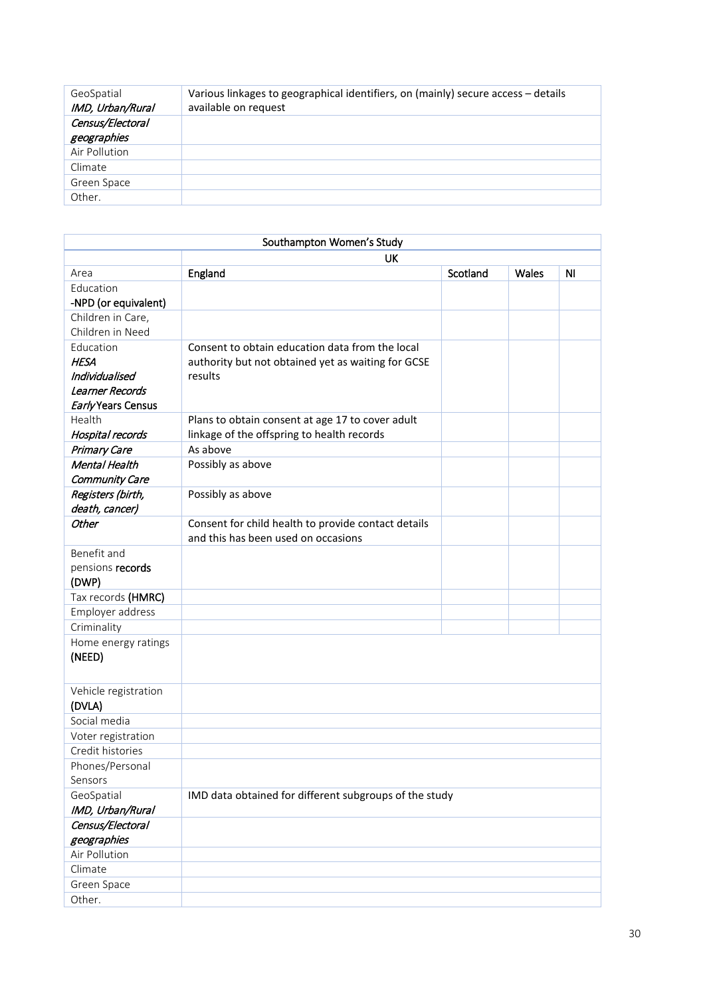| GeoSpatial<br>IMD, Urban/Rural | Various linkages to geographical identifiers, on (mainly) secure access - details<br>available on request |
|--------------------------------|-----------------------------------------------------------------------------------------------------------|
| Census/Electoral               |                                                                                                           |
| geographies                    |                                                                                                           |
| Air Pollution                  |                                                                                                           |
| Climate                        |                                                                                                           |
| Green Space                    |                                                                                                           |
| Other.                         |                                                                                                           |
|                                |                                                                                                           |

|                      | Southampton Women's Study                              |          |       |                |
|----------------------|--------------------------------------------------------|----------|-------|----------------|
|                      | UK                                                     |          |       |                |
| Area                 | England                                                | Scotland | Wales | N <sub>1</sub> |
| Education            |                                                        |          |       |                |
| -NPD (or equivalent) |                                                        |          |       |                |
| Children in Care,    |                                                        |          |       |                |
| Children in Need     |                                                        |          |       |                |
| Education            | Consent to obtain education data from the local        |          |       |                |
| <b>HESA</b>          | authority but not obtained yet as waiting for GCSE     |          |       |                |
| Individualised       | results                                                |          |       |                |
| Learner Records      |                                                        |          |       |                |
| Early Years Census   |                                                        |          |       |                |
| Health               | Plans to obtain consent at age 17 to cover adult       |          |       |                |
| Hospital records     | linkage of the offspring to health records             |          |       |                |
| Primary Care         | As above                                               |          |       |                |
| Mental Health        | Possibly as above                                      |          |       |                |
| Community Care       |                                                        |          |       |                |
| Registers (birth,    | Possibly as above                                      |          |       |                |
| death, cancer)       |                                                        |          |       |                |
| Other                | Consent for child health to provide contact details    |          |       |                |
|                      | and this has been used on occasions                    |          |       |                |
| Benefit and          |                                                        |          |       |                |
| pensions records     |                                                        |          |       |                |
| (DWP)                |                                                        |          |       |                |
| Tax records (HMRC)   |                                                        |          |       |                |
| Employer address     |                                                        |          |       |                |
| Criminality          |                                                        |          |       |                |
| Home energy ratings  |                                                        |          |       |                |
| (NEED)               |                                                        |          |       |                |
|                      |                                                        |          |       |                |
| Vehicle registration |                                                        |          |       |                |
| (DVLA)               |                                                        |          |       |                |
| Social media         |                                                        |          |       |                |
| Voter registration   |                                                        |          |       |                |
| Credit histories     |                                                        |          |       |                |
| Phones/Personal      |                                                        |          |       |                |
| Sensors              |                                                        |          |       |                |
| GeoSpatial           | IMD data obtained for different subgroups of the study |          |       |                |
| IMD, Urban/Rural     |                                                        |          |       |                |
| Census/Electoral     |                                                        |          |       |                |
| geographies          |                                                        |          |       |                |
| Air Pollution        |                                                        |          |       |                |
| Climate              |                                                        |          |       |                |
| Green Space          |                                                        |          |       |                |
| Other.               |                                                        |          |       |                |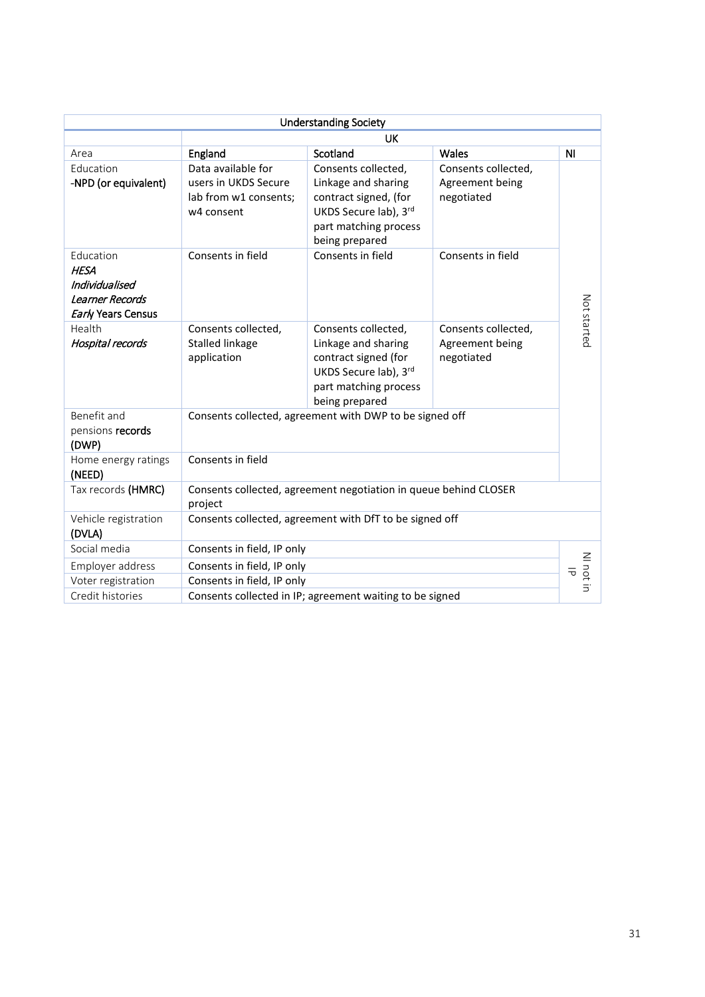|                                                                                     |                                                                                   | <b>Understanding Society</b>                                                                                                            |                                                      |                 |  |  |  |
|-------------------------------------------------------------------------------------|-----------------------------------------------------------------------------------|-----------------------------------------------------------------------------------------------------------------------------------------|------------------------------------------------------|-----------------|--|--|--|
|                                                                                     |                                                                                   | UK                                                                                                                                      |                                                      |                 |  |  |  |
| Area                                                                                | England                                                                           | Scotland                                                                                                                                | Wales                                                | N <sub>l</sub>  |  |  |  |
| Education<br>-NPD (or equivalent)                                                   | Data available for<br>users in UKDS Secure<br>lab from w1 consents;<br>w4 consent | Consents collected,<br>Linkage and sharing<br>contract signed, (for<br>UKDS Secure lab), 3rd<br>part matching process<br>being prepared | Consents collected,<br>Agreement being<br>negotiated |                 |  |  |  |
| Education<br><b>HESA</b><br>Individualised<br>Learner Records<br>Early Years Census | Consents in field                                                                 | Consents in field                                                                                                                       | Consents in field                                    | Not started     |  |  |  |
| Health<br>Hospital records                                                          | Consents collected,<br><b>Stalled linkage</b><br>application                      | Consents collected,<br>Linkage and sharing<br>contract signed (for<br>UKDS Secure lab), 3rd<br>part matching process<br>being prepared  | Consents collected,<br>Agreement being<br>negotiated |                 |  |  |  |
| Benefit and<br>pensions records<br>(DWP)                                            |                                                                                   | Consents collected, agreement with DWP to be signed off                                                                                 |                                                      |                 |  |  |  |
| Home energy ratings<br>(NEED)                                                       | Consents in field                                                                 |                                                                                                                                         |                                                      |                 |  |  |  |
| Tax records (HMRC)                                                                  | project                                                                           | Consents collected, agreement negotiation in queue behind CLOSER                                                                        |                                                      |                 |  |  |  |
| Vehicle registration<br>(DVLA)                                                      |                                                                                   | Consents collected, agreement with DfT to be signed off                                                                                 |                                                      |                 |  |  |  |
| Social media                                                                        | Consents in field, IP only                                                        |                                                                                                                                         |                                                      |                 |  |  |  |
| Employer address                                                                    | Consents in field, IP only                                                        |                                                                                                                                         |                                                      | NI not in<br>᠊ᠯ |  |  |  |
| Voter registration                                                                  | Consents in field, IP only                                                        |                                                                                                                                         |                                                      |                 |  |  |  |
| Credit histories                                                                    |                                                                                   | Consents collected in IP; agreement waiting to be signed                                                                                |                                                      |                 |  |  |  |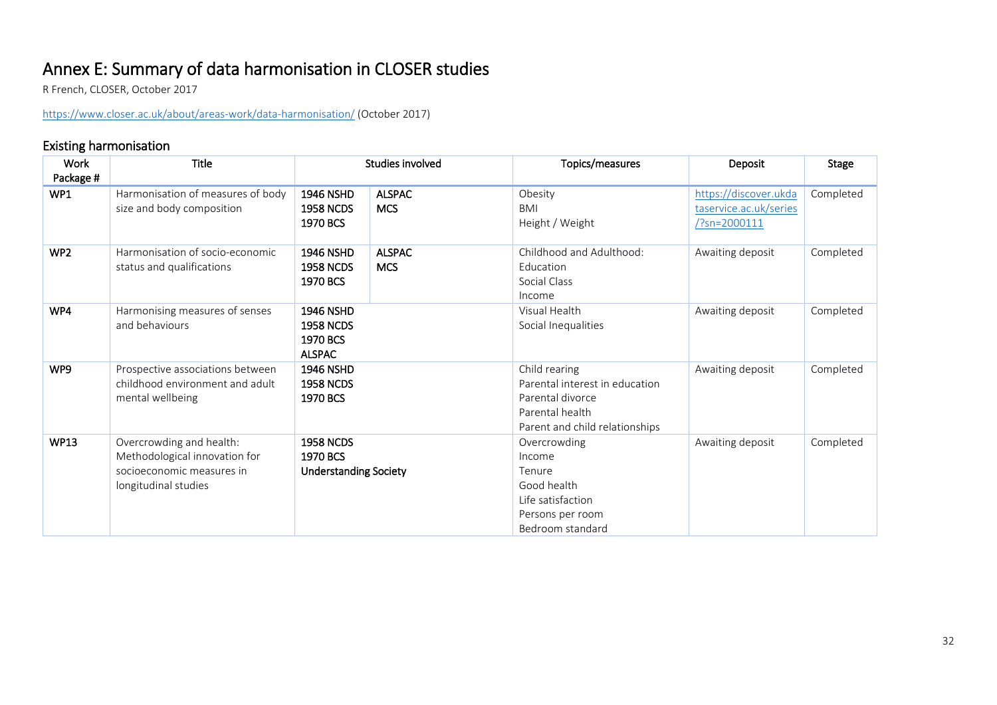# Annex E: Summary of data harmonisation in CLOSER studies R French, CLOSER, October 2017

<https://www.closer.ac.uk/about/areas-work/data-harmonisation/> (October 2017)

# Existing harmonisation

<span id="page-31-0"></span>

| Work            | Title                                                                                                          | Studies involved                                                  |                             | Topics/measures                                                                                                          | Deposit                                                                     | <b>Stage</b> |
|-----------------|----------------------------------------------------------------------------------------------------------------|-------------------------------------------------------------------|-----------------------------|--------------------------------------------------------------------------------------------------------------------------|-----------------------------------------------------------------------------|--------------|
| Package #       |                                                                                                                |                                                                   |                             |                                                                                                                          |                                                                             |              |
| WP1             | Harmonisation of measures of body<br>size and body composition                                                 | <b>1946 NSHD</b><br><b>1958 NCDS</b><br>1970 BCS                  | <b>ALSPAC</b><br><b>MCS</b> | Obesity<br>BMI<br>Height / Weight                                                                                        | https://discover.ukda<br>taservice.ac.uk/series<br>$\frac{7}{2}$ sn=2000111 | Completed    |
| WP <sub>2</sub> | Harmonisation of socio-economic<br>status and qualifications                                                   | <b>1946 NSHD</b><br><b>1958 NCDS</b><br>1970 BCS                  | <b>ALSPAC</b><br><b>MCS</b> | Childhood and Adulthood:<br>Education<br>Social Class<br>Income                                                          | Awaiting deposit                                                            | Completed    |
| WP4             | Harmonising measures of senses<br>and behaviours                                                               | <b>1946 NSHD</b><br><b>1958 NCDS</b><br>1970 BCS<br><b>ALSPAC</b> |                             | Visual Health<br>Social Inequalities                                                                                     | Awaiting deposit                                                            | Completed    |
| WP9             | Prospective associations between<br>childhood environment and adult<br>mental wellbeing                        | <b>1946 NSHD</b><br><b>1958 NCDS</b><br>1970 BCS                  |                             | Child rearing<br>Parental interest in education<br>Parental divorce<br>Parental health<br>Parent and child relationships | Awaiting deposit                                                            | Completed    |
| <b>WP13</b>     | Overcrowding and health:<br>Methodological innovation for<br>socioeconomic measures in<br>longitudinal studies | <b>1958 NCDS</b><br>1970 BCS<br><b>Understanding Society</b>      |                             | Overcrowding<br>Income<br>Tenure<br>Good health<br>Life satisfaction<br>Persons per room<br>Bedroom standard             | Awaiting deposit                                                            | Completed    |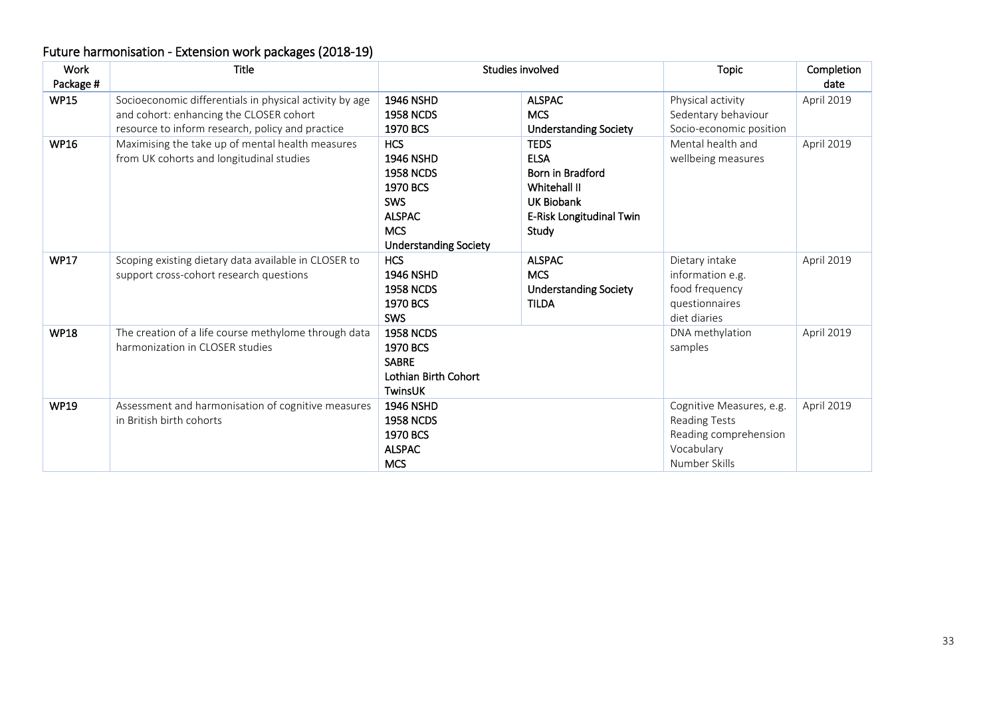# Future harmonisation - Extension work packages (2018-19)

| Work        | <b>Title</b>                                            | Studies involved             |                              | <b>Topic</b>             | Completion |
|-------------|---------------------------------------------------------|------------------------------|------------------------------|--------------------------|------------|
| Package #   |                                                         |                              |                              |                          | date       |
| <b>WP15</b> | Socioeconomic differentials in physical activity by age | <b>1946 NSHD</b>             | <b>ALSPAC</b>                | Physical activity        | April 2019 |
|             | and cohort: enhancing the CLOSER cohort                 | <b>1958 NCDS</b>             | <b>MCS</b>                   | Sedentary behaviour      |            |
|             | resource to inform research, policy and practice        | 1970 BCS                     | <b>Understanding Society</b> | Socio-economic position  |            |
| <b>WP16</b> | Maximising the take up of mental health measures        | <b>HCS</b>                   | <b>TEDS</b>                  | Mental health and        | April 2019 |
|             | from UK cohorts and longitudinal studies                | <b>1946 NSHD</b>             | <b>ELSA</b>                  | wellbeing measures       |            |
|             |                                                         | <b>1958 NCDS</b>             | Born in Bradford             |                          |            |
|             |                                                         | 1970 BCS                     | Whitehall II                 |                          |            |
|             |                                                         | <b>SWS</b>                   | <b>UK Biobank</b>            |                          |            |
|             |                                                         | <b>ALSPAC</b>                | E-Risk Longitudinal Twin     |                          |            |
|             |                                                         | <b>MCS</b>                   | Study                        |                          |            |
|             |                                                         | <b>Understanding Society</b> |                              |                          |            |
| <b>WP17</b> | Scoping existing dietary data available in CLOSER to    | <b>HCS</b>                   | <b>ALSPAC</b>                | Dietary intake           | April 2019 |
|             | support cross-cohort research questions                 | <b>1946 NSHD</b>             | <b>MCS</b>                   | information e.g.         |            |
|             |                                                         | <b>1958 NCDS</b>             | <b>Understanding Society</b> | food frequency           |            |
|             |                                                         | 1970 BCS                     | <b>TILDA</b>                 | questionnaires           |            |
|             |                                                         | SWS                          |                              | diet diaries             |            |
| <b>WP18</b> | The creation of a life course methylome through data    | <b>1958 NCDS</b>             |                              | DNA methylation          | April 2019 |
|             | harmonization in CLOSER studies                         | 1970 BCS                     |                              | samples                  |            |
|             |                                                         | <b>SABRE</b>                 |                              |                          |            |
|             |                                                         | Lothian Birth Cohort         |                              |                          |            |
|             |                                                         | <b>TwinsUK</b>               |                              |                          |            |
| <b>WP19</b> | Assessment and harmonisation of cognitive measures      | <b>1946 NSHD</b>             |                              | Cognitive Measures, e.g. | April 2019 |
|             | in British birth cohorts                                | <b>1958 NCDS</b>             |                              | Reading Tests            |            |
|             |                                                         | 1970 BCS                     |                              | Reading comprehension    |            |
|             |                                                         | <b>ALSPAC</b>                |                              | Vocabulary               |            |
|             |                                                         | <b>MCS</b>                   |                              | Number Skills            |            |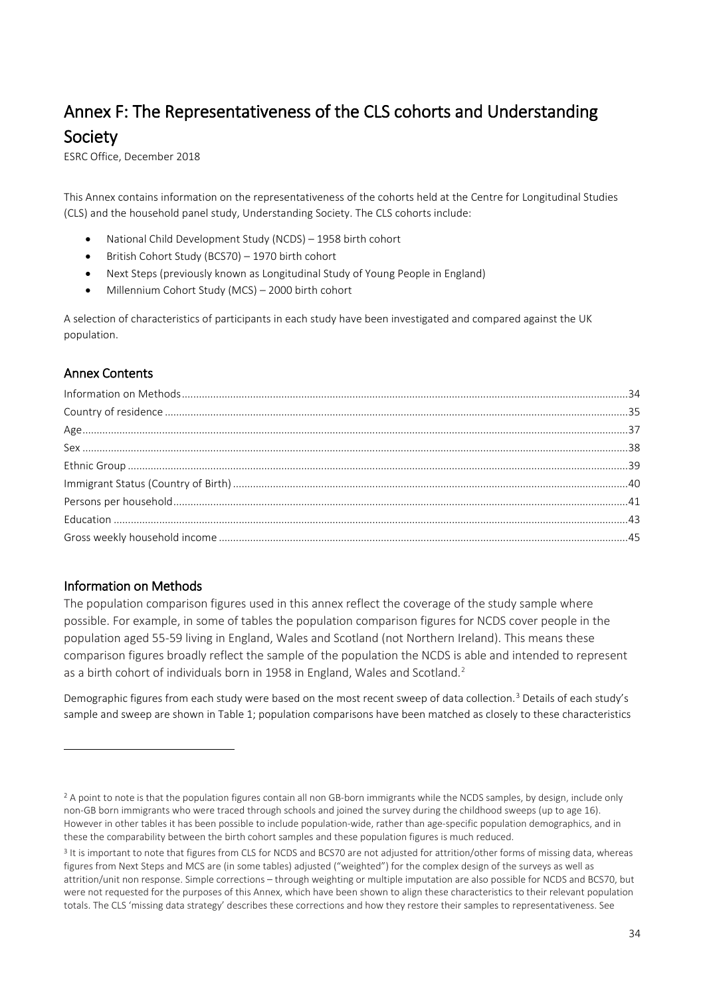# <span id="page-33-0"></span>Annex F: The Representativeness of the CLS cohorts and Understanding **Society**<br>ESRC Office, December 2018

This Annex contains information on the representativeness of the cohorts held at the Centre for Longitudinal Studies (CLS) and the household panel study, Understanding Society. The CLS cohorts include:

- National Child Development Study (NCDS) 1958 birth cohort
- British Cohort Study (BCS70) 1970 birth cohort
- Next Steps (previously known as Longitudinal Study of Young People in England)
- Millennium Cohort Study (MCS) 2000 birth cohort

A selection of characteristics of participants in each study have been investigated and compared against the UK population.

# Annex Contents

# <span id="page-33-1"></span>Information on Methods

1

The population comparison figures used in this annex reflect the coverage of the study sample where possible. For example, in some of tables the population comparison figures for NCDS cover people in the population aged 55-59 living in England, Wales and Scotland (not Northern Ireland). This means these comparison figures broadly reflect the sample of the population the NCDS is able and intended to represent as a birth cohort of individuals born in 1958 in England, Wales and Scotland.<sup>[2](#page-33-2)</sup>

Demographic figures from each study were based on the most recent sweep of data collection.[3](#page-33-3) Details of each study's sample and sweep are shown in Table 1; population comparisons have been matched as closely to these characteristics

<span id="page-33-2"></span><sup>&</sup>lt;sup>2</sup> A point to note is that the population figures contain all non GB-born immigrants while the NCDS samples, by design, include only non-GB born immigrants who were traced through schools and joined the survey during the childhood sweeps (up to age 16). However in other tables it has been possible to include population-wide, rather than age-specific population demographics, and in these the comparability between the birth cohort samples and these population figures is much reduced.

<span id="page-33-3"></span><sup>&</sup>lt;sup>3</sup> It is important to note that figures from CLS for NCDS and BCS70 are not adjusted for attrition/other forms of missing data, whereas figures from Next Steps and MCS are (in some tables) adjusted ("weighted") for the complex design of the surveys as well as attrition/unit non response. Simple corrections – through weighting or multiple imputation are also possible for NCDS and BCS70, but were not requested for the purposes of this Annex, which have been shown to align these characteristics to their relevant population totals. The CLS 'missing data strategy' describes these corrections and how they restore their samples to representativeness. See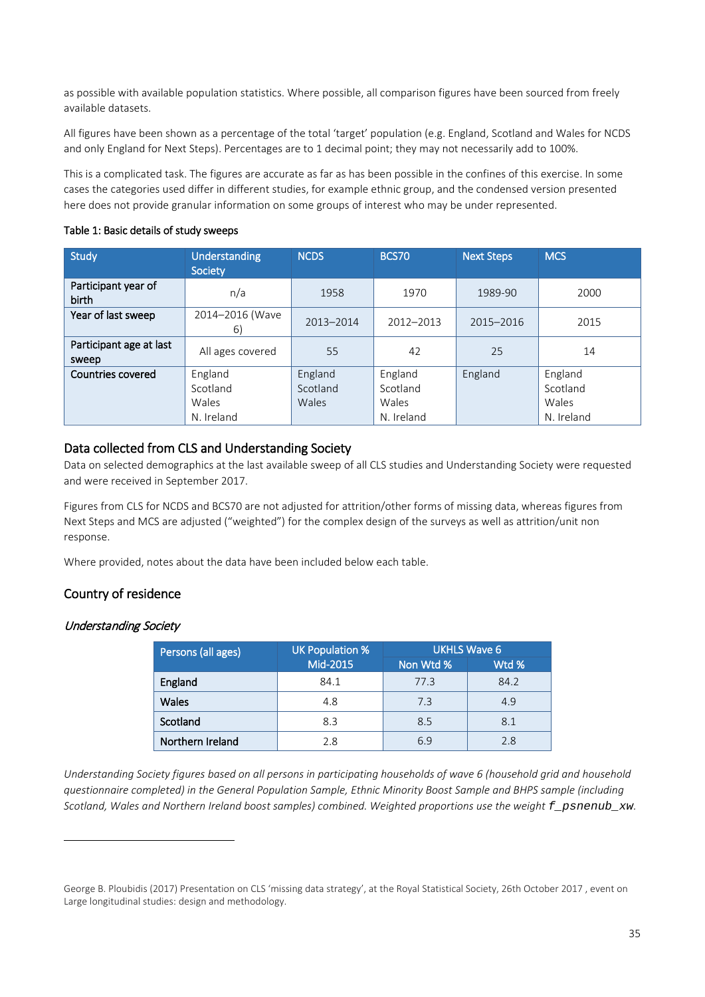as possible with available population statistics. Where possible, all comparison figures have been sourced from freely available datasets.

All figures have been shown as a percentage of the total 'target' population (e.g. England, Scotland and Wales for NCDS and only England for Next Steps). Percentages are to 1 decimal point; they may not necessarily add to 100%.

This is a complicated task. The figures are accurate as far as has been possible in the confines of this exercise. In some cases the categories used differ in different studies, for example ethnic group, and the condensed version presented here does not provide granular information on some groups of interest who may be under represented.

#### Table 1: Basic details of study sweeps

| Study                            | <b>Understanding</b><br>Society            | <b>NCDS</b>                  | <b>BCS70</b>                               | <b>Next Steps</b> | <b>MCS</b>                                 |
|----------------------------------|--------------------------------------------|------------------------------|--------------------------------------------|-------------------|--------------------------------------------|
| Participant year of<br>birth     | n/a                                        | 1958                         | 1970                                       | 1989-90           | 2000                                       |
| Year of last sweep               | 2014-2016 (Wave<br>6)                      | 2013-2014                    | 2012-2013                                  | 2015-2016         | 2015                                       |
| Participant age at last<br>sweep | All ages covered                           | 55                           | 42                                         | 25                | 14                                         |
| Countries covered                | England<br>Scotland<br>Wales<br>N. Ireland | England<br>Scotland<br>Wales | England<br>Scotland<br>Wales<br>N. Ireland | England           | England<br>Scotland<br>Wales<br>N. Ireland |

# Data collected from CLS and Understanding Society

Data on selected demographics at the last available sweep of all CLS studies and Understanding Society were requested and were received in September 2017.

Figures from CLS for NCDS and BCS70 are not adjusted for attrition/other forms of missing data, whereas figures from Next Steps and MCS are adjusted ("weighted") for the complex design of the surveys as well as attrition/unit non response.

Where provided, notes about the data have been included below each table.

# <span id="page-34-0"></span>Country of residence

#### Understanding Society

1

| Persons (all ages) | <b>UK Population %</b> | UKHLS Wave 6 |       |  |  |
|--------------------|------------------------|--------------|-------|--|--|
|                    | Mid-2015               | Non Wtd %    | Wtd % |  |  |
| England            | 84.1                   | 77.3         | 84.2  |  |  |
| Wales              | 4.8                    | 7.3          | 4.9   |  |  |
| Scotland           | 8.3                    | 8.5          | 8.1   |  |  |
| Northern Ireland   | 2.8                    | 6.9          | 2.8   |  |  |

*Understanding Society figures based on all persons in participating households of wave 6 (household grid and household questionnaire completed) in the General Population Sample, Ethnic Minority Boost Sample and BHPS sample (including Scotland, Wales and Northern Ireland boost samples) combined. Weighted proportions use the weight f\_psnenub\_xw.*

George B. Ploubidis (2017) Presentation on CLS 'missing data strategy', at the Royal Statistical Society, 26th October 2017 , event on Large longitudinal studies: design and methodology.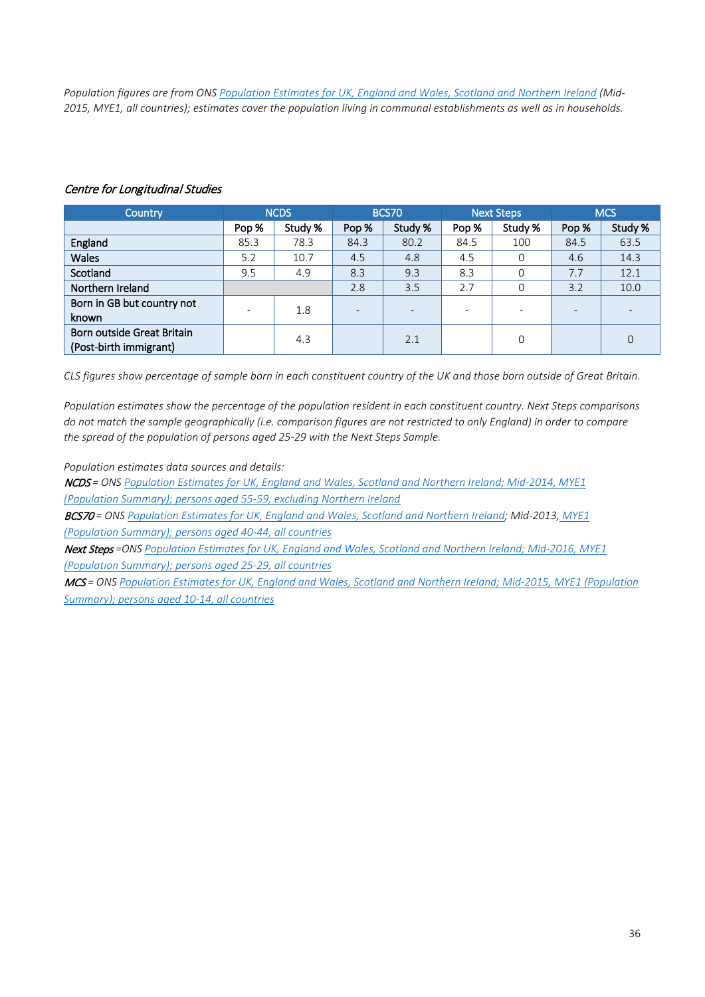*Population figures are from ON[S Population Estimates for UK, England and Wales, Scotland and Northern Ireland](https://www.ons.gov.uk/peoplepopulationandcommunity/populationandmigration/populationestimates/datasets/populationestimatesforukenglandandwalesscotlandandnorthernireland) (Mid-2015, MYE1, all countries); estimates cover the population living in communal establishments as well as in households.* 

| Country                                              |       | <b>NCDS</b> |                          | <b>BCS70</b> |       | Next Steps |       | <b>MCS</b> |
|------------------------------------------------------|-------|-------------|--------------------------|--------------|-------|------------|-------|------------|
|                                                      | Pop % | Study %     | Pop %                    | Study %      | Pop % | Study %    | Pop % | Study %    |
| England                                              | 85.3  | 78.3        | 84.3                     | 80.2         | 84.5  | 100        | 84.5  | 63.5       |
| <b>Wales</b>                                         | 5.2   | 10.7        | 4.5                      | 4.8          | 4.5   | 0          | 4.6   | 14.3       |
| Scotland                                             | 9.5   | 4.9         | 8.3                      | 9.3          | 8.3   |            | 7.7   | 12.1       |
| Northern Ireland                                     |       |             | 2.8                      | 3.5          | 2.7   | $\Omega$   | 3.2   | 10.0       |
| Born in GB but country not<br>known                  |       | 1.8         | $\overline{\phantom{0}}$ |              |       |            |       |            |
| Born outside Great Britain<br>(Post-birth immigrant) |       | 4.3         |                          | 2.1          |       | $\Omega$   |       | 0          |

#### Centre for Longitudinal Studies

*CLS figures show percentage of sample born in each constituent country of the UK and those born outside of Great Britain.* 

*Population estimates show the percentage of the population resident in each constituent country. Next Steps comparisons do not match the sample geographically (i.e. comparison figures are not restricted to only England) in order to compare the spread of the population of persons aged 25-29 with the Next Steps Sample.* 

*Population estimates data sources and details:*

NCDS *= ONS Population Estimates for UK, England [and Wales, Scotland and Northern Ireland;](https://www.ons.gov.uk/peoplepopulationandcommunity/populationandmigration/populationestimates/datasets/populationestimatesforukenglandandwalesscotlandandnorthernireland) Mid-2014, MYE1 (Population Summary); persons aged 55-59, excluding Northern Ireland*

BCS70 *= ONS [Population Estimates for UK, England and Wales, Scotland and Northern Ireland;](https://www.ons.gov.uk/peoplepopulationandcommunity/populationandmigration/populationestimates/datasets/populationestimatesforukenglandandwalesscotlandandnorthernireland) Mid-2013, MYE1 (Population Summary); persons aged 40-44, all countries*

Next Steps *=ONS [Population Estimates for UK, England and Wales, Scotland and Northern Ireland;](https://www.ons.gov.uk/peoplepopulationandcommunity/populationandmigration/populationestimates/datasets/populationestimatesforukenglandandwalesscotlandandnorthernireland) Mid-2016, MYE1 (Population Summary); persons aged 25-29, all countries*

<span id="page-35-0"></span>MCS *= ONS [Population Estimates for UK, England and Wales, Scotland and Northern Ireland;](https://www.ons.gov.uk/peoplepopulationandcommunity/populationandmigration/populationestimates/datasets/populationestimatesforukenglandandwalesscotlandandnorthernireland) Mid-2015, MYE1 (Population Summary); persons aged 10-14, all countries*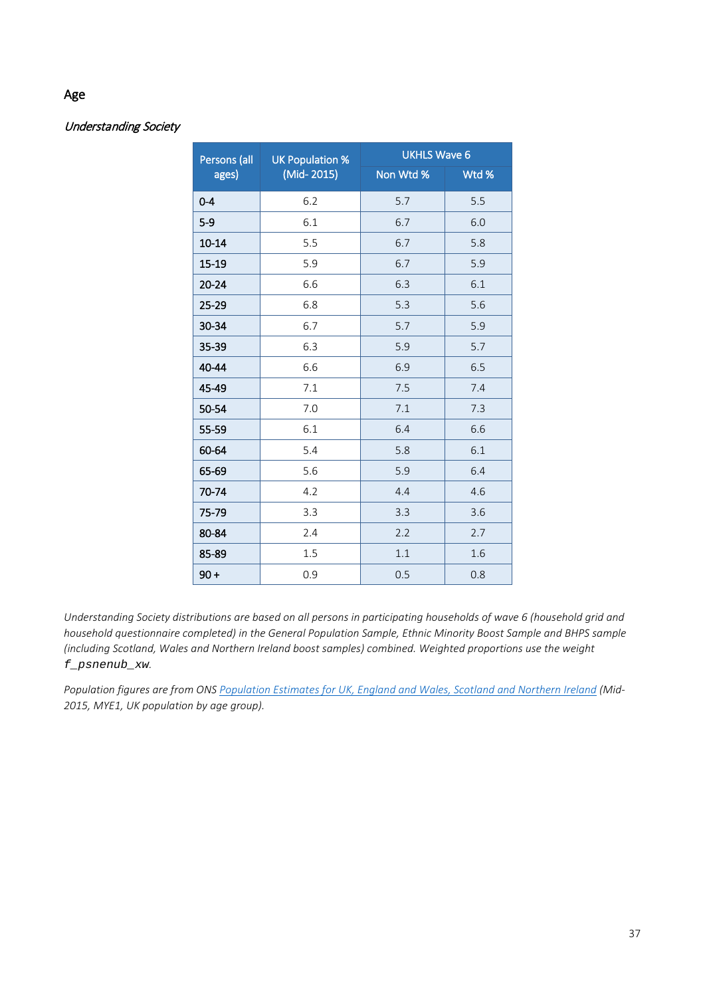# Age

# Understanding Society

| Persons (all | <b>UK Population %</b> | <b>UKHLS Wave 6</b> |       |  |  |
|--------------|------------------------|---------------------|-------|--|--|
| ages)        | (Mid-2015)             | Non Wtd %           | Wtd % |  |  |
| $0 - 4$      | 6.2                    | 5.7                 | 5.5   |  |  |
| $5-9$        | 6.1                    | 6.7                 | 6.0   |  |  |
| $10 - 14$    | 5.5                    | 6.7                 | 5.8   |  |  |
| 15-19        | 5.9                    | 6.7                 | 5.9   |  |  |
| $20 - 24$    | 6.6                    | 6.3                 | 6.1   |  |  |
| 25-29        | 6.8                    | 5.3                 | 5.6   |  |  |
| 30-34        | 6.7                    | 5.7                 | 5.9   |  |  |
| 35-39        | 6.3                    | 5.9                 | 5.7   |  |  |
| 40-44        | 6.6                    | 6.9                 | 6.5   |  |  |
| 45-49        | 7.1                    | 7.5                 | 7.4   |  |  |
| 50-54        | 7.0                    | 7.1                 | 7.3   |  |  |
| 55-59        | 6.1                    | 6.4                 | 6.6   |  |  |
| 60-64        | 5.4                    | 5.8                 | 6.1   |  |  |
| 65-69        | 5.6                    | 5.9                 | 6.4   |  |  |
| 70-74        | 4.2                    | 4.4                 | 4.6   |  |  |
| 75-79        | 3.3                    | 3.3                 | 3.6   |  |  |
| 80-84        | 2.4                    | 2.2                 | 2.7   |  |  |
| 85-89        | 1.5                    | 1.1                 | 1.6   |  |  |
| $90 +$       | 0.9                    | 0.5                 | 0.8   |  |  |

*Understanding Society distributions are based on all persons in participating households of wave 6 (household grid and household questionnaire completed) in the General Population Sample, Ethnic Minority Boost Sample and BHPS sample (including Scotland, Wales and Northern Ireland boost samples) combined. Weighted proportions use the weight f\_psnenub\_xw.*

*Population figures are from ON[S Population Estimates for UK, England and Wales, Scotland and Northern Ireland](https://www.ons.gov.uk/peoplepopulationandcommunity/populationandmigration/populationestimates/datasets/populationestimatesforukenglandandwalesscotlandandnorthernireland) (Mid-2015, MYE1, UK population by age group).*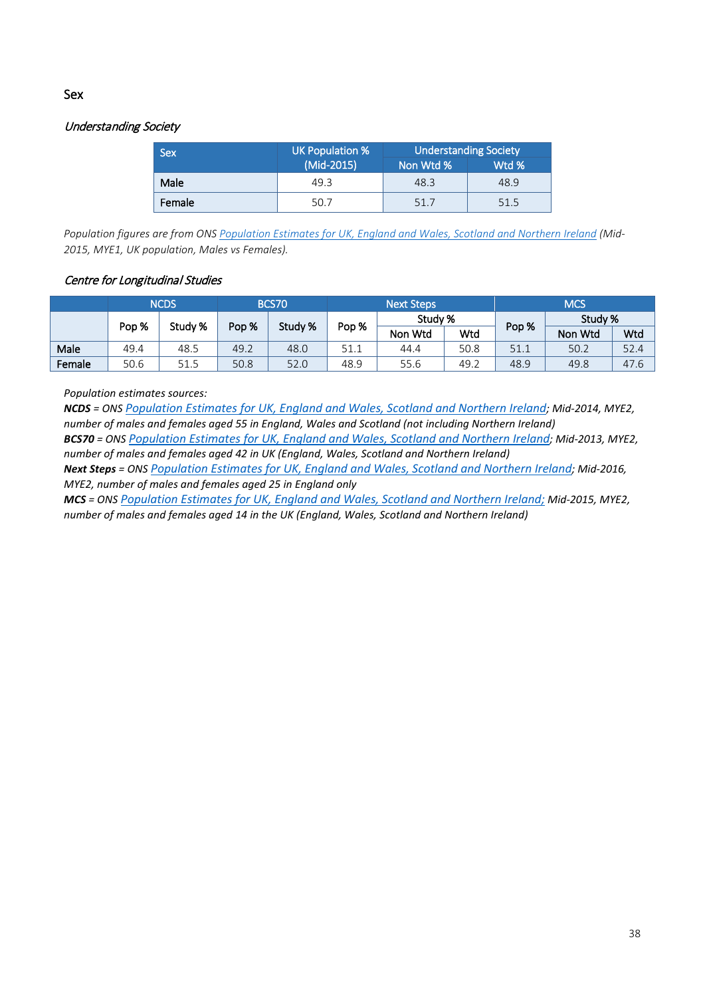# <span id="page-37-0"></span>Sex

### Understanding Society

| <b>Sex</b> | UK Population % | <b>Understanding Society</b> |       |  |
|------------|-----------------|------------------------------|-------|--|
|            | (Mid-2015)      | Non Wtd %                    | Wtd % |  |
| Male       | 49.3            | 48.3                         | 48.9  |  |
| Female     | 50.7            | 51.7                         | 51.5  |  |

*Population figures are from ON[S Population Estimates for UK, England and Wales, Scotland and Northern Ireland](https://www.ons.gov.uk/peoplepopulationandcommunity/populationandmigration/populationestimates/datasets/populationestimatesforukenglandandwalesscotlandandnorthernireland) (Mid-2015, MYE1, UK population, Males vs Females).*

#### Centre for Longitudinal Studies

|        | <b>NCDS</b> |         | <b>BCS70</b> |         | <b>Next Steps</b> |         |      | <b>MCS</b> |         |      |
|--------|-------------|---------|--------------|---------|-------------------|---------|------|------------|---------|------|
|        |             |         |              |         |                   | Study % |      |            | Study % |      |
|        | Pop %       | Study % | Pop %        | Study % | Pop %             | Non Wtd | Wtd  | Pop %      | Non Wtd | Wtd  |
| Male   | 49.4        | 48.5    | 49.2         | 48.0    | J 1. 1            | 44.4    | 50.8 | 51.1       | 50.2    | 52.4 |
| Female | 50.6        | 51.5    | 50.8         | 52.0    | 48.9              | 55.6    | 49.2 | 48.9       | 49.8    | 47.6 |

*Population estimates sources:*

*NCDS = ONS [Population Estimates for UK, England and Wales, Scotland and Northern Ireland;](https://www.ons.gov.uk/peoplepopulationandcommunity/populationandmigration/populationestimates/datasets/populationestimatesforukenglandandwalesscotlandandnorthernireland) Mid-2014, MYE2, number of males and females aged 55 in England, Wales and Scotland (not including Northern Ireland) BCS70 = ONS [Population Estimates for UK, England and Wales, Scotland and Northern Ireland;](https://www.ons.gov.uk/peoplepopulationandcommunity/populationandmigration/populationestimates/datasets/populationestimatesforukenglandandwalesscotlandandnorthernireland) Mid-2013, MYE2,* 

*number of males and females aged 42 in UK (England, Wales, Scotland and Northern Ireland)*

*Next Steps = ONS [Population Estimates for UK, England and Wales, Scotland and Northern Ireland;](https://www.ons.gov.uk/peoplepopulationandcommunity/populationandmigration/populationestimates/datasets/populationestimatesforukenglandandwalesscotlandandnorthernireland) Mid-2016, MYE2, number of males and females aged 25 in England only*

*MCS = ONS [Population Estimates for UK, England and Wales, Scotland and Northern Ireland;](https://www.ons.gov.uk/peoplepopulationandcommunity/populationandmigration/populationestimates/datasets/populationestimatesforukenglandandwalesscotlandandnorthernireland) Mid-2015, MYE2, number of males and females aged 14 in the UK (England, Wales, Scotland and Northern Ireland)*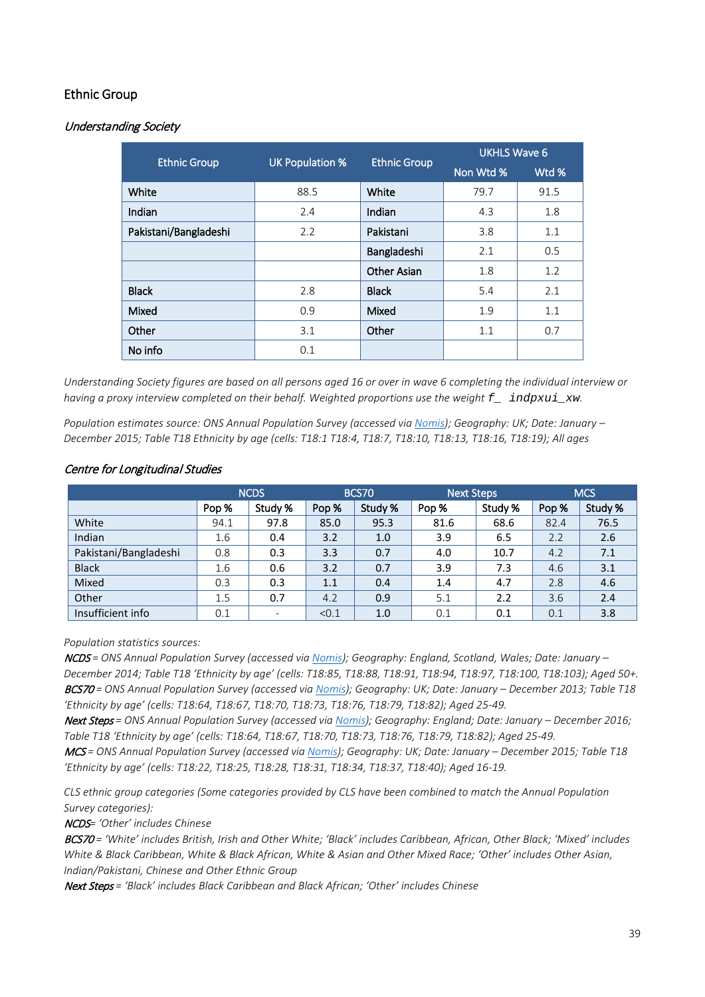# <span id="page-38-0"></span>Ethnic Group

# Understanding Society

|                       |                        |                     | <b>UKHLS Wave 6</b> |       |  |
|-----------------------|------------------------|---------------------|---------------------|-------|--|
| <b>Ethnic Group</b>   | <b>UK Population %</b> | <b>Ethnic Group</b> | Non Wtd %           | Wtd % |  |
| White                 | 88.5                   | White               | 79.7                | 91.5  |  |
| Indian                | 2.4                    | Indian              | 4.3                 | 1.8   |  |
| Pakistani/Bangladeshi | 2.2                    | Pakistani           | 3.8                 | 1.1   |  |
|                       |                        | Bangladeshi         | 2.1                 | 0.5   |  |
|                       |                        | <b>Other Asian</b>  | 1.8                 | 1.2   |  |
| <b>Black</b>          | 2.8                    | <b>Black</b>        | 5.4                 | 2.1   |  |
| Mixed                 | 0.9                    | Mixed               | 1.9                 | 1.1   |  |
| Other                 | 3.1                    | Other               | 1.1                 | 0.7   |  |
| No info               | 0.1                    |                     |                     |       |  |

*Understanding Society figures are based on all persons aged 16 or over in wave 6 completing the individual interview or having a proxy interview completed on their behalf. Weighted proportions use the weight f\_ indpxui\_xw.*

*Population estimates source: ONS Annual Population Survey (accessed vi[a Nomis\)](https://www.nomisweb.co.uk/); Geography: UK; Date: January – December 2015; Table T18 Ethnicity by age (cells: T18:1 T18:4, T18:7, T18:10, T18:13, T18:16, T18:19); All ages*

|                       | <b>NCDS</b>      |         | <b>BCS70</b> |         | <b>Next Steps</b> |         | <b>MCS</b> |         |
|-----------------------|------------------|---------|--------------|---------|-------------------|---------|------------|---------|
|                       | Pop <sup>%</sup> | Study % | Pop %        | Study % | Pop %             | Study % | Pop %      | Study % |
| White                 | 94.1             | 97.8    | 85.0         | 95.3    | 81.6              | 68.6    | 82.4       | 76.5    |
| Indian                | 1.6              | 0.4     | 3.2          | 1.0     | 3.9               | 6.5     | 2.2        | 2.6     |
| Pakistani/Bangladeshi | 0.8              | 0.3     | 3.3          | 0.7     | 4.0               | 10.7    | 4.2        | 7.1     |
| <b>Black</b>          | 1.6              | 0.6     | 3.2          | 0.7     | 3.9               | 7.3     | 4.6        | 3.1     |
| Mixed                 | 0.3              | 0.3     | 1.1          | 0.4     | 1.4               | 4.7     | 2.8        | 4.6     |
| Other                 | 1.5              | 0.7     | 4.2          | 0.9     | 5.1               | 2.2     | 3.6        | 2.4     |
| Insufficient info     | 0.1              |         | < 0.1        | 1.0     | 0.1               | 0.1     | 0.1        | 3.8     |

#### Centre for Longitudinal Studies

#### *Population statistics sources:*

NCDS *= ONS Annual Population Survey (accessed via [Nomis\)](https://www.nomisweb.co.uk/); Geography: England, Scotland, Wales; Date: January – December 2014; Table T18 'Ethnicity by age' (cells: T18:85, T18:88, T18:91, T18:94, T18:97, T18:100, T18:103); Aged 50+.* BCS70 *= ONS Annual Population Survey (accessed via [Nomis\)](https://www.nomisweb.co.uk/); Geography: UK; Date: January – December 2013; Table T18 'Ethnicity by age' (cells: T18:64, T18:67, T18:70, T18:73, T18:76, T18:79, T18:82); Aged 25-49.*

Next Steps *= ONS Annual Population Survey (accessed vi[a Nomis\)](https://www.nomisweb.co.uk/); Geography: England; Date: January – December 2016; Table T18 'Ethnicity by age' (cells: T18:64, T18:67, T18:70, T18:73, T18:76, T18:79, T18:82); Aged 25-49.*

MCS *= ONS Annual Population Survey (accessed via [Nomis\)](https://www.nomisweb.co.uk/); Geography: UK; Date: January – December 2015; Table T18 'Ethnicity by age' (cells: T18:22, T18:25, T18:28, T18:31, T18:34, T18:37, T18:40); Aged 16-19.*

*CLS ethnic group categories (Some categories provided by CLS have been combined to match the Annual Population Survey categories):*

NCDS*= 'Other' includes Chinese*

BCS70 *= 'White' includes British, Irish and Other White; 'Black' includes Caribbean, African, Other Black; 'Mixed' includes White & Black Caribbean, White & Black African, White & Asian and Other Mixed Race; 'Other' includes Other Asian, Indian/Pakistani, Chinese and Other Ethnic Group*

Next Steps *= 'Black' includes Black Caribbean and Black African; 'Other' includes Chinese*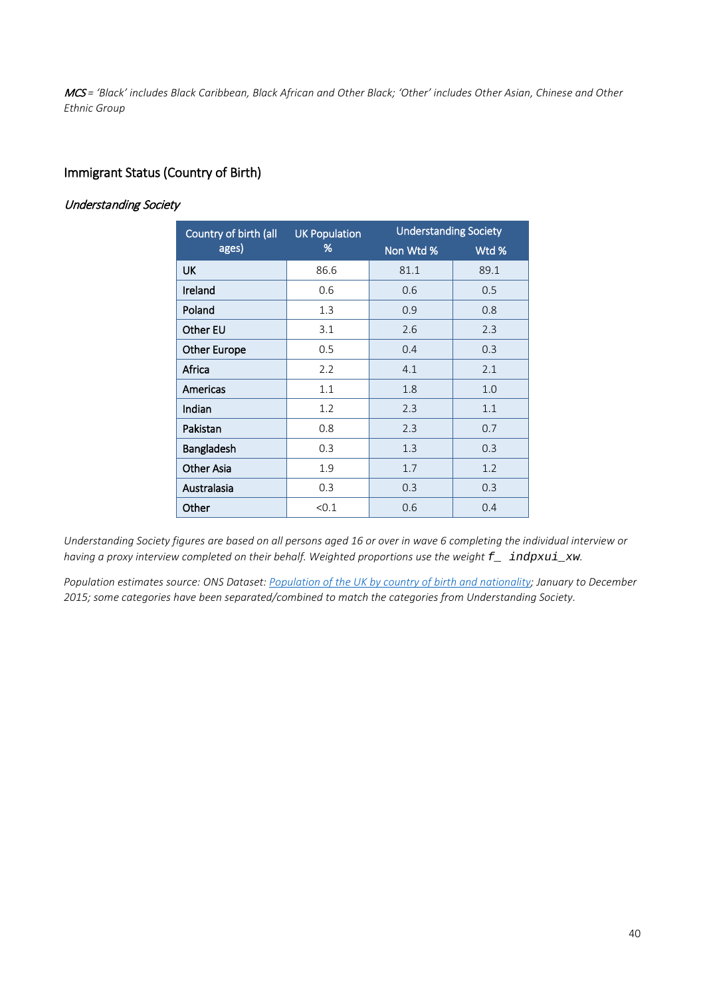MCS *= 'Black' includes Black Caribbean, Black African and Other Black; 'Other' includes Other Asian, Chinese and Other Ethnic Group*

# <span id="page-39-0"></span>Immigrant Status (Country of Birth)

# Understanding Society

| Country of birth (all | <b>UK Population</b> | <b>Understanding Society</b> |       |
|-----------------------|----------------------|------------------------------|-------|
| ages)                 | %                    | Non Wtd %                    | Wtd % |
| UK                    | 86.6                 | 81.1                         | 89.1  |
| Ireland               | 0.6                  | 0.6                          | 0.5   |
| Poland                | 1.3                  | 0.9                          | 0.8   |
| Other EU              | 3.1                  | 2.6                          | 2.3   |
| <b>Other Europe</b>   | 0.5                  | 0.4                          | 0.3   |
| Africa                | 2.2                  | 4.1                          | 2.1   |
| Americas              | 1.1                  | 1.8                          | 1.0   |
| Indian                | 1.2                  | 2.3                          | 1.1   |
| Pakistan              | 0.8                  | 2.3                          | 0.7   |
| Bangladesh            | 0.3                  | 1.3                          | 0.3   |
| <b>Other Asia</b>     | 1.9                  | 1.7                          | 1.2   |
| Australasia           | 0.3                  | 0.3                          | 0.3   |
| Other                 | < 0.1                | 0.6                          | 0.4   |

*Understanding Society figures are based on all persons aged 16 or over in wave 6 completing the individual interview or having a proxy interview completed on their behalf. Weighted proportions use the weight f\_ indpxui\_xw.*

*Population estimates source: ONS Dataset[: Population of the UK by country of birth and nationality;](https://www.ons.gov.uk/peoplepopulationandcommunity/populationandmigration/internationalmigration/datasets/populationoftheunitedkingdombycountryofbirthandnationality) January to December 2015; some categories have been separated/combined to match the categories from Understanding Society.*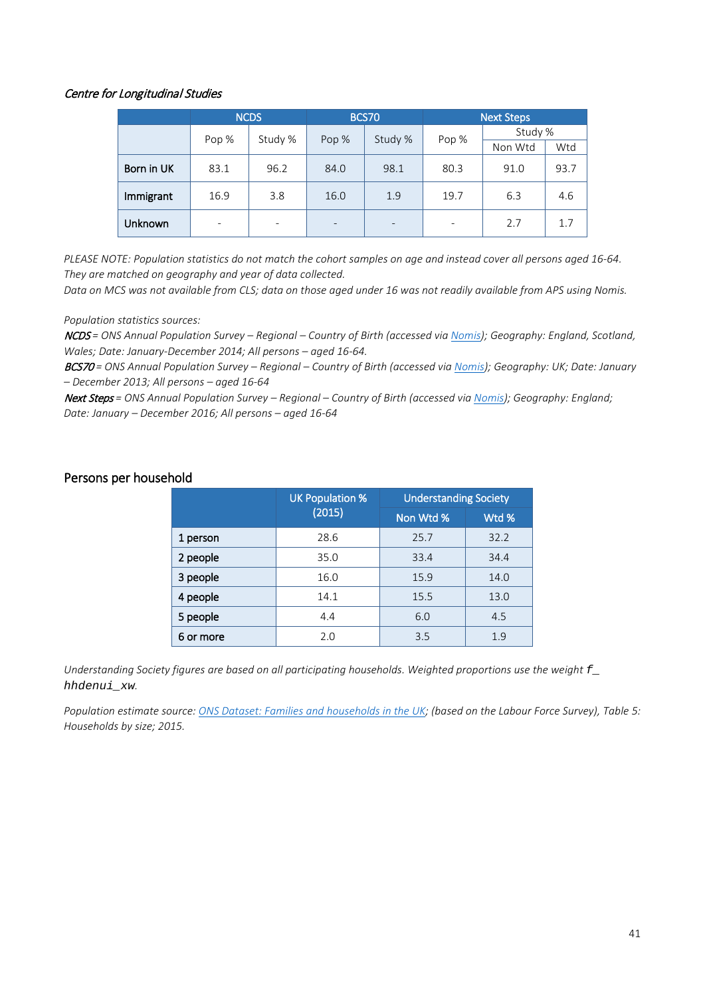#### Centre for Longitudinal Studies

|            | <b>NCDS</b> |         | <b>BCS70</b> |         | <b>Next Steps</b> |         |      |  |
|------------|-------------|---------|--------------|---------|-------------------|---------|------|--|
|            | Pop %       | Study % | Pop %        | Study % | Pop %             | Study % |      |  |
|            |             |         |              |         |                   | Non Wtd | Wtd  |  |
| Born in UK | 83.1        | 96.2    | 84.0         | 98.1    | 80.3              | 91.0    | 93.7 |  |
| Immigrant  | 16.9        | 3.8     | 16.0         | 1.9     | 19.7              | 6.3     | 4.6  |  |
| Unknown    |             |         |              |         |                   | 2.7     | 1.7  |  |

*PLEASE NOTE: Population statistics do not match the cohort samples on age and instead cover all persons aged 16-64. They are matched on geography and year of data collected.* 

*Data on MCS was not available from CLS; data on those aged under 16 was not readily available from APS using Nomis.*

*Population statistics sources:*

NCDS *= ONS Annual Population Survey – Regional – Country of Birth (accessed via [Nomis\)](https://www.nomisweb.co.uk/); Geography: England, Scotland, Wales; Date: January-December 2014; All persons – aged 16-64.* 

BCS70 *= ONS Annual Population Survey – Regional – Country of Birth (accessed via [Nomis\)](https://www.nomisweb.co.uk/); Geography: UK; Date: January – December 2013; All persons – aged 16-64*

Next Steps *= ONS Annual Population Survey – Regional – Country of Birth (accessed vi[a Nomis\)](https://www.nomisweb.co.uk/); Geography: England; Date: January – December 2016; All persons – aged 16-64*

# <span id="page-40-0"></span>Persons per household

|           | <b>UK Population %</b> | <b>Understanding Society</b> |       |  |
|-----------|------------------------|------------------------------|-------|--|
|           | (2015)                 | Non Wtd %                    | Wtd % |  |
| 1 person  | 28.6                   | 25.7                         | 32.2  |  |
| 2 people  | 35.0                   | 33.4                         | 34.4  |  |
| 3 people  | 16.0                   | 15.9                         | 14.0  |  |
| 4 people  | 14.1                   | 15.5                         | 13.0  |  |
| 5 people  | 4.4                    | 6.0                          | 4.5   |  |
| 6 or more | 2.0                    | 3.5                          | 1.9   |  |

*Understanding Society figures are based on all participating households. Weighted proportions use the weight f\_ hhdenui\_xw.*

*Population estimate source: [ONS Dataset: Families and households in the UK;](https://www.ons.gov.uk/peoplepopulationandcommunity/birthsdeathsandmarriages/families/datasets/familiesandhouseholdsfamiliesandhouseholds) (based on the Labour Force Survey), Table 5: Households by size; 2015.*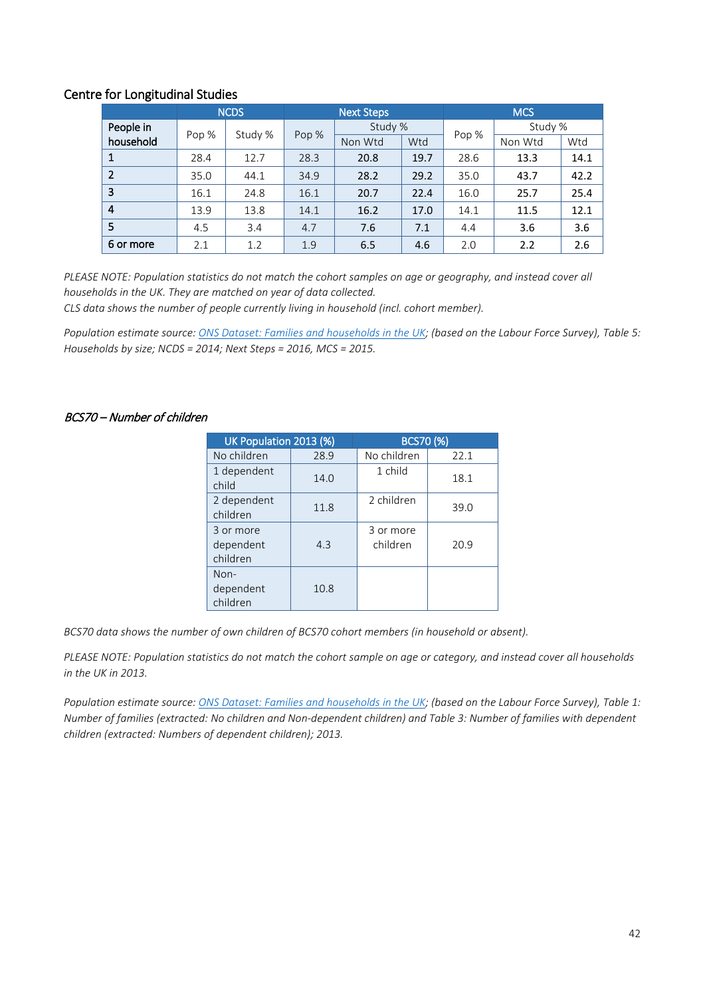# Centre for Longitudinal Studies

|                |       | <b>NCDS</b> | <b>Next Steps</b> |         | <b>MCS</b> |       |         |      |
|----------------|-------|-------------|-------------------|---------|------------|-------|---------|------|
| People in      | Pop % |             | Pop %             | Study % |            | Pop % | Study % |      |
| household      |       | Study %     |                   | Non Wtd | Wtd        |       | Non Wtd | Wtd  |
|                | 28.4  | 12.7        | 28.3              | 20.8    | 19.7       | 28.6  | 13.3    | 14.1 |
| $\overline{2}$ | 35.0  | 44.1        | 34.9              | 28.2    | 29.2       | 35.0  | 43.7    | 42.2 |
| 3              | 16.1  | 24.8        | 16.1              | 20.7    | 22.4       | 16.0  | 25.7    | 25.4 |
| $\overline{4}$ | 13.9  | 13.8        | 14.1              | 16.2    | 17.0       | 14.1  | 11.5    | 12.1 |
| 5              | 4.5   | 3.4         | 4.7               | 7.6     | 7.1        | 4.4   | 3.6     | 3.6  |
| 6 or more      | 2.1   | 1.2         | 1.9               | 6.5     | 4.6        | 2.0   | 2.2     | 2.6  |

*PLEASE NOTE: Population statistics do not match the cohort samples on age or geography, and instead cover all households in the UK. They are matched on year of data collected.* 

*CLS data shows the number of people currently living in household (incl. cohort member).*

*Population estimate source: [ONS Dataset: Families and households in the UK;](https://www.ons.gov.uk/peoplepopulationandcommunity/birthsdeathsandmarriages/families/datasets/familiesandhouseholdsfamiliesandhouseholds) (based on the Labour Force Survey), Table 5: Households by size; NCDS = 2014; Next Steps = 2016, MCS = 2015.* 

#### BCS70 – Number of children

| UK Population 2013 (%)             |      | <b>BCS70 (%)</b>      |      |  |
|------------------------------------|------|-----------------------|------|--|
| No children                        | 28.9 | No children           | 22.1 |  |
| 1 dependent<br>child               | 14.0 | 1 child               | 18.1 |  |
| 2 dependent<br>children            | 11.8 | 2 children            | 39.0 |  |
| 3 or more<br>dependent<br>children | 4.3  | 3 or more<br>children | 20.9 |  |
| $Non-$<br>dependent<br>children    | 10.8 |                       |      |  |

*BCS70 data shows the number of own children of BCS70 cohort members (in household or absent).* 

*PLEASE NOTE: Population statistics do not match the cohort sample on age or category, and instead cover all households in the UK in 2013.* 

*Population estimate source: [ONS Dataset: Families and households in the UK;](https://www.ons.gov.uk/peoplepopulationandcommunity/birthsdeathsandmarriages/families/datasets/familiesandhouseholdsfamiliesandhouseholds) (based on the Labour Force Survey), Table 1: Number of families (extracted: No children and Non-dependent children) and Table 3: Number of families with dependent children (extracted: Numbers of dependent children); 2013.*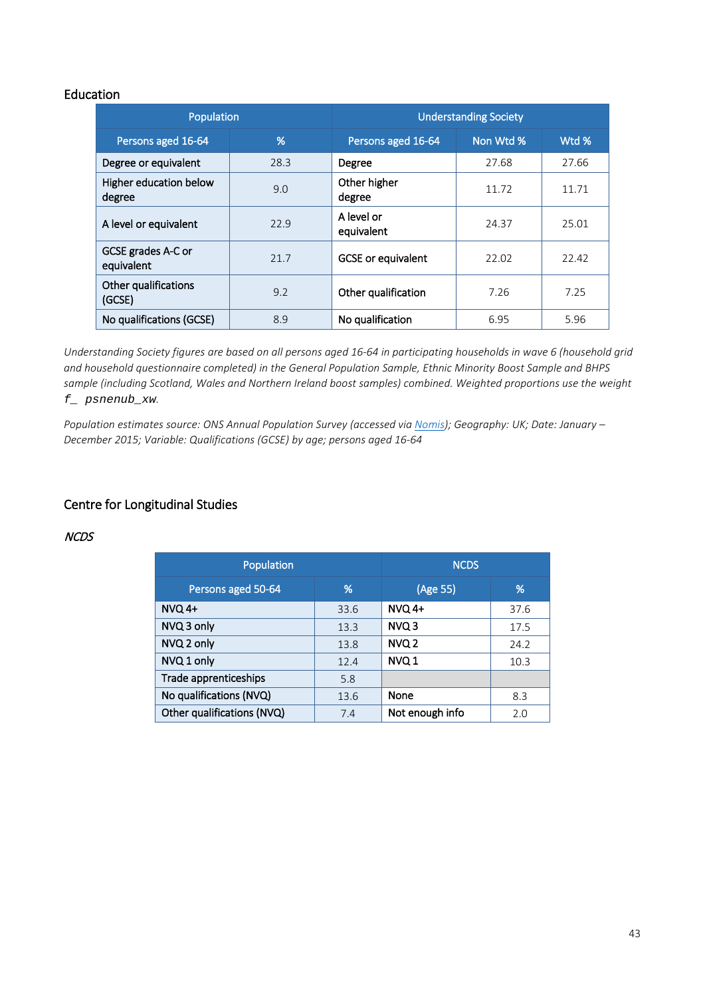# <span id="page-42-0"></span>**Education**

| Population                       |      | <b>Understanding Society</b> |           |       |  |
|----------------------------------|------|------------------------------|-----------|-------|--|
| Persons aged 16-64               | %    | Persons aged 16-64           | Non Wtd % | Wtd % |  |
| Degree or equivalent             | 28.3 | Degree                       | 27.68     | 27.66 |  |
| Higher education below<br>degree | 9.0  | Other higher<br>degree       | 11.72     | 11.71 |  |
| A level or equivalent            | 22.9 | A level or<br>equivalent     | 24.37     | 25.01 |  |
| GCSE grades A-C or<br>equivalent | 21.7 | <b>GCSE</b> or equivalent    | 22.02     | 22.42 |  |
| Other qualifications<br>(GCSE)   | 9.2  | Other qualification          | 7.26      | 7.25  |  |
| No qualifications (GCSE)         | 8.9  | No qualification             | 6.95      | 5.96  |  |

*Understanding Society figures are based on all persons aged 16-64 in participating households in wave 6 (household grid and household questionnaire completed) in the General Population Sample, Ethnic Minority Boost Sample and BHPS sample (including Scotland, Wales and Northern Ireland boost samples) combined. Weighted proportions use the weight f\_ psnenub\_xw.*

*Population estimates source: ONS Annual Population Survey (accessed vi[a Nomis\)](https://www.nomisweb.co.uk/); Geography: UK; Date: January – December 2015; Variable: Qualifications (GCSE) by age; persons aged 16-64*

# Centre for Longitudinal Studies

#### NCDS

| Population                 | <b>NCDS</b> |                  |      |
|----------------------------|-------------|------------------|------|
| %<br>Persons aged 50-64    |             | (Age 55)         | %    |
| $NVO$ 4+                   | 33.6        | $NVO$ 4+         | 37.6 |
| NVQ 3 only                 | 13.3        | NVQ 3            | 17.5 |
| NVQ 2 only                 | 13.8        | NVQ <sub>2</sub> | 24.2 |
| NVQ 1 only                 | 12.4        | NVQ 1            | 10.3 |
| Trade apprenticeships      | 5.8         |                  |      |
| No qualifications (NVQ)    | 13.6        | None             | 8.3  |
| Other qualifications (NVQ) | 7.4         | Not enough info  | 2.0  |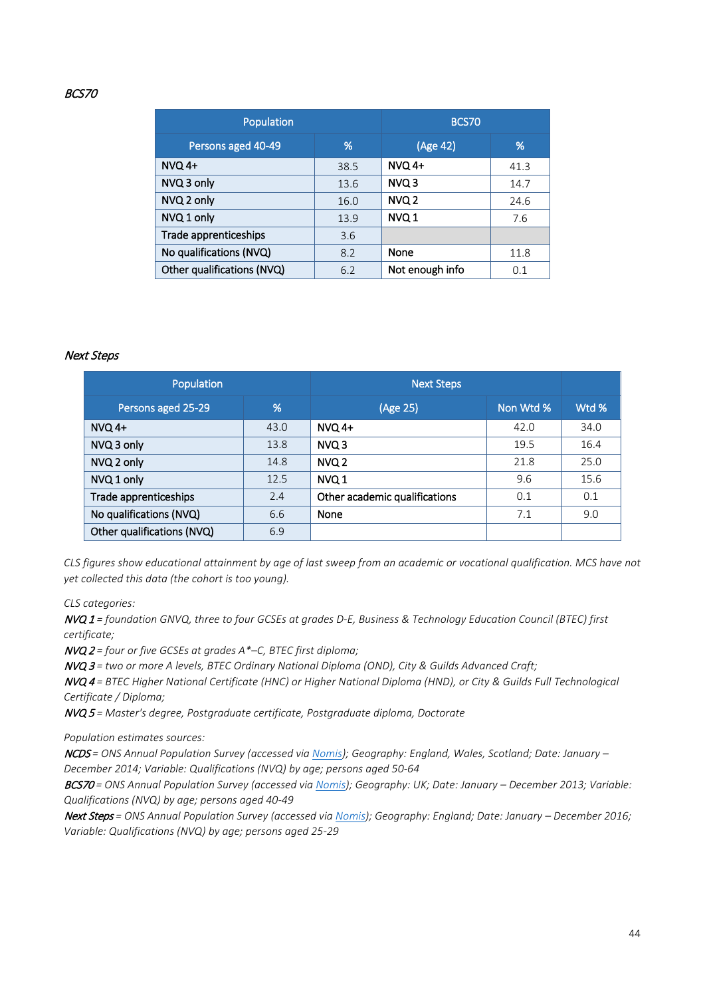#### BCS70

| Population                 | <b>BCS70</b> |                  |      |
|----------------------------|--------------|------------------|------|
| Persons aged 40-49         | (Age 42)     | %                |      |
| <b>NVQ 4+</b>              | 38.5         | NVQ 4+           | 41.3 |
| NVQ 3 only                 | 13.6         | NVQ <sub>3</sub> | 14.7 |
| NVQ 2 only                 | 16.0         | NVQ 2            | 24.6 |
| NVQ 1 only                 | 13.9         | NVQ 1            | 7.6  |
| Trade apprenticeships      | 3.6          |                  |      |
| No qualifications (NVQ)    | 8.2          | None             | 11.8 |
| Other qualifications (NVQ) | 6.2          | Not enough info  | 0.1  |

#### Next Steps

| Population                 |      | <b>Next Steps</b>             |           |       |
|----------------------------|------|-------------------------------|-----------|-------|
| Persons aged 25-29         | %    | (Age 25)                      | Non Wtd % | Wtd % |
| $NVO$ 4+                   | 43.0 | $NVO$ 4+                      | 42.0      | 34.0  |
| NVQ 3 only                 | 13.8 | NVQ 3                         | 19.5      | 16.4  |
| NVQ 2 only                 | 14.8 | NVQ <sub>2</sub>              | 21.8      | 25.0  |
| NVQ 1 only                 | 12.5 | NVQ 1                         | 9.6       | 15.6  |
| Trade apprenticeships      | 2.4  | Other academic qualifications | 0.1       | 0.1   |
| No qualifications (NVQ)    | 6.6  | None                          | 7.1       | 9.0   |
| Other qualifications (NVQ) | 6.9  |                               |           |       |

*CLS figures show educational attainment by age of last sweep from an academic or vocational qualification. MCS have not yet collected this data (the cohort is too young).*

*CLS categories:* 

NVQ 1 *= foundation GNVQ, three to four GCSEs at grades D-E, Business & Technology Education Council (BTEC) first certificate;* 

NVQ 2 *= four or five GCSEs at grades A\*–C, BTEC first diploma;* 

NVQ 3 *= two or more A levels, BTEC Ordinary National Diploma (OND), City & Guilds Advanced Craft;* 

NVQ 4 *= BTEC Higher National Certificate (HNC) or Higher National Diploma (HND), or City & Guilds Full Technological Certificate / Diploma;* 

NVQ 5 *= Master's degree, Postgraduate certificate, Postgraduate diploma, Doctorate*

*Population estimates sources:* 

NCDS *= ONS Annual Population Survey (accessed via [Nomis\)](https://www.nomisweb.co.uk/); Geography: England, Wales, Scotland; Date: January – December 2014; Variable: Qualifications (NVQ) by age; persons aged 50-64*

BCS70 *= ONS Annual Population Survey (accessed via [Nomis\)](https://www.nomisweb.co.uk/); Geography: UK; Date: January – December 2013; Variable: Qualifications (NVQ) by age; persons aged 40-49* 

Next Steps *= ONS Annual Population Survey (accessed vi[a Nomis\)](https://www.nomisweb.co.uk/); Geography: England; Date: January – December 2016; Variable: Qualifications (NVQ) by age; persons aged 25-29*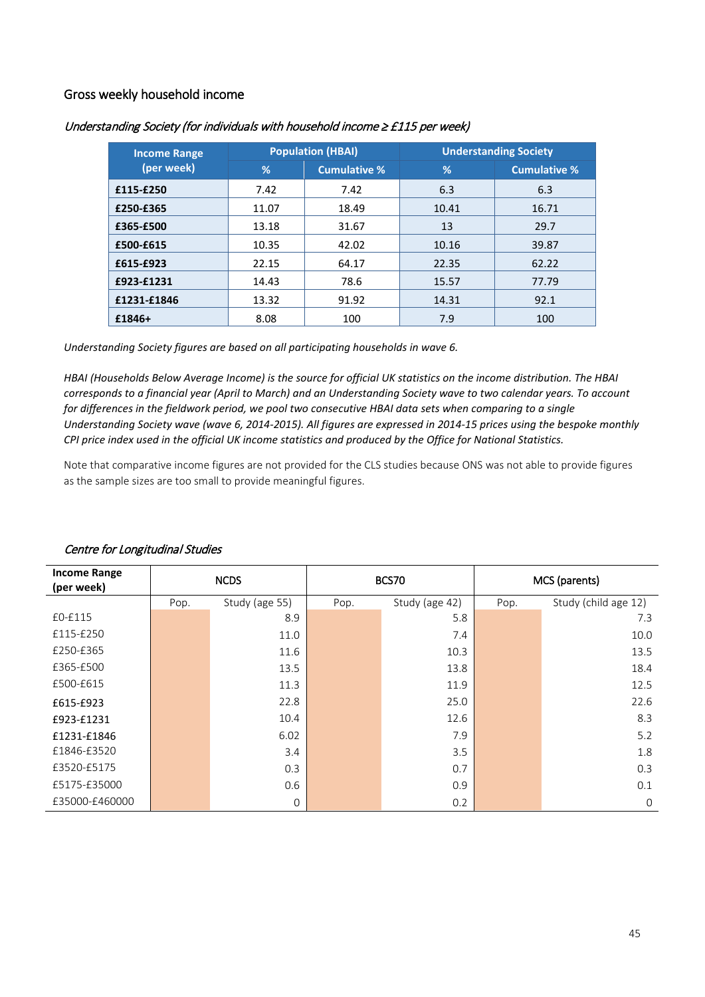# <span id="page-44-0"></span>Gross weekly household income

| <b>Income Range</b> |       | <b>Population (HBAI)</b> | <b>Understanding Society</b> |                     |  |
|---------------------|-------|--------------------------|------------------------------|---------------------|--|
| (per week)          | %     | <b>Cumulative %</b>      | %                            | <b>Cumulative %</b> |  |
| £115-£250           | 7.42  | 7.42                     | 6.3                          | 6.3                 |  |
| £250-£365           | 11.07 | 18.49                    | 10.41                        | 16.71               |  |
| £365-£500           | 13.18 | 31.67                    | 13                           | 29.7                |  |
| £500-£615           | 10.35 | 42.02                    | 10.16                        | 39.87               |  |
| £615-£923           | 22.15 | 64.17                    | 22.35                        | 62.22               |  |
| £923-£1231          | 14.43 | 78.6                     | 15.57                        | 77.79               |  |
| £1231-£1846         | 13.32 | 91.92                    | 14.31                        | 92.1                |  |
| £1846+              | 8.08  | 100                      | 7.9                          | 100                 |  |

#### Understanding Society (for individuals with household income ≥ £115 per week)

*Understanding Society figures are based on all participating households in wave 6.* 

*HBAI (Households Below Average Income) is the source for official UK statistics on the income distribution. The HBAI corresponds to a financial year (April to March) and an Understanding Society wave to two calendar years. To account for differences in the fieldwork period, we pool two consecutive HBAI data sets when comparing to a single Understanding Society wave (wave 6, 2014-2015). All figures are expressed in 2014-15 prices using the bespoke monthly CPI price index used in the official UK income statistics and produced by the Office for National Statistics.*

Note that comparative income figures are not provided for the CLS studies because ONS was not able to provide figures as the sample sizes are too small to provide meaningful figures.

| <b>Income Range</b><br>(per week) | <b>NCDS</b> |                | BCS70 |                | MCS (parents) |                      |  |
|-----------------------------------|-------------|----------------|-------|----------------|---------------|----------------------|--|
|                                   | Pop.        | Study (age 55) | Pop.  | Study (age 42) | Pop.          | Study (child age 12) |  |
| £0-£115                           |             | 8.9            |       | 5.8            |               | 7.3                  |  |
| £115-£250                         |             | 11.0           |       | 7.4            |               | 10.0                 |  |
| £250-£365                         |             | 11.6           |       | 10.3           |               | 13.5                 |  |
| £365-£500                         |             | 13.5           |       | 13.8           |               | 18.4                 |  |
| £500-£615                         |             | 11.3           |       | 11.9           |               | 12.5                 |  |
| £615-£923                         |             | 22.8           |       | 25.0           |               | 22.6                 |  |
| £923-£1231                        |             | 10.4           |       | 12.6           |               | 8.3                  |  |
| £1231-£1846                       |             | 6.02           |       | 7.9            |               | 5.2                  |  |
| £1846-£3520                       |             | 3.4            |       | 3.5            |               | 1.8                  |  |
| £3520-£5175                       |             | 0.3            |       | 0.7            |               | 0.3                  |  |
| £5175-£35000                      |             | 0.6            |       | 0.9            |               | 0.1                  |  |
| £35000-£460000                    |             | $\mathbf 0$    |       | 0.2            |               | $\mathbf 0$          |  |

#### Centre for Longitudinal Studies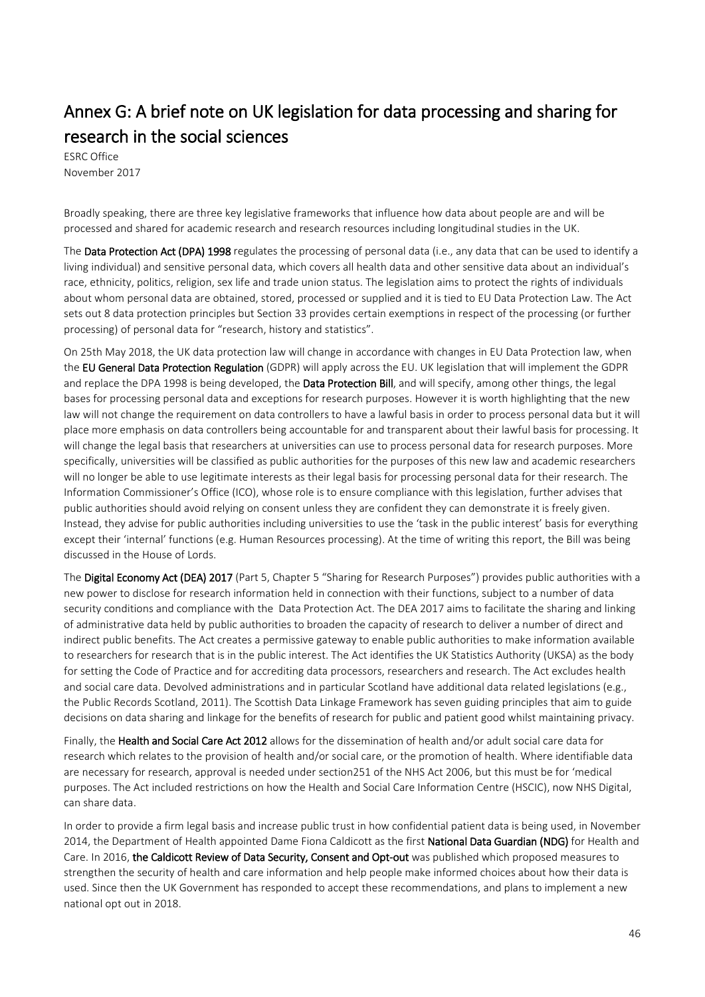# <span id="page-45-0"></span>Annex G: A brief note on UK legislation for data processing and sharing for research in the social sciences

November 2017

Broadly speaking, there are three key legislative frameworks that influence how data about people are and will be processed and shared for academic research and research resources including longitudinal studies in the UK.

The Data Protection Act (DPA) 1998 regulates the processing of personal data (i.e., any data that can be used to identify a living individual) and sensitive personal data, which covers all health data and other sensitive data about an individual's race, ethnicity, politics, religion, sex life and trade union status. The legislation aims to protect the rights of individuals about whom personal data are obtained, stored, processed or supplied and it is tied to EU Data Protection Law. The Act sets out 8 data protection principles but Section 33 provides certain exemptions in respect of the processing (or further processing) of personal data for "research, history and statistics".

On 25th May 2018, the UK data protection law will change in accordance with changes in EU Data Protection law, when the EU General Data Protection Regulation (GDPR) will apply across the EU. UK legislation that will implement the GDPR and replace the DPA 1998 is being developed, the Data Protection Bill, and will specify, among other things, the legal bases for processing personal data and exceptions for research purposes. However it is worth highlighting that the new law will not change the requirement on data controllers to have a lawful basis in order to process personal data but it will place more emphasis on data controllers being accountable for and transparent about their lawful basis for processing. It will change the legal basis that researchers at universities can use to process personal data for research purposes. More specifically, universities will be classified as public authorities for the purposes of this new law and academic researchers will no longer be able to use legitimate interests as their legal basis for processing personal data for their research. The Information Commissioner's Office (ICO), whose role is to ensure compliance with this legislation, further advises that public authorities should avoid relying on consent unless they are confident they can demonstrate it is freely given. Instead, they advise for public authorities including universities to use the 'task in the public interest' basis for everything except their 'internal' functions (e.g. Human Resources processing). At the time of writing this report, the Bill was being discussed in the House of Lords.

The Digital Economy Act (DEA) 2017 (Part 5, Chapter 5 "Sharing for Research Purposes") provides public authorities with a new power to disclose for research information held in connection with their functions, subject to a number of data security conditions and compliance with the Data Protection Act. The DEA 2017 aims to facilitate the sharing and linking of administrative data held by public authorities to broaden the capacity of research to deliver a number of direct and indirect public benefits. The Act creates a permissive gateway to enable public authorities to make information available to researchers for research that is in the public interest. The Act identifies the UK Statistics Authority (UKSA) as the body for setting the Code of Practice and for accrediting data processors, researchers and research. The Act excludes health and social care data. Devolved administrations and in particular Scotland have additional data related legislations (e.g., the Public Records Scotland, 2011). The Scottish Data Linkage Framework has seven guiding principles that aim to guide decisions on data sharing and linkage for the benefits of research for public and patient good whilst maintaining privacy.

Finally, the Health and Social Care Act 2012 allows for the dissemination of health and/or adult social care data for research which relates to the provision of health and/or social care, or the promotion of health. Where identifiable data are necessary for research, approval is needed under section251 of the NHS Act 2006, but this must be for 'medical purposes. The Act included restrictions on how the Health and Social Care Information Centre (HSCIC), now NHS Digital, can share data.

In order to provide a firm legal basis and increase public trust in how confidential patient data is being used, in November 2014, the Department of Health appointed Dame Fiona Caldicott as the first National Data Guardian (NDG) for Health and Care. In 2016, the Caldicott Review of Data Security, Consent and Opt-out was published which proposed measures to strengthen the security of health and care information and help people make informed choices about how their data is used. Since then the UK Government has responded to accept these recommendations, and plans to implement a new national opt out in 2018.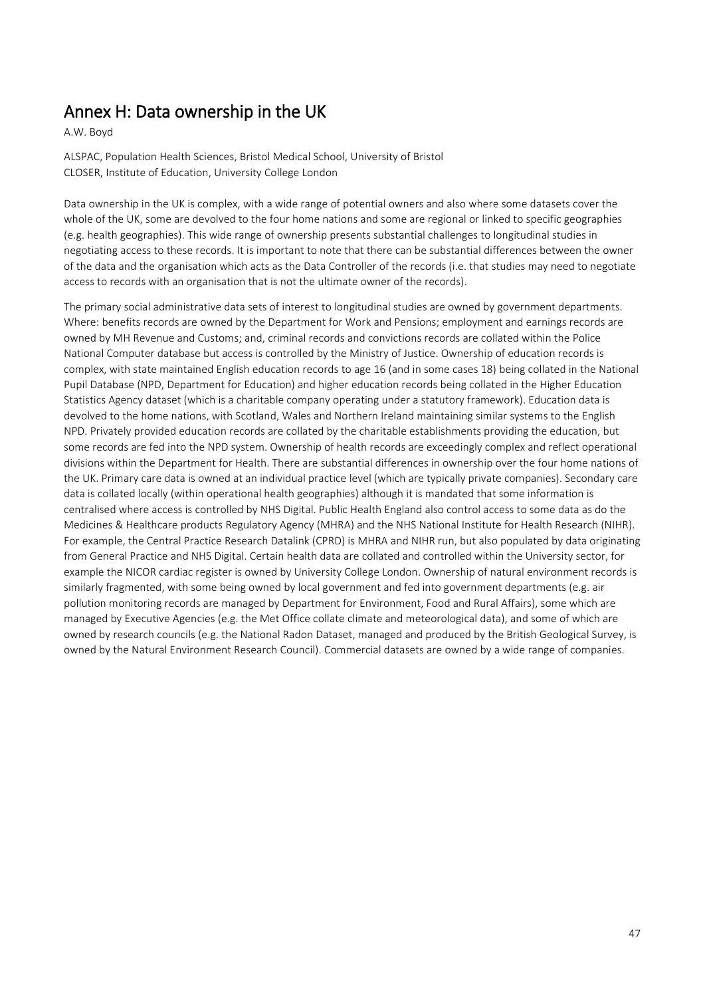# <span id="page-46-0"></span>Annex H: Data ownership in the UK<br>A.W. Boyd

ALSPAC, Population Health Sciences, Bristol Medical School, University of Bristol CLOSER, Institute of Education, University College London

Data ownership in the UK is complex, with a wide range of potential owners and also where some datasets cover the whole of the UK, some are devolved to the four home nations and some are regional or linked to specific geographies (e.g. health geographies). This wide range of ownership presents substantial challenges to longitudinal studies in negotiating access to these records. It is important to note that there can be substantial differences between the owner of the data and the organisation which acts as the Data Controller of the records (i.e. that studies may need to negotiate access to records with an organisation that is not the ultimate owner of the records).

The primary social administrative data sets of interest to longitudinal studies are owned by government departments. Where: benefits records are owned by the Department for Work and Pensions; employment and earnings records are owned by MH Revenue and Customs; and, criminal records and convictions records are collated within the Police National Computer database but access is controlled by the Ministry of Justice. Ownership of education records is complex, with state maintained English education records to age 16 (and in some cases 18) being collated in the National Pupil Database (NPD, Department for Education) and higher education records being collated in the Higher Education Statistics Agency dataset (which is a charitable company operating under a statutory framework). Education data is devolved to the home nations, with Scotland, Wales and Northern Ireland maintaining similar systems to the English NPD. Privately provided education records are collated by the charitable establishments providing the education, but some records are fed into the NPD system. Ownership of health records are exceedingly complex and reflect operational divisions within the Department for Health. There are substantial differences in ownership over the four home nations of the UK. Primary care data is owned at an individual practice level (which are typically private companies). Secondary care data is collated locally (within operational health geographies) although it is mandated that some information is centralised where access is controlled by NHS Digital. Public Health England also control access to some data as do the Medicines & Healthcare products Regulatory Agency (MHRA) and the NHS National Institute for Health Research (NIHR). For example, the Central Practice Research Datalink (CPRD) is MHRA and NIHR run, but also populated by data originating from General Practice and NHS Digital. Certain health data are collated and controlled within the University sector, for example the NICOR cardiac register is owned by University College London. Ownership of natural environment records is similarly fragmented, with some being owned by local government and fed into government departments (e.g. air pollution monitoring records are managed by Department for Environment, Food and Rural Affairs), some which are managed by Executive Agencies (e.g. the Met Office collate climate and meteorological data), and some of which are owned by research councils (e.g. the National Radon Dataset, managed and produced by the British Geological Survey, is owned by the Natural Environment Research Council). Commercial datasets are owned by a wide range of companies.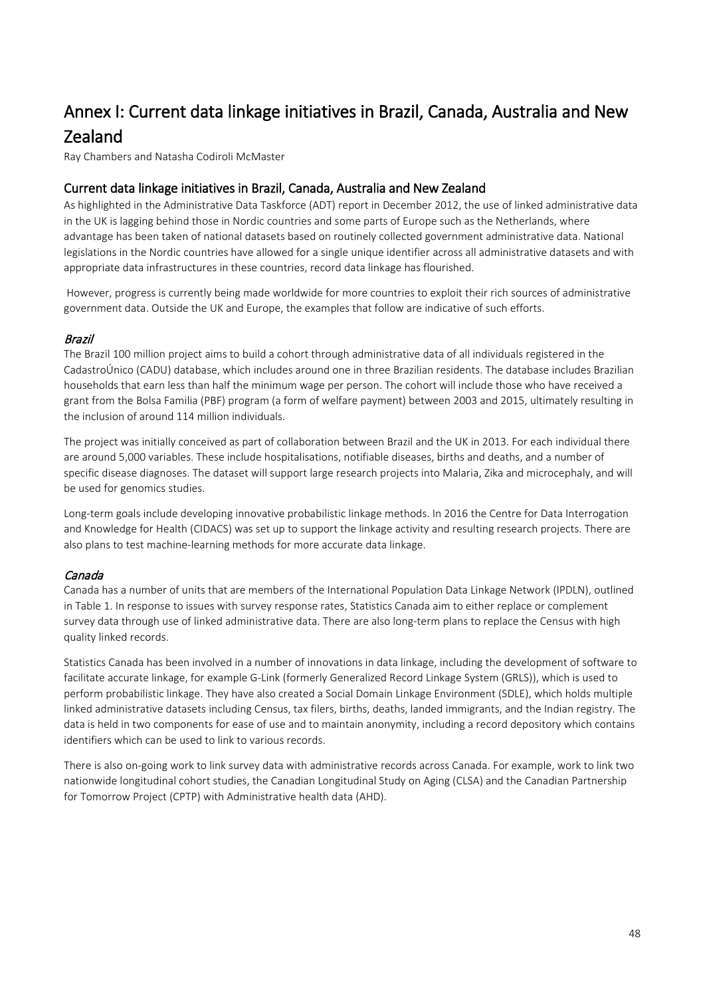# <span id="page-47-0"></span>Annex I: Current data linkage initiatives in Brazil, Canada, Australia and New **Zealand**<br>Ray Chambers and Natasha Codiroli McMaster

# Current data linkage initiatives in Brazil, Canada, Australia and New Zealand

As highlighted in the Administrative Data Taskforce (ADT) report in December 2012, the use of linked administrative data in the UK is lagging behind those in Nordic countries and some parts of Europe such as the Netherlands, where advantage has been taken of national datasets based on routinely collected government administrative data. National legislations in the Nordic countries have allowed for a single unique identifier across all administrative datasets and with appropriate data infrastructures in these countries, record data linkage has flourished.

However, progress is currently being made worldwide for more countries to exploit their rich sources of administrative government data. Outside the UK and Europe, the examples that follow are indicative of such efforts.

#### Brazil

The Brazil 100 million project aims to build a cohort through administrative data of all individuals registered in the CadastroÚnico (CADU) database, which includes around one in three Brazilian residents. The database includes Brazilian households that earn less than half the minimum wage per person. The cohort will include those who have received a grant from the Bolsa Familia (PBF) program (a form of welfare payment) between 2003 and 2015, ultimately resulting in the inclusion of around 114 million individuals.

The project was initially conceived as part of collaboration between Brazil and the UK in 2013. For each individual there are around 5,000 variables. These include hospitalisations, notifiable diseases, births and deaths, and a number of specific disease diagnoses. The dataset will support large research projects into Malaria, Zika and microcephaly, and will be used for genomics studies.

Long-term goals include developing innovative probabilistic linkage methods. In 2016 the Centre for Data Interrogation and Knowledge for Health (CIDACS) was set up to support the linkage activity and resulting research projects. There are also plans to test machine-learning methods for more accurate data linkage.

# Canada

Canada has a number of units that are members of the International Population Data Linkage Network (IPDLN), outlined in Table 1. In response to issues with survey response rates, Statistics Canada aim to either replace or complement survey data through use of linked administrative data. There are also long-term plans to replace the Census with high quality linked records.

Statistics Canada has been involved in a number of innovations in data linkage, including the development of software to facilitate accurate linkage, for example G-Link (formerly Generalized Record Linkage System (GRLS)), which is used to perform probabilistic linkage. They have also created a Social Domain Linkage Environment (SDLE), which holds multiple linked administrative datasets including Census, tax filers, births, deaths, landed immigrants, and the Indian registry. The data is held in two components for ease of use and to maintain anonymity, including a record depository which contains identifiers which can be used to link to various records.

There is also on-going work to link survey data with administrative records across Canada. For example, work to link two nationwide longitudinal cohort studies, the Canadian Longitudinal Study on Aging (CLSA) and the Canadian Partnership for Tomorrow Project (CPTP) with Administrative health data (AHD).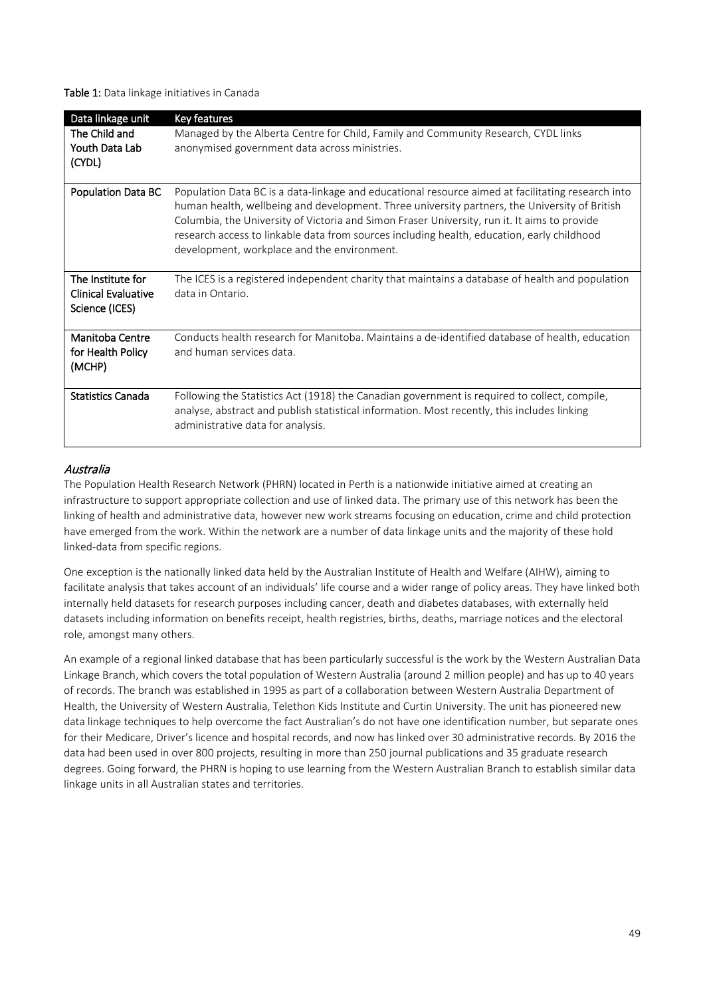Table 1: Data linkage initiatives in Canada

| Data linkage unit                                                 | Key features                                                                                                                                                                                                                                                                                                                                                                                                                                    |
|-------------------------------------------------------------------|-------------------------------------------------------------------------------------------------------------------------------------------------------------------------------------------------------------------------------------------------------------------------------------------------------------------------------------------------------------------------------------------------------------------------------------------------|
| The Child and<br>Youth Data Lab<br>(CYDL)                         | Managed by the Alberta Centre for Child, Family and Community Research, CYDL links<br>anonymised government data across ministries.                                                                                                                                                                                                                                                                                                             |
| <b>Population Data BC</b>                                         | Population Data BC is a data-linkage and educational resource aimed at facilitating research into<br>human health, wellbeing and development. Three university partners, the University of British<br>Columbia, the University of Victoria and Simon Fraser University, run it. It aims to provide<br>research access to linkable data from sources including health, education, early childhood<br>development, workplace and the environment. |
| The Institute for<br><b>Clinical Evaluative</b><br>Science (ICES) | The ICES is a registered independent charity that maintains a database of health and population<br>data in Ontario.                                                                                                                                                                                                                                                                                                                             |
| Manitoba Centre<br>for Health Policy<br>(MCHP)                    | Conducts health research for Manitoba. Maintains a de-identified database of health, education<br>and human services data.                                                                                                                                                                                                                                                                                                                      |
| <b>Statistics Canada</b>                                          | Following the Statistics Act (1918) the Canadian government is required to collect, compile,<br>analyse, abstract and publish statistical information. Most recently, this includes linking<br>administrative data for analysis.                                                                                                                                                                                                                |

#### Australia

The Population Health Research Network (PHRN) located in Perth is a nationwide initiative aimed at creating an infrastructure to support appropriate collection and use of linked data. The primary use of this network has been the linking of health and administrative data, however new work streams focusing on education, crime and child protection have emerged from the work. Within the network are a number of data linkage units and the majority of these hold linked-data from specific regions.

One exception is the nationally linked data held by the Australian Institute of Health and Welfare (AIHW), aiming to facilitate analysis that takes account of an individuals' life course and a wider range of policy areas. They have linked both internally held datasets for research purposes including cancer, death and diabetes databases, with externally held datasets including information on benefits receipt, health registries, births, deaths, marriage notices and the electoral role, amongst many others.

An example of a regional linked database that has been particularly successful is the work by the Western Australian Data Linkage Branch, which covers the total population of Western Australia (around 2 million people) and has up to 40 years of records. The branch was established in 1995 as part of a collaboration between Western Australia Department of Health, the University of Western Australia, Telethon Kids Institute and Curtin University. The unit has pioneered new data linkage techniques to help overcome the fact Australian's do not have one identification number, but separate ones for their Medicare, Driver's licence and hospital records, and now has linked over 30 administrative records. By 2016 the data had been used in over 800 projects, resulting in more than 250 journal publications and 35 graduate research degrees. Going forward, the PHRN is hoping to use learning from the Western Australian Branch to establish similar data linkage units in all Australian states and territories.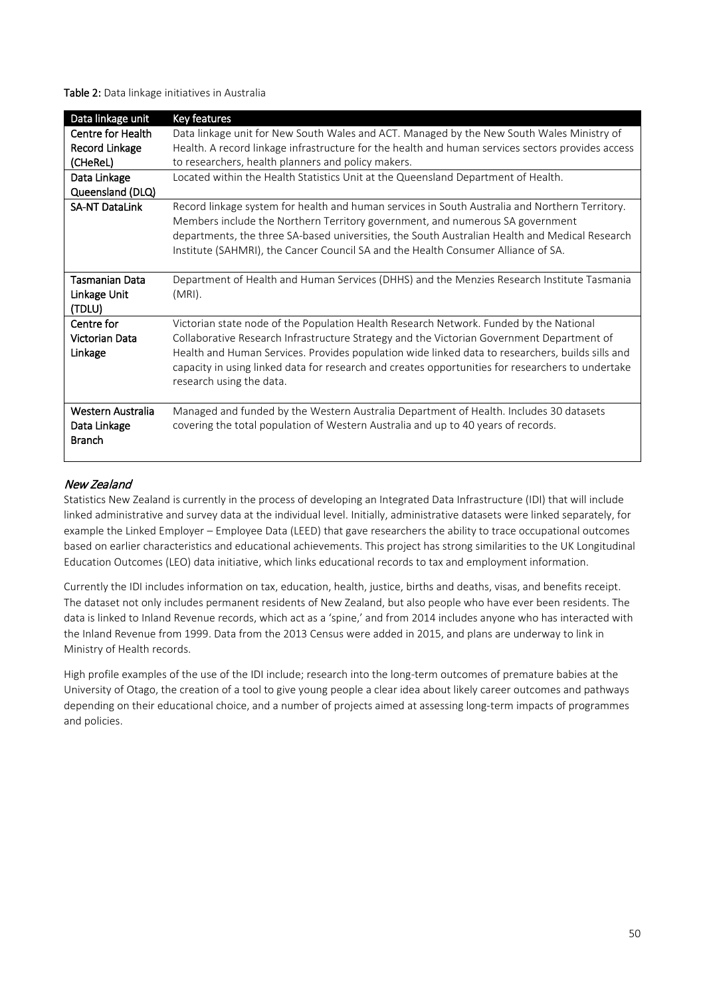Table 2: Data linkage initiatives in Australia

| Data linkage unit     | Key features                                                                                      |
|-----------------------|---------------------------------------------------------------------------------------------------|
| Centre for Health     | Data linkage unit for New South Wales and ACT. Managed by the New South Wales Ministry of         |
| Record Linkage        | Health. A record linkage infrastructure for the health and human services sectors provides access |
| (CHeReL)              | to researchers, health planners and policy makers.                                                |
| Data Linkage          | Located within the Health Statistics Unit at the Queensland Department of Health.                 |
| Queensland (DLQ)      |                                                                                                   |
| <b>SA-NT DataLink</b> | Record linkage system for health and human services in South Australia and Northern Territory.    |
|                       | Members include the Northern Territory government, and numerous SA government                     |
|                       | departments, the three SA-based universities, the South Australian Health and Medical Research    |
|                       | Institute (SAHMRI), the Cancer Council SA and the Health Consumer Alliance of SA.                 |
|                       |                                                                                                   |
| <b>Tasmanian Data</b> | Department of Health and Human Services (DHHS) and the Menzies Research Institute Tasmania        |
| Linkage Unit          | $(MRI)$ .                                                                                         |
| (TDLU)                |                                                                                                   |
| Centre for            | Victorian state node of the Population Health Research Network. Funded by the National            |
| Victorian Data        | Collaborative Research Infrastructure Strategy and the Victorian Government Department of         |
| Linkage               | Health and Human Services. Provides population wide linked data to researchers, builds sills and  |
|                       | capacity in using linked data for research and creates opportunities for researchers to undertake |
|                       | research using the data.                                                                          |
|                       |                                                                                                   |
| Western Australia     | Managed and funded by the Western Australia Department of Health. Includes 30 datasets            |
| Data Linkage          | covering the total population of Western Australia and up to 40 years of records.                 |
| <b>Branch</b>         |                                                                                                   |
|                       |                                                                                                   |

#### New Zealand

Statistics New Zealand is currently in the process of developing an Integrated Data Infrastructure (IDI) that will include linked administrative and survey data at the individual level. Initially, administrative datasets were linked separately, for example the Linked Employer – Employee Data (LEED) that gave researchers the ability to trace occupational outcomes based on earlier characteristics and educational achievements. This project has strong similarities to the UK Longitudinal Education Outcomes (LEO) data initiative, which links educational records to tax and employment information.

Currently the IDI includes information on tax, education, health, justice, births and deaths, visas, and benefits receipt. The dataset not only includes permanent residents of New Zealand, but also people who have ever been residents. The data is linked to Inland Revenue records, which act as a 'spine,' and from 2014 includes anyone who has interacted with the Inland Revenue from 1999. Data from the 2013 Census were added in 2015, and plans are underway to link in Ministry of Health records.

High profile examples of the use of the IDI include; research into the long-term outcomes of premature babies at the University of Otago, the creation of a tool to give young people a clear idea about likely career outcomes and pathways depending on their educational choice, and a number of projects aimed at assessing long-term impacts of programmes and policies.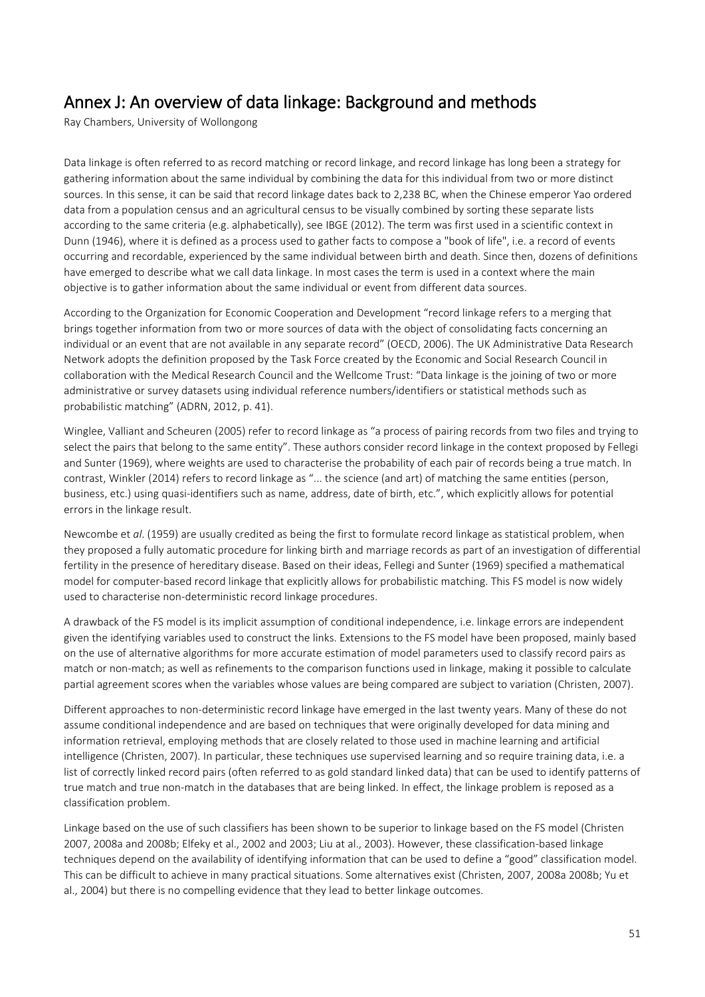# <span id="page-50-0"></span>Annex J: An overview of data linkage: Background and methods Ray Chambers, University of Wollongong

Data linkage is often referred to as record matching or record linkage, and record linkage has long been a strategy for gathering information about the same individual by combining the data for this individual from two or more distinct sources. In this sense, it can be said that record linkage dates back to 2,238 BC, when the Chinese emperor Yao ordered data from a population census and an agricultural census to be visually combined by sorting these separate lists according to the same criteria (e.g. alphabetically), see IBGE (2012). The term was first used in a scientific context in Dunn (1946), where it is defined as a process used to gather facts to compose a "book of life", i.e. a record of events occurring and recordable, experienced by the same individual between birth and death. Since then, dozens of definitions have emerged to describe what we call data linkage. In most cases the term is used in a context where the main objective is to gather information about the same individual or event from different data sources.

According to the Organization for Economic Cooperation and Development "record linkage refers to a merging that brings together information from two or more sources of data with the object of consolidating facts concerning an individual or an event that are not available in any separate record" (OECD, 2006). The UK Administrative Data Research Network adopts the definition proposed by the Task Force created by the Economic and Social Research Council in collaboration with the Medical Research Council and the Wellcome Trust: "Data linkage is the joining of two or more administrative or survey datasets using individual reference numbers/identifiers or statistical methods such as probabilistic matching" (ADRN, 2012, p. 41).

Winglee, Valliant and Scheuren (2005) refer to record linkage as "a process of pairing records from two files and trying to select the pairs that belong to the same entity". These authors consider record linkage in the context proposed by Fellegi and Sunter (1969), where weights are used to characterise the probability of each pair of records being a true match. In contrast, Winkler (2014) refers to record linkage as "... the science (and art) of matching the same entities (person, business, etc.) using quasi-identifiers such as name, address, date of birth, etc.", which explicitly allows for potential errors in the linkage result.

Newcombe et *al*. (1959) are usually credited as being the first to formulate record linkage as statistical problem, when they proposed a fully automatic procedure for linking birth and marriage records as part of an investigation of differential fertility in the presence of hereditary disease. Based on their ideas, Fellegi and Sunter (1969) specified a mathematical model for computer-based record linkage that explicitly allows for probabilistic matching. This FS model is now widely used to characterise non-deterministic record linkage procedures.

A drawback of the FS model is its implicit assumption of conditional independence, i.e. linkage errors are independent given the identifying variables used to construct the links. Extensions to the FS model have been proposed, mainly based on the use of alternative algorithms for more accurate estimation of model parameters used to classify record pairs as match or non-match; as well as refinements to the comparison functions used in linkage, making it possible to calculate partial agreement scores when the variables whose values are being compared are subject to variation (Christen, 2007).

Different approaches to non-deterministic record linkage have emerged in the last twenty years. Many of these do not assume conditional independence and are based on techniques that were originally developed for data mining and information retrieval, employing methods that are closely related to those used in machine learning and artificial intelligence (Christen, 2007). In particular, these techniques use supervised learning and so require training data, i.e. a list of correctly linked record pairs (often referred to as gold standard linked data) that can be used to identify patterns of true match and true non-match in the databases that are being linked. In effect, the linkage problem is reposed as a classification problem.

Linkage based on the use of such classifiers has been shown to be superior to linkage based on the FS model (Christen 2007, 2008a and 2008b; Elfeky et al., 2002 and 2003; Liu at al., 2003). However, these classification-based linkage techniques depend on the availability of identifying information that can be used to define a "good" classification model. This can be difficult to achieve in many practical situations. Some alternatives exist (Christen, 2007, 2008a 2008b; Yu et al., 2004) but there is no compelling evidence that they lead to better linkage outcomes.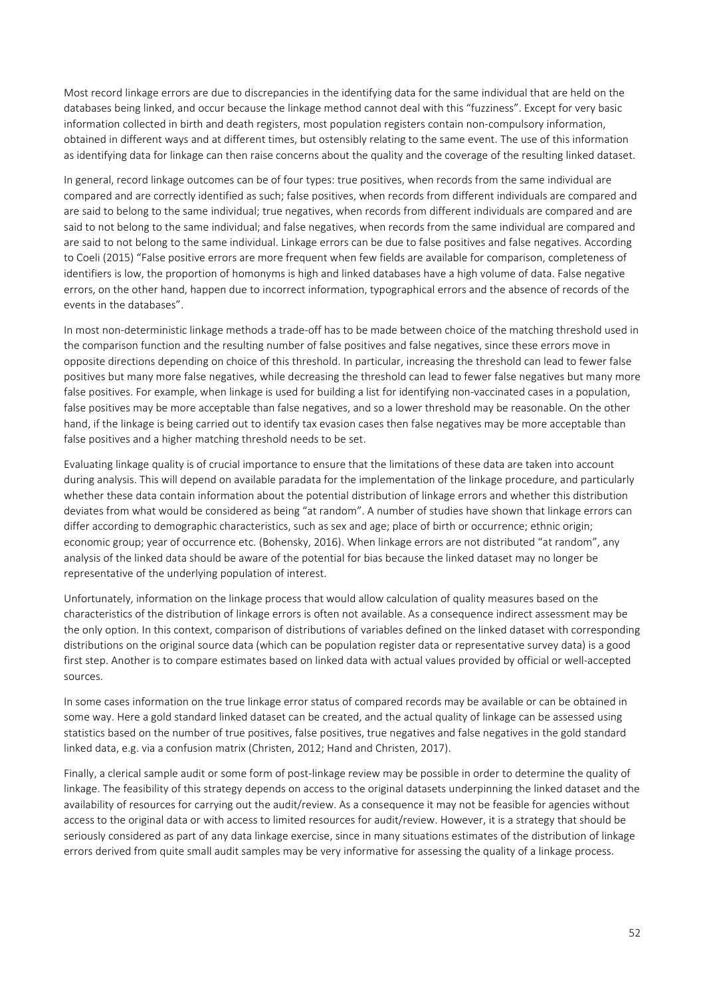Most record linkage errors are due to discrepancies in the identifying data for the same individual that are held on the databases being linked, and occur because the linkage method cannot deal with this "fuzziness". Except for very basic information collected in birth and death registers, most population registers contain non-compulsory information, obtained in different ways and at different times, but ostensibly relating to the same event. The use of this information as identifying data for linkage can then raise concerns about the quality and the coverage of the resulting linked dataset.

In general, record linkage outcomes can be of four types: true positives, when records from the same individual are compared and are correctly identified as such; false positives, when records from different individuals are compared and are said to belong to the same individual; true negatives, when records from different individuals are compared and are said to not belong to the same individual; and false negatives, when records from the same individual are compared and are said to not belong to the same individual. Linkage errors can be due to false positives and false negatives. According to Coeli (2015) "False positive errors are more frequent when few fields are available for comparison, completeness of identifiers is low, the proportion of homonyms is high and linked databases have a high volume of data. False negative errors, on the other hand, happen due to incorrect information, typographical errors and the absence of records of the events in the databases".

In most non-deterministic linkage methods a trade-off has to be made between choice of the matching threshold used in the comparison function and the resulting number of false positives and false negatives, since these errors move in opposite directions depending on choice of this threshold. In particular, increasing the threshold can lead to fewer false positives but many more false negatives, while decreasing the threshold can lead to fewer false negatives but many more false positives. For example, when linkage is used for building a list for identifying non-vaccinated cases in a population, false positives may be more acceptable than false negatives, and so a lower threshold may be reasonable. On the other hand, if the linkage is being carried out to identify tax evasion cases then false negatives may be more acceptable than false positives and a higher matching threshold needs to be set.

Evaluating linkage quality is of crucial importance to ensure that the limitations of these data are taken into account during analysis. This will depend on available paradata for the implementation of the linkage procedure, and particularly whether these data contain information about the potential distribution of linkage errors and whether this distribution deviates from what would be considered as being "at random". A number of studies have shown that linkage errors can differ according to demographic characteristics, such as sex and age; place of birth or occurrence; ethnic origin; economic group; year of occurrence etc. (Bohensky, 2016). When linkage errors are not distributed "at random", any analysis of the linked data should be aware of the potential for bias because the linked dataset may no longer be representative of the underlying population of interest.

Unfortunately, information on the linkage process that would allow calculation of quality measures based on the characteristics of the distribution of linkage errors is often not available. As a consequence indirect assessment may be the only option. In this context, comparison of distributions of variables defined on the linked dataset with corresponding distributions on the original source data (which can be population register data or representative survey data) is a good first step. Another is to compare estimates based on linked data with actual values provided by official or well-accepted sources.

In some cases information on the true linkage error status of compared records may be available or can be obtained in some way. Here a gold standard linked dataset can be created, and the actual quality of linkage can be assessed using statistics based on the number of true positives, false positives, true negatives and false negatives in the gold standard linked data, e.g. via a confusion matrix (Christen, 2012; Hand and Christen, 2017).

Finally, a clerical sample audit or some form of post-linkage review may be possible in order to determine the quality of linkage. The feasibility of this strategy depends on access to the original datasets underpinning the linked dataset and the availability of resources for carrying out the audit/review. As a consequence it may not be feasible for agencies without access to the original data or with access to limited resources for audit/review. However, it is a strategy that should be seriously considered as part of any data linkage exercise, since in many situations estimates of the distribution of linkage errors derived from quite small audit samples may be very informative for assessing the quality of a linkage process.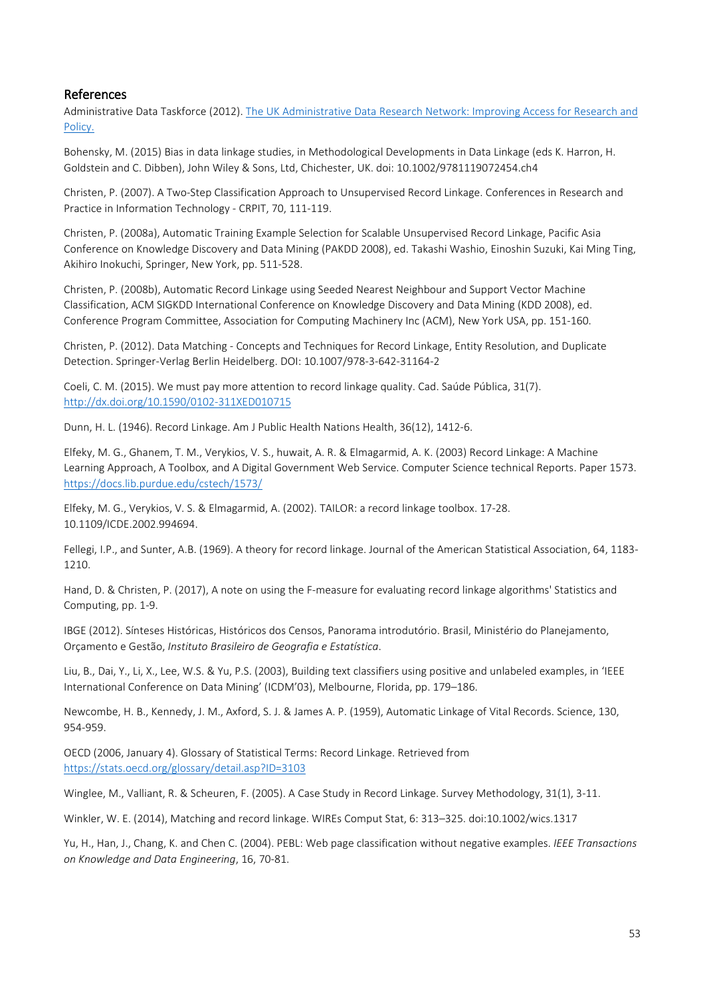# References

Administrative Data Taskforce (2012). The UK Administrative Data Research Network: Improving Access for Research and [Policy.](http://www.esrc.ac.uk/files/research/administrative-data-taskforce-adt/improving-access-for-research-and-policy/)

Bohensky, M. (2015) Bias in data linkage studies, in Methodological Developments in Data Linkage (eds K. Harron, H. Goldstein and C. Dibben), John Wiley & Sons, Ltd, Chichester, UK. doi: 10.1002/9781119072454.ch4

Christen, P. (2007). A Two-Step Classification Approach to Unsupervised Record Linkage. Conferences in Research and Practice in Information Technology - CRPIT, 70, 111-119.

Christen, P. (2008a), Automatic Training Example Selection for Scalable Unsupervised Record Linkage, Pacific Asia Conference on Knowledge Discovery and Data Mining (PAKDD 2008), ed. Takashi Washio, Einoshin Suzuki, Kai Ming Ting, Akihiro Inokuchi, Springer, New York, pp. 511-528.

Christen, P. (2008b), Automatic Record Linkage using Seeded Nearest Neighbour and Support Vector Machine Classification, ACM SIGKDD International Conference on Knowledge Discovery and Data Mining (KDD 2008), ed. Conference Program Committee, Association for Computing Machinery Inc (ACM), New York USA, pp. 151-160.

Christen, P. (2012). Data Matching - Concepts and Techniques for Record Linkage, Entity Resolution, and Duplicate Detection. Springer-Verlag Berlin Heidelberg. DOI: 10.1007/978-3-642-31164-2

Coeli, C. M. (2015). We must pay more attention to record linkage quality. Cad. Saúde Pública, 31(7). <http://dx.doi.org/10.1590/0102-311XED010715>

Dunn, H. L. (1946). Record Linkage. Am J Public Health Nations Health, 36(12), 1412-6.

Elfeky, M. G., Ghanem, T. M., Verykios, V. S., huwait, A. R. & Elmagarmid, A. K. (2003) Record Linkage: A Machine Learning Approach, A Toolbox, and A Digital Government Web Service. Computer Science technical Reports. Paper 1573. <https://docs.lib.purdue.edu/cstech/1573/>

Elfeky, M. G., Verykios, V. S. & Elmagarmid, A. (2002). TAILOR: a record linkage toolbox. 17-28. 10.1109/ICDE.2002.994694.

Fellegi, I.P., and Sunter, A.B. (1969). A theory for record linkage. Journal of the American Statistical Association, 64, 1183- 1210.

Hand, D. & Christen, P. (2017), A note on using the F-measure for evaluating record linkage algorithms' Statistics and Computing, pp. 1-9.

IBGE (2012). Sínteses Históricas, Históricos dos Censos, Panorama introdutório. Brasil, Ministério do Planejamento, Orçamento e Gestão, *Instituto Brasileiro de Geografia e Estatística*.

Liu, B., Dai, Y., Li, X., Lee, W.S. & Yu, P.S. (2003), Building text classifiers using positive and unlabeled examples, in 'IEEE International Conference on Data Mining' (ICDM'03), Melbourne, Florida, pp. 179–186.

Newcombe, H. B., Kennedy, J. M., Axford, S. J. & James A. P. (1959), Automatic Linkage of Vital Records. Science, 130, 954-959.

OECD (2006, January 4). Glossary of Statistical Terms: Record Linkage. Retrieved from <https://stats.oecd.org/glossary/detail.asp?ID=3103>

Winglee, M., Valliant, R. & Scheuren, F. (2005). A Case Study in Record Linkage. Survey Methodology, 31(1), 3-11.

Winkler, W. E. (2014), Matching and record linkage. WIREs Comput Stat, 6: 313–325. doi:10.1002/wics.1317

Yu, H., Han, J., Chang, K. and Chen C. (2004). PEBL: Web page classification without negative examples. *IEEE Transactions on Knowledge and Data Engineering*, 16, 70-81.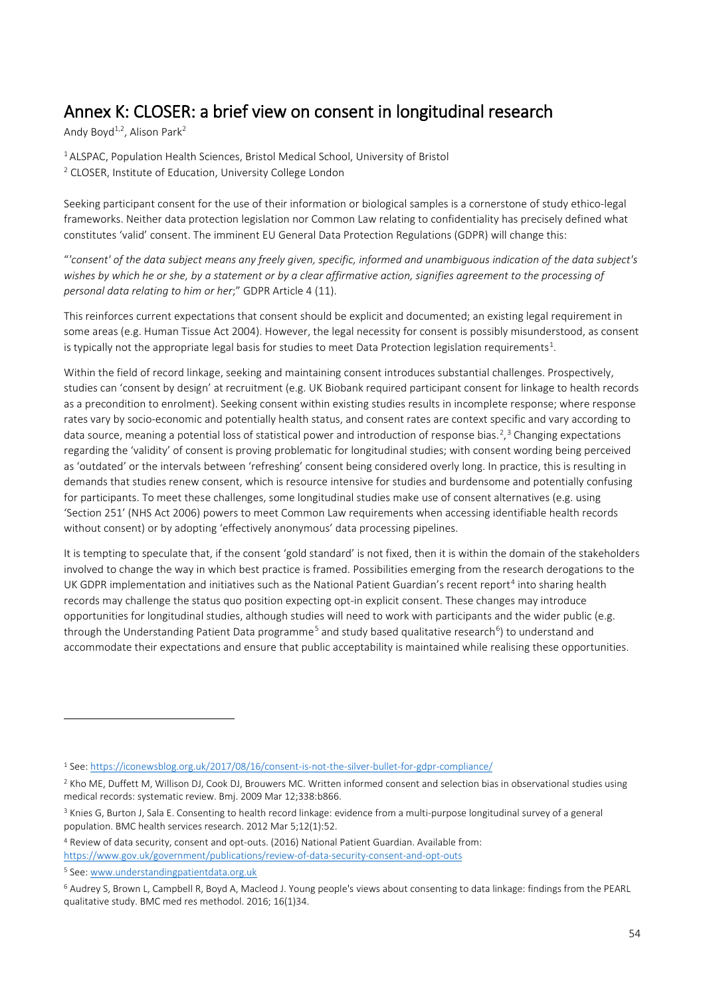# <span id="page-53-0"></span>Annex K: CLOSER: a brief view on consent in longitudinal research Andy Boyd<sup>1,2</sup>, Alison Park<sup>2</sup>

1

<sup>1</sup> ALSPAC, Population Health Sciences, Bristol Medical School, University of Bristol <sup>2</sup> CLOSER, Institute of Education, University College London

Seeking participant consent for the use of their information or biological samples is a cornerstone of study ethico-legal frameworks. Neither data protection legislation nor Common Law relating to confidentiality has precisely defined what constitutes 'valid' consent. The imminent EU General Data Protection Regulations (GDPR) will change this:

"*'consent' of the data subject means any freely given, specific, informed and unambiguous indication of the data subject's wishes by which he or she, by a statement or by a clear affirmative action, signifies agreement to the processing of personal data relating to him or her*;" GDPR Article 4 (11).

This reinforces current expectations that consent should be explicit and documented; an existing legal requirement in some areas (e.g. Human Tissue Act 2004). However, the legal necessity for consent is possibly misunderstood, as consent is typically not the appropriate legal basis for studies to meet Data Protection legislation requirements<sup>[1](#page-53-1)</sup>.

Within the field of record linkage, seeking and maintaining consent introduces substantial challenges. Prospectively, studies can 'consent by design' at recruitment (e.g. UK Biobank required participant consent for linkage to health records as a precondition to enrolment). Seeking consent within existing studies results in incomplete response; where response rates vary by socio-economic and potentially health status, and consent rates are context specific and vary according to data source, meaning a potential loss of statistical power and introduction of response bias.<sup>[2](#page-53-2)</sup>,<sup>[3](#page-53-3)</sup> Changing expectations regarding the 'validity' of consent is proving problematic for longitudinal studies; with consent wording being perceived as 'outdated' or the intervals between 'refreshing' consent being considered overly long. In practice, this is resulting in demands that studies renew consent, which is resource intensive for studies and burdensome and potentially confusing for participants. To meet these challenges, some longitudinal studies make use of consent alternatives (e.g. using 'Section 251' (NHS Act 2006) powers to meet Common Law requirements when accessing identifiable health records without consent) or by adopting 'effectively anonymous' data processing pipelines.

It is tempting to speculate that, if the consent 'gold standard' is not fixed, then it is within the domain of the stakeholders involved to change the way in which best practice is framed. Possibilities emerging from the research derogations to the UK GDPR implementation and initiatives such as the National Patient Guardian's recent report<sup>[4](#page-53-4)</sup> into sharing health records may challenge the status quo position expecting opt-in explicit consent. These changes may introduce opportunities for longitudinal studies, although studies will need to work with participants and the wider public (e.g. through the Understanding Patient Data programme<sup>[5](#page-53-5)</sup> and study based qualitative research<sup>[6](#page-53-6)</sup>) to understand and accommodate their expectations and ensure that public acceptability is maintained while realising these opportunities.

<span id="page-53-1"></span><sup>1</sup> See[: https://iconewsblog.org.uk/2017/08/16/consent-is-not-the-silver-bullet-for-gdpr-compliance/](https://iconewsblog.org.uk/2017/08/16/consent-is-not-the-silver-bullet-for-gdpr-compliance/)

<span id="page-53-2"></span><sup>&</sup>lt;sup>2</sup> Kho ME, Duffett M, Willison DJ, Cook DJ, Brouwers MC. Written informed consent and selection bias in observational studies using medical records: systematic review. Bmj. 2009 Mar 12;338:b866.

<span id="page-53-3"></span><sup>3</sup> Knies G, Burton J, Sala E. Consenting to health record linkage: evidence from a multi-purpose longitudinal survey of a general population. BMC health services research. 2012 Mar 5;12(1):52.

<span id="page-53-4"></span><sup>4</sup> Review of data security, consent and opt-outs. (2016) National Patient Guardian. Available from: <https://www.gov.uk/government/publications/review-of-data-security-consent-and-opt-outs> <sup>5</sup> See[: www.understandingpatientdata.org.uk](http://www.understandingpatientdata.org.uk/)

<span id="page-53-6"></span><span id="page-53-5"></span><sup>6</sup> Audrey S, Brown L, Campbell R, Boyd A, Macleod J. Young people's views about consenting to data linkage: findings from the PEARL qualitative study. BMC med res methodol. 2016; 16(1)34.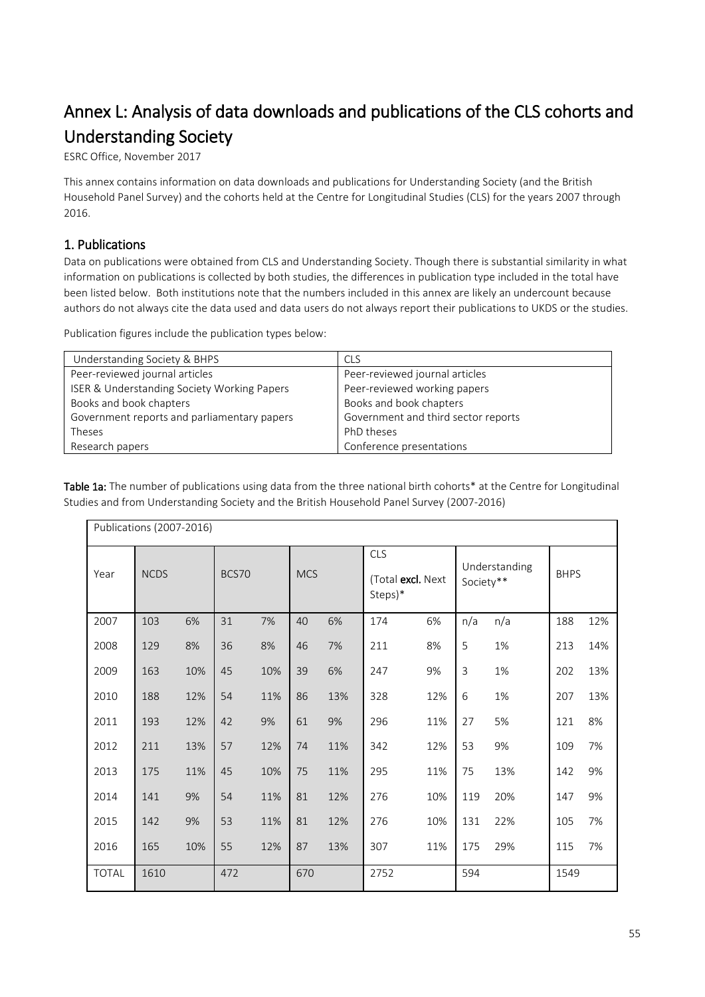# <span id="page-54-0"></span>Annex L: Analysis of data downloads and publications of the CLS cohorts and Understanding Society<br>ESRC Office, November 2017

This annex contains information on data downloads and publications for Understanding Society (and the British Household Panel Survey) and the cohorts held at the Centre for Longitudinal Studies (CLS) for the years 2007 through 2016.

# 1. Publications

Data on publications were obtained from CLS and Understanding Society. Though there is substantial similarity in what information on publications is collected by both studies, the differences in publication type included in the total have been listed below. Both institutions note that the numbers included in this annex are likely an undercount because authors do not always cite the data used and data users do not always report their publications to UKDS or the studies.

Publication figures include the publication types below:

| Understanding Society & BHPS                | <b>CLS</b>                          |
|---------------------------------------------|-------------------------------------|
| Peer-reviewed journal articles              | Peer-reviewed journal articles      |
| ISER & Understanding Society Working Papers | Peer-reviewed working papers        |
| Books and book chapters                     | Books and book chapters             |
| Government reports and parliamentary papers | Government and third sector reports |
| Theses                                      | PhD theses                          |
| Research papers                             | Conference presentations            |

Table 1a: The number of publications using data from the three national birth cohorts\* at the Centre for Longitudinal Studies and from Understanding Society and the British Household Panel Survey (2007-2016)

| Publications (2007-2016) |             |     |       |     |            |     |                                            |     |                            |     |             |     |
|--------------------------|-------------|-----|-------|-----|------------|-----|--------------------------------------------|-----|----------------------------|-----|-------------|-----|
| Year                     | <b>NCDS</b> |     | BCS70 |     | <b>MCS</b> |     | <b>CLS</b><br>(Total excl. Next<br>Steps)* |     | Understanding<br>Society** |     | <b>BHPS</b> |     |
| 2007                     | 103         | 6%  | 31    | 7%  | 40         | 6%  | 174                                        | 6%  | n/a                        | n/a | 188         | 12% |
| 2008                     | 129         | 8%  | 36    | 8%  | 46         | 7%  | 211                                        | 8%  | 5                          | 1%  | 213         | 14% |
| 2009                     | 163         | 10% | 45    | 10% | 39         | 6%  | 247                                        | 9%  | 3                          | 1%  | 202         | 13% |
| 2010                     | 188         | 12% | 54    | 11% | 86         | 13% | 328                                        | 12% | 6                          | 1%  | 207         | 13% |
| 2011                     | 193         | 12% | 42    | 9%  | 61         | 9%  | 296                                        | 11% | 27                         | 5%  | 121         | 8%  |
| 2012                     | 211         | 13% | 57    | 12% | 74         | 11% | 342                                        | 12% | 53                         | 9%  | 109         | 7%  |
| 2013                     | 175         | 11% | 45    | 10% | 75         | 11% | 295                                        | 11% | 75                         | 13% | 142         | 9%  |
| 2014                     | 141         | 9%  | 54    | 11% | 81         | 12% | 276                                        | 10% | 119                        | 20% | 147         | 9%  |
| 2015                     | 142         | 9%  | 53    | 11% | 81         | 12% | 276                                        | 10% | 131                        | 22% | 105         | 7%  |
| 2016                     | 165         | 10% | 55    | 12% | 87         | 13% | 307                                        | 11% | 175                        | 29% | 115         | 7%  |
| <b>TOTAL</b>             | 1610        |     | 472   |     | 670        |     | 2752                                       |     | 594                        |     | 1549        |     |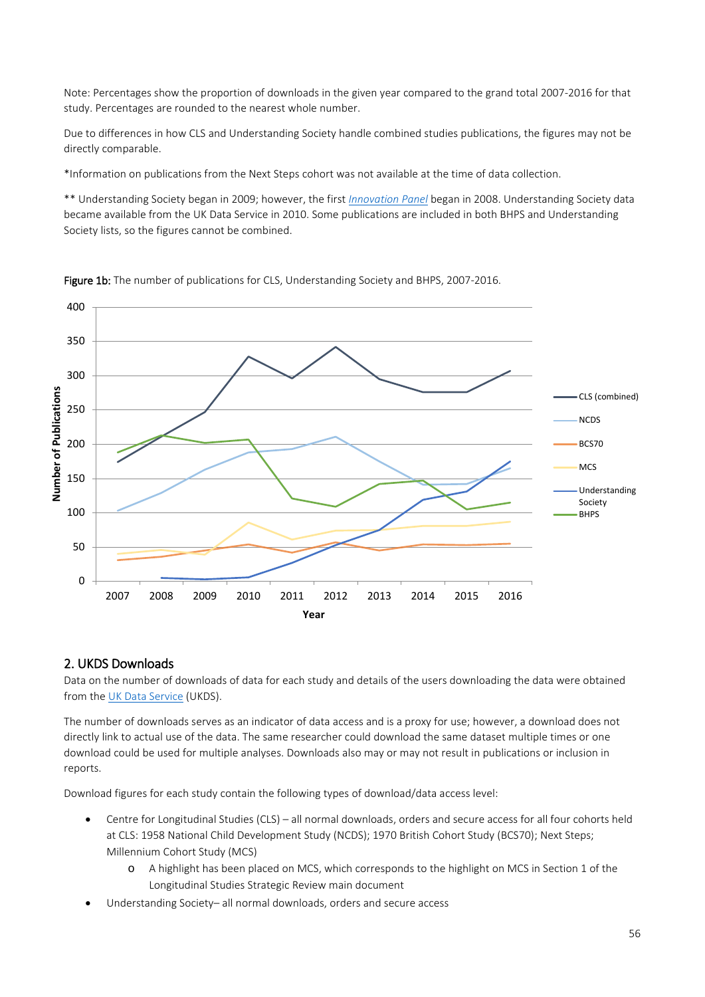Note: Percentages show the proportion of downloads in the given year compared to the grand total 2007-2016 for that study. Percentages are rounded to the nearest whole number.

Due to differences in how CLS and Understanding Society handle combined studies publications, the figures may not be directly comparable.

\*Information on publications from the Next Steps cohort was not available at the time of data collection.

\*\* Understanding Society began in 2009; however, the first *[Innovation Panel](https://www.understandingsociety.ac.uk/documentation/innovation-panel)* began in 2008. Understanding Society data became available from the UK Data Service in 2010. Some publications are included in both BHPS and Understanding Society lists, so the figures cannot be combined.



Figure 1b: The number of publications for CLS, Understanding Society and BHPS, 2007-2016.

#### 2. UKDS Downloads

Data on the number of downloads of data for each study and details of the users downloading the data were obtained from th[e UK Data Service](https://www.ukdataservice.ac.uk/) (UKDS).

The number of downloads serves as an indicator of data access and is a proxy for use; however, a download does not directly link to actual use of the data. The same researcher could download the same dataset multiple times or one download could be used for multiple analyses. Downloads also may or may not result in publications or inclusion in reports.

Download figures for each study contain the following types of download/data access level:

- Centre for Longitudinal Studies (CLS) all normal downloads, orders and secure access for all four cohorts held at CLS: 1958 National Child Development Study (NCDS); 1970 British Cohort Study (BCS70); Next Steps; Millennium Cohort Study (MCS)
	- o A highlight has been placed on MCS, which corresponds to the highlight on MCS in Section 1 of the Longitudinal Studies Strategic Review main document
- Understanding Society– all normal downloads, orders and secure access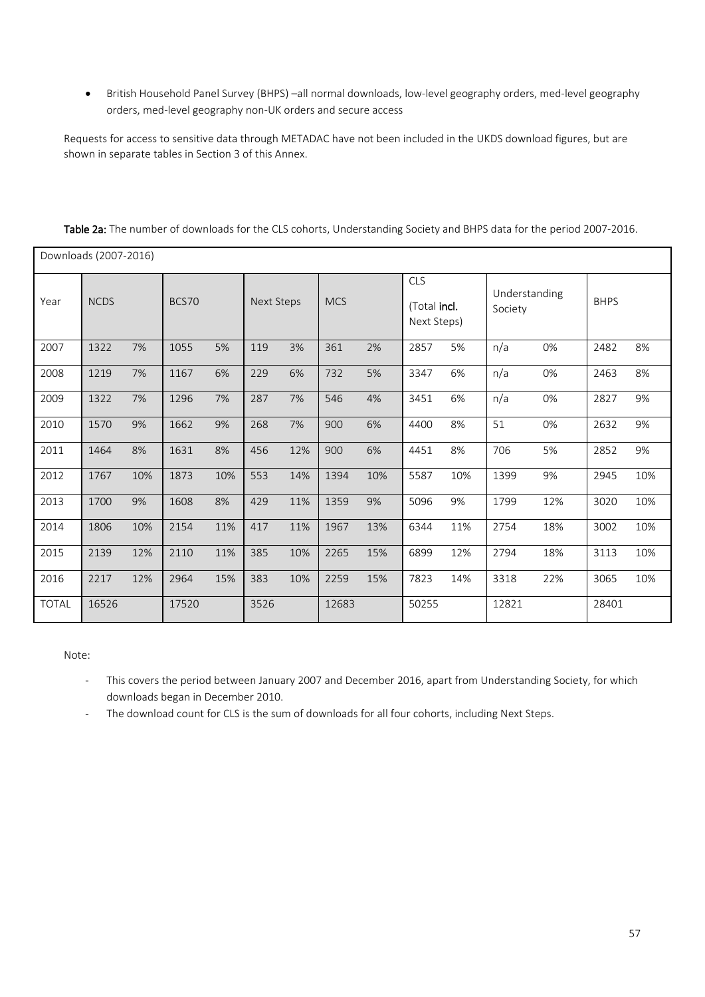• British Household Panel Survey (BHPS) –all normal downloads, low-level geography orders, med-level geography orders, med-level geography non-UK orders and secure access

Requests for access to sensitive data through METADAC have not been included in the UKDS download figures, but are shown in separate tables in Section 3 of this Annex.

|       | Downloads (2007-2016) |     |       |     |                   |     |            |     |                                           |     |                          |     |             |     |
|-------|-----------------------|-----|-------|-----|-------------------|-----|------------|-----|-------------------------------------------|-----|--------------------------|-----|-------------|-----|
| Year  | <b>NCDS</b>           |     | BCS70 |     | <b>Next Steps</b> |     | <b>MCS</b> |     | <b>CLS</b><br>(Total incl.<br>Next Steps) |     | Understanding<br>Society |     | <b>BHPS</b> |     |
| 2007  | 1322                  | 7%  | 1055  | 5%  | 119               | 3%  | 361        | 2%  | 2857                                      | 5%  | n/a                      | 0%  | 2482        | 8%  |
| 2008  | 1219                  | 7%  | 1167  | 6%  | 229               | 6%  | 732        | 5%  | 3347                                      | 6%  | n/a                      | 0%  | 2463        | 8%  |
| 2009  | 1322                  | 7%  | 1296  | 7%  | 287               | 7%  | 546        | 4%  | 3451                                      | 6%  | n/a                      | 0%  | 2827        | 9%  |
| 2010  | 1570                  | 9%  | 1662  | 9%  | 268               | 7%  | 900        | 6%  | 4400                                      | 8%  | 51                       | 0%  | 2632        | 9%  |
| 2011  | 1464                  | 8%  | 1631  | 8%  | 456               | 12% | 900        | 6%  | 4451                                      | 8%  | 706                      | 5%  | 2852        | 9%  |
| 2012  | 1767                  | 10% | 1873  | 10% | 553               | 14% | 1394       | 10% | 5587                                      | 10% | 1399                     | 9%  | 2945        | 10% |
| 2013  | 1700                  | 9%  | 1608  | 8%  | 429               | 11% | 1359       | 9%  | 5096                                      | 9%  | 1799                     | 12% | 3020        | 10% |
| 2014  | 1806                  | 10% | 2154  | 11% | 417               | 11% | 1967       | 13% | 6344                                      | 11% | 2754                     | 18% | 3002        | 10% |
| 2015  | 2139                  | 12% | 2110  | 11% | 385               | 10% | 2265       | 15% | 6899                                      | 12% | 2794                     | 18% | 3113        | 10% |
| 2016  | 2217                  | 12% | 2964  | 15% | 383               | 10% | 2259       | 15% | 7823                                      | 14% | 3318                     | 22% | 3065        | 10% |
| TOTAL | 16526                 |     | 17520 |     | 3526              |     | 12683      |     | 50255                                     |     | 12821                    |     | 28401       |     |

Table 2a: The number of downloads for the CLS cohorts, Understanding Society and BHPS data for the period 2007-2016.

Note:

- This covers the period between January 2007 and December 2016, apart from Understanding Society, for which downloads began in December 2010.
- The download count for CLS is the sum of downloads for all four cohorts, including Next Steps.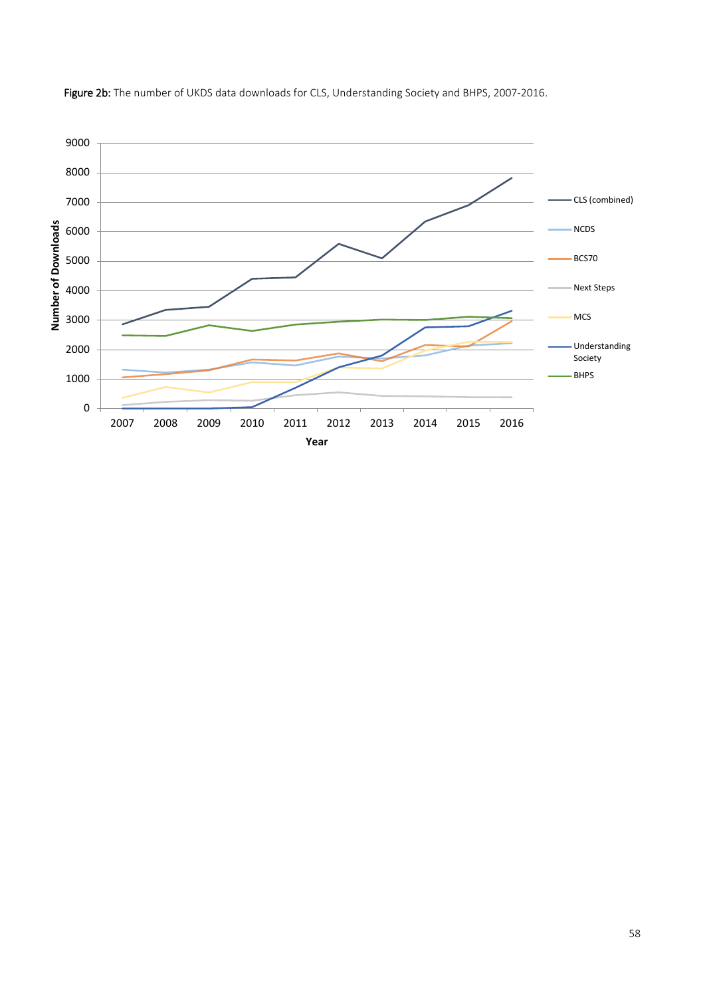

Figure 2b: The number of UKDS data downloads for CLS, Understanding Society and BHPS, 2007-2016.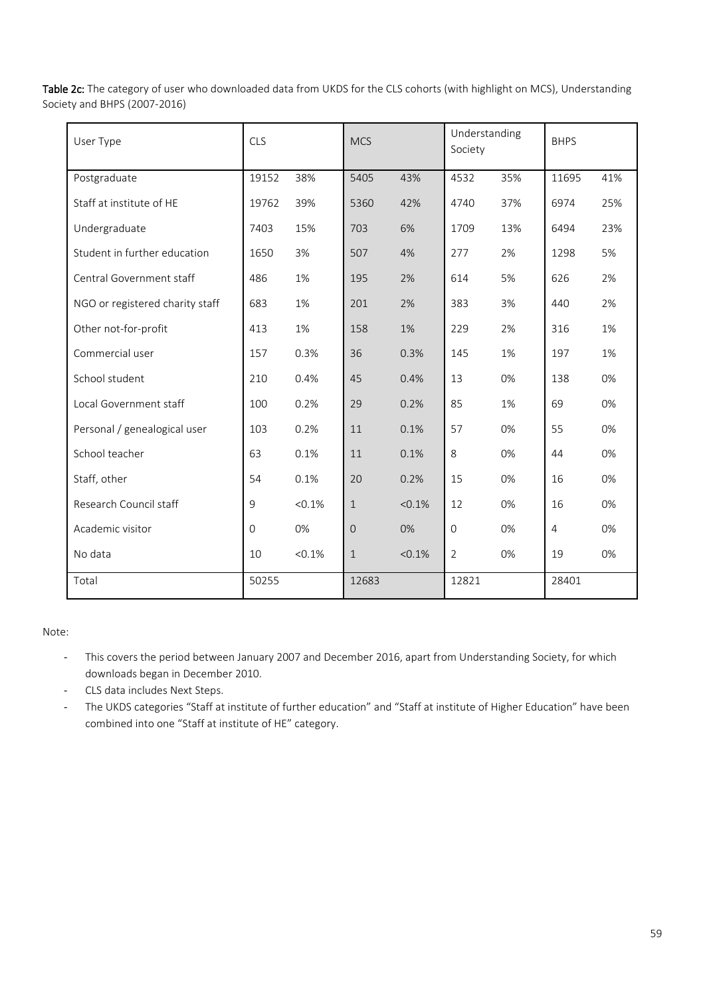Table 2c: The category of user who downloaded data from UKDS for the CLS cohorts (with highlight on MCS), Understanding Society and BHPS (2007-2016)

| User Type                       | <b>CLS</b>  |           |                | <b>MCS</b> |                | Understanding | <b>BHPS</b>    |     |
|---------------------------------|-------------|-----------|----------------|------------|----------------|---------------|----------------|-----|
| Postgraduate                    | 19152       | 38%       | 5405           | 43%        | 4532           | 35%           | 11695          | 41% |
| Staff at institute of HE        | 19762       | 39%       | 5360           | 42%        | 4740           | 37%           | 6974           | 25% |
| Undergraduate                   | 7403        | 15%       | 703            | 6%         | 1709           | 13%           | 6494           | 23% |
| Student in further education    | 1650        | 3%        | 507            | 4%         | 277            | 2%            | 1298           | 5%  |
| Central Government staff        | 486         | 1%        | 195            | 2%         | 614            | 5%            | 626            | 2%  |
| NGO or registered charity staff | 683         | 1%        | 201            | 2%         | 383            | 3%            | 440            | 2%  |
| Other not-for-profit            | 413         | 1%        | 158            | 1%         | 229            | 2%            | 316            | 1%  |
| Commercial user                 | 157         | 0.3%      | 36             | 0.3%       | 145            | 1%            | 197            | 1%  |
| School student                  | 210         | 0.4%      | 45             | 0.4%       | 13             | 0%            | 138            | 0%  |
| Local Government staff          | 100         | 0.2%      | 29             | 0.2%       | 85             | 1%            | 69             | 0%  |
| Personal / genealogical user    | 103         | 0.2%      | 11             | 0.1%       | 57             | 0%            | 55             | 0%  |
| School teacher                  | 63          | 0.1%      | 11             | 0.1%       | 8              | 0%            | 44             | 0%  |
| Staff, other                    | 54          | 0.1%      | 20             | 0.2%       | 15             | 0%            | 16             | 0%  |
| Research Council staff          | $\mathsf 9$ | < 0.1%    | $\mathbf{1}$   | < 0.1%     | 12             | 0%            | 16             | 0%  |
| Academic visitor                | $\Omega$    | 0%        | $\overline{O}$ | 0%         | $\mathbf{0}$   | 0%            | $\overline{4}$ | 0%  |
| No data                         | 10          | $< 0.1\%$ | $\mathbf{1}$   | $< 0.1\%$  | $\overline{2}$ | 0%            | 19             | 0%  |
| Total                           | 50255       |           | 12683          |            | 12821          |               | 28401          |     |

Note:

- This covers the period between January 2007 and December 2016, apart from Understanding Society, for which downloads began in December 2010.
- CLS data includes Next Steps.
- The UKDS categories "Staff at institute of further education" and "Staff at institute of Higher Education" have been combined into one "Staff at institute of HE" category.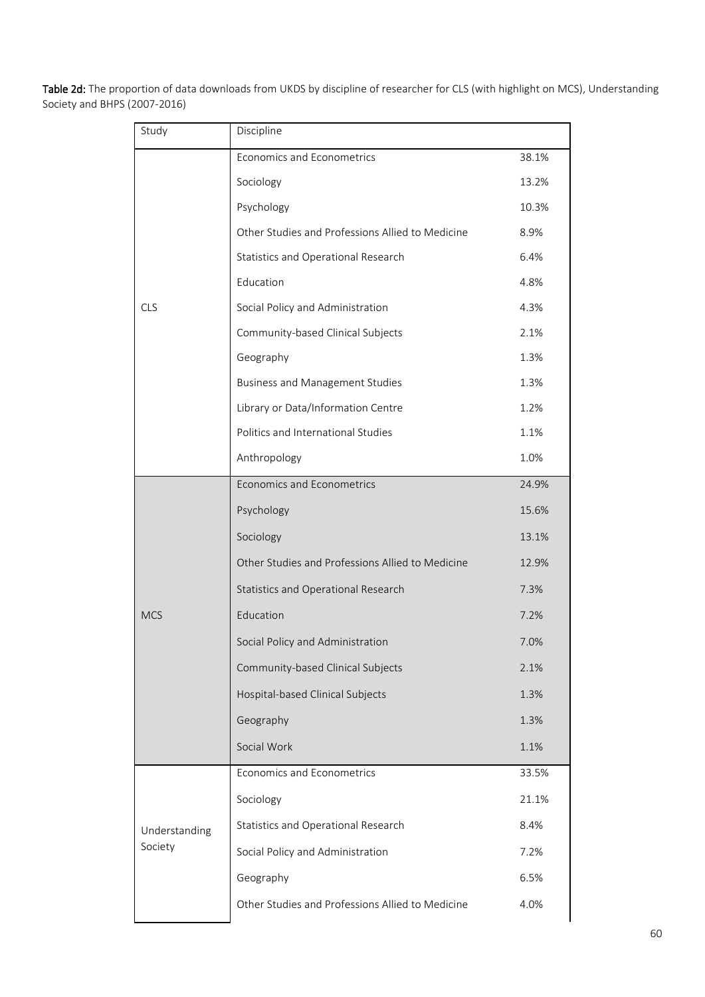Table 2d: The proportion of data downloads from UKDS by discipline of researcher for CLS (with highlight on MCS), Understanding Society and BHPS (2007-2016)

| Study         | Discipline                                       |       |  |  |
|---------------|--------------------------------------------------|-------|--|--|
|               | Economics and Econometrics                       | 38.1% |  |  |
|               | Sociology                                        | 13.2% |  |  |
|               | Psychology                                       | 10.3% |  |  |
|               | Other Studies and Professions Allied to Medicine | 8.9%  |  |  |
|               | Statistics and Operational Research              | 6.4%  |  |  |
|               | Education                                        | 4.8%  |  |  |
| <b>CLS</b>    | Social Policy and Administration                 | 4.3%  |  |  |
|               | Community-based Clinical Subjects                | 2.1%  |  |  |
|               | Geography                                        | 1.3%  |  |  |
|               | <b>Business and Management Studies</b>           | 1.3%  |  |  |
|               | Library or Data/Information Centre               | 1.2%  |  |  |
|               | Politics and International Studies               | 1.1%  |  |  |
|               | Anthropology                                     | 1.0%  |  |  |
|               | Economics and Econometrics                       | 24.9% |  |  |
|               | Psychology                                       | 15.6% |  |  |
|               | Sociology                                        | 13.1% |  |  |
|               | Other Studies and Professions Allied to Medicine | 12.9% |  |  |
|               | Statistics and Operational Research              | 7.3%  |  |  |
| <b>MCS</b>    | Education                                        | 7.2%  |  |  |
|               | Social Policy and Administration                 | 7.0%  |  |  |
|               | Community-based Clinical Subjects                | 2.1%  |  |  |
|               | Hospital-based Clinical Subjects                 | 1.3%  |  |  |
|               | Geography                                        | 1.3%  |  |  |
|               | Social Work                                      | 1.1%  |  |  |
|               | Economics and Econometrics                       | 33.5% |  |  |
|               | Sociology                                        | 21.1% |  |  |
| Understanding | Statistics and Operational Research              | 8.4%  |  |  |
| Society       | Social Policy and Administration                 | 7.2%  |  |  |
|               | Geography                                        | 6.5%  |  |  |
|               | Other Studies and Professions Allied to Medicine | 4.0%  |  |  |
|               |                                                  |       |  |  |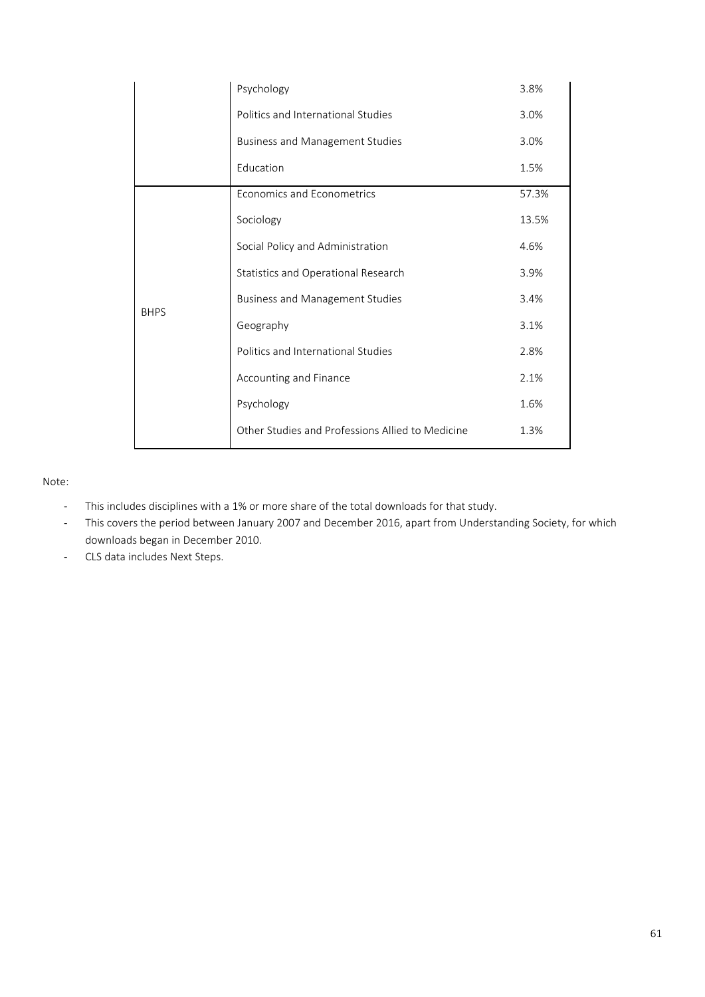|             | Psychology                                       | 3.8%  |
|-------------|--------------------------------------------------|-------|
|             | Politics and International Studies               | 3.0%  |
|             | <b>Business and Management Studies</b>           | 3.0%  |
|             | Education                                        | 1.5%  |
|             | Economics and Econometrics                       | 57.3% |
|             | Sociology                                        | 13.5% |
|             | Social Policy and Administration                 | 4.6%  |
|             | Statistics and Operational Research              | 3.9%  |
| <b>BHPS</b> | <b>Business and Management Studies</b>           | 3.4%  |
|             | Geography                                        | 3.1%  |
|             | Politics and International Studies               | 2.8%  |
|             | Accounting and Finance                           | 2.1%  |
|             | Psychology                                       | 1.6%  |
|             | Other Studies and Professions Allied to Medicine | 1.3%  |

#### Note:

- This includes disciplines with a 1% or more share of the total downloads for that study.
- This covers the period between January 2007 and December 2016, apart from Understanding Society, for which downloads began in December 2010.
- CLS data includes Next Steps.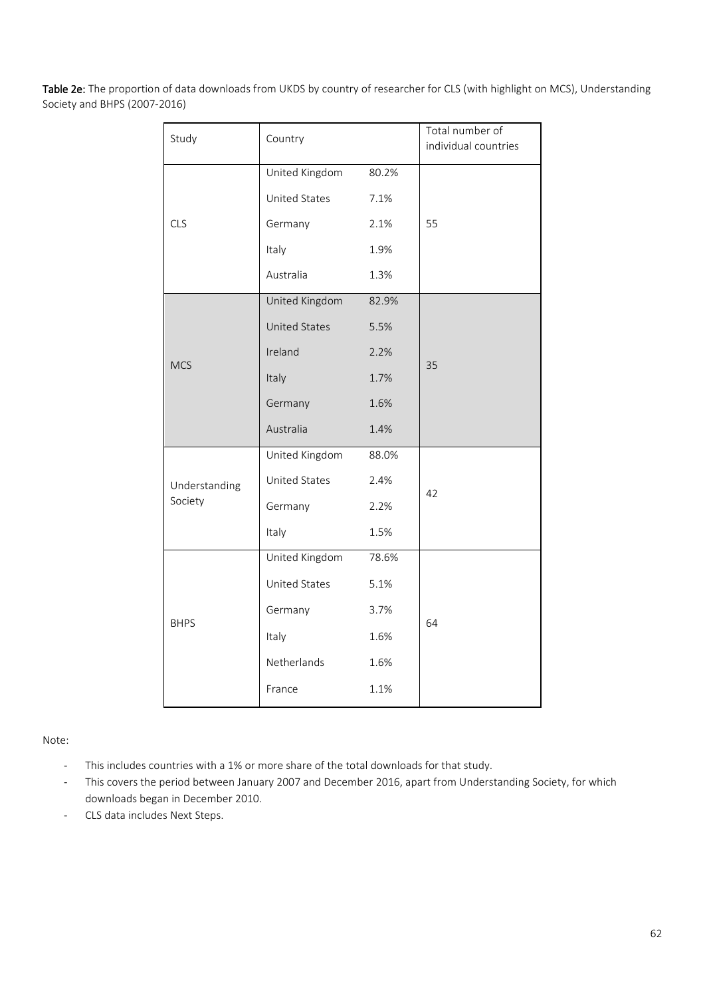Table 2e: The proportion of data downloads from UKDS by country of researcher for CLS (with highlight on MCS), Understanding Society and BHPS (2007-2016)

| Study         | Country              |       | Total number of<br>individual countries |
|---------------|----------------------|-------|-----------------------------------------|
|               | United Kingdom       | 80.2% |                                         |
|               | United States        | 7.1%  |                                         |
| <b>CLS</b>    | Germany              | 2.1%  | 55                                      |
|               | Italy                | 1.9%  |                                         |
|               | Australia            | 1.3%  |                                         |
|               | United Kingdom       | 82.9% |                                         |
|               | <b>United States</b> | 5.5%  |                                         |
| <b>MCS</b>    | Ireland              | 2.2%  | 35                                      |
|               | Italy                | 1.7%  |                                         |
|               | Germany              | 1.6%  |                                         |
|               | Australia            | 1.4%  |                                         |
|               | United Kingdom       | 88.0% |                                         |
| Understanding | United States        | 2.4%  | 42                                      |
| Society       | Germany              | 2.2%  |                                         |
|               | Italy                | 1.5%  |                                         |
|               | United Kingdom       | 78.6% |                                         |
|               | United States        | 5.1%  |                                         |
|               | Germany              | 3.7%  |                                         |
| <b>BHPS</b>   | Italy                | 1.6%  | 64                                      |
|               | Netherlands          | 1.6%  |                                         |
|               | France               | 1.1%  |                                         |

Note:

- This includes countries with a 1% or more share of the total downloads for that study.
- This covers the period between January 2007 and December 2016, apart from Understanding Society, for which downloads began in December 2010.
- CLS data includes Next Steps.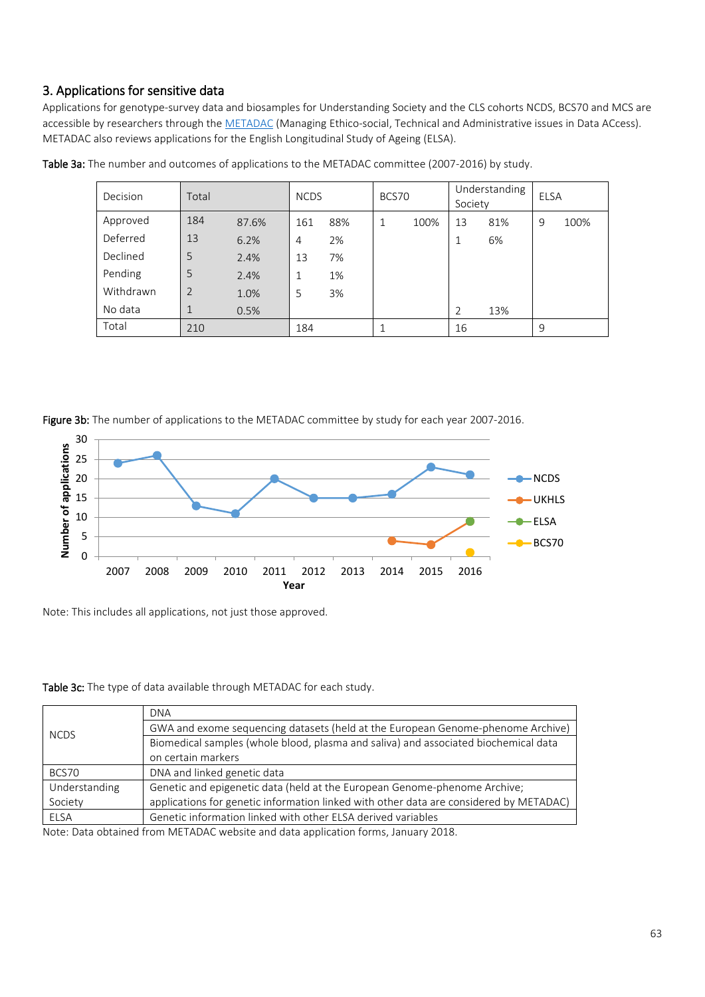# 3. Applications for sensitive data

Applications for genotype-survey data and biosamples for Understanding Society and the CLS cohorts NCDS, BCS70 and MCS are accessible by researchers through the [METADAC](https://www.metadac.ac.uk/) (Managing Ethico-social, Technical and Administrative issues in Data ACcess). METADAC also reviews applications for the English Longitudinal Study of Ageing (ELSA).

| Decision  | Total          |       |     | <b>NCDS</b> |   | BCS70 |                | Understanding<br>Society |   | <b>ELSA</b> |  |
|-----------|----------------|-------|-----|-------------|---|-------|----------------|--------------------------|---|-------------|--|
| Approved  | 184            | 87.6% | 161 | 88%         | 1 | 100%  | 13             | 81%                      | 9 | 100%        |  |
| Deferred  | 13             | 6.2%  | 4   | 2%          |   |       |                | 6%                       |   |             |  |
| Declined  | 5              | 2.4%  | 13  | 7%          |   |       |                |                          |   |             |  |
| Pending   | 5              | 2.4%  |     | 1%          |   |       |                |                          |   |             |  |
| Withdrawn | $\overline{2}$ | 1.0%  | 5   | 3%          |   |       |                |                          |   |             |  |
| No data   | 1              | 0.5%  |     |             |   |       | $\overline{2}$ | 13%                      |   |             |  |
| Total     | 210            |       | 184 |             | 1 |       | 16             |                          | 9 |             |  |

Table 3a: The number and outcomes of applications to the METADAC committee (2007-2016) by study.

Figure 3b: The number of applications to the METADAC committee by study for each year 2007-2016.



Note: This includes all applications, not just those approved.

#### Table 3c: The type of data available through METADAC for each study.

|               | <b>DNA</b>                                                                             |
|---------------|----------------------------------------------------------------------------------------|
| <b>NCDS</b>   | GWA and exome sequencing datasets (held at the European Genome-phenome Archive)        |
|               | Biomedical samples (whole blood, plasma and saliva) and associated biochemical data    |
|               | on certain markers                                                                     |
| BCS70         | DNA and linked genetic data                                                            |
| Understanding | Genetic and epigenetic data (held at the European Genome-phenome Archive;              |
| Society       | applications for genetic information linked with other data are considered by METADAC) |
| <b>ELSA</b>   | Genetic information linked with other ELSA derived variables                           |

Note: Data obtained from METADAC website and data application forms, January 2018.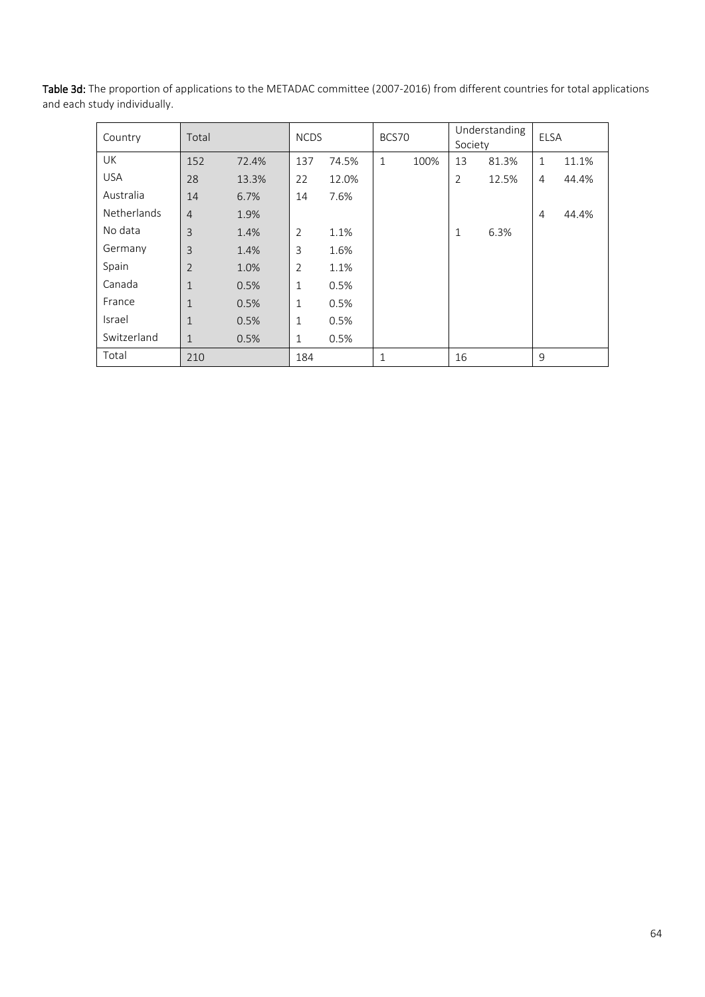| Country            | Total          |       | <b>NCDS</b>    |       | BCS70        |      | Understanding<br>Society |       | <b>ELSA</b>    |       |
|--------------------|----------------|-------|----------------|-------|--------------|------|--------------------------|-------|----------------|-------|
| UK                 | 152            | 72.4% | 137            | 74.5% | $\mathbf{1}$ | 100% | 13                       | 81.3% | $\mathbf{1}$   | 11.1% |
| <b>USA</b>         | 28             | 13.3% | 22             | 12.0% |              |      | $\overline{2}$           | 12.5% | 4              | 44.4% |
| Australia          | 14             | 6.7%  | 14             | 7.6%  |              |      |                          |       |                |       |
| <b>Netherlands</b> | $\overline{4}$ | 1.9%  |                |       |              |      |                          |       | $\overline{4}$ | 44.4% |
| No data            | 3              | 1.4%  | 2              | 1.1%  |              |      | $\mathbf{1}$             | 6.3%  |                |       |
| Germany            | 3              | 1.4%  | 3              | 1.6%  |              |      |                          |       |                |       |
| Spain              | $\overline{2}$ | 1.0%  | $\overline{2}$ | 1.1%  |              |      |                          |       |                |       |
| Canada             | $\mathbf{1}$   | 0.5%  | $\mathbf 1$    | 0.5%  |              |      |                          |       |                |       |
| France             | $\mathbf{1}$   | 0.5%  | 1              | 0.5%  |              |      |                          |       |                |       |
| Israel             | $\mathbf{1}$   | 0.5%  | $\mathbf{1}$   | 0.5%  |              |      |                          |       |                |       |
| Switzerland        | $\mathbf{1}$   | 0.5%  | 1              | 0.5%  |              |      |                          |       |                |       |
| Total              | 210            |       | 184            |       | $\mathbf{1}$ |      | 16                       |       | 9              |       |

Table 3d: The proportion of applications to the METADAC committee (2007-2016) from different countries for total applications and each study individually.